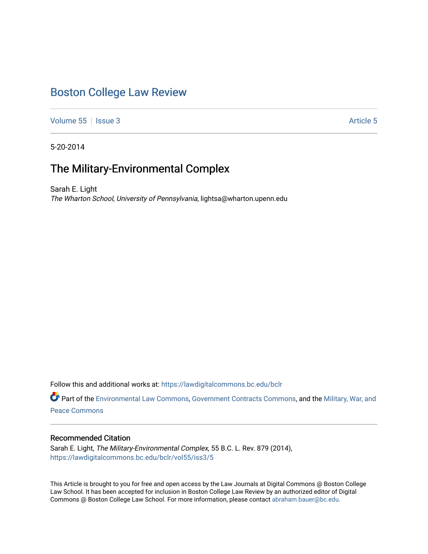# [Boston College Law Review](https://lawdigitalcommons.bc.edu/bclr)

[Volume 55](https://lawdigitalcommons.bc.edu/bclr/vol55) | [Issue 3](https://lawdigitalcommons.bc.edu/bclr/vol55/iss3) [Article 5](https://lawdigitalcommons.bc.edu/bclr/vol55/iss3/5) | Issue 3 Article 5 | Issue 3 Article 5 | Issue 3 Article 5 | Issue 3 | Issue 3 | Issue 3 | Issue 3 | Issue 3 | Issue 3 | Issue 3 | Issue 3 | Issue 3 | Issue 3 | Issue 3 | Issue 3 | Issue 3 |

5-20-2014

# The Military-Environmental Complex

Sarah E. Light The Wharton School, University of Pennsylvania, lightsa@wharton.upenn.edu

Follow this and additional works at: [https://lawdigitalcommons.bc.edu/bclr](https://lawdigitalcommons.bc.edu/bclr?utm_source=lawdigitalcommons.bc.edu%2Fbclr%2Fvol55%2Fiss3%2F5&utm_medium=PDF&utm_campaign=PDFCoverPages) 

Part of the [Environmental Law Commons](http://network.bepress.com/hgg/discipline/599?utm_source=lawdigitalcommons.bc.edu%2Fbclr%2Fvol55%2Fiss3%2F5&utm_medium=PDF&utm_campaign=PDFCoverPages), [Government Contracts Commons](http://network.bepress.com/hgg/discipline/845?utm_source=lawdigitalcommons.bc.edu%2Fbclr%2Fvol55%2Fiss3%2F5&utm_medium=PDF&utm_campaign=PDFCoverPages), and the [Military, War, and](http://network.bepress.com/hgg/discipline/861?utm_source=lawdigitalcommons.bc.edu%2Fbclr%2Fvol55%2Fiss3%2F5&utm_medium=PDF&utm_campaign=PDFCoverPages) [Peace Commons](http://network.bepress.com/hgg/discipline/861?utm_source=lawdigitalcommons.bc.edu%2Fbclr%2Fvol55%2Fiss3%2F5&utm_medium=PDF&utm_campaign=PDFCoverPages)

# Recommended Citation

Sarah E. Light, The Military-Environmental Complex, 55 B.C. L. Rev. 879 (2014), [https://lawdigitalcommons.bc.edu/bclr/vol55/iss3/5](https://lawdigitalcommons.bc.edu/bclr/vol55/iss3/5?utm_source=lawdigitalcommons.bc.edu%2Fbclr%2Fvol55%2Fiss3%2F5&utm_medium=PDF&utm_campaign=PDFCoverPages) 

This Article is brought to you for free and open access by the Law Journals at Digital Commons @ Boston College Law School. It has been accepted for inclusion in Boston College Law Review by an authorized editor of Digital Commons @ Boston College Law School. For more information, please contact [abraham.bauer@bc.edu.](mailto:abraham.bauer@bc.edu)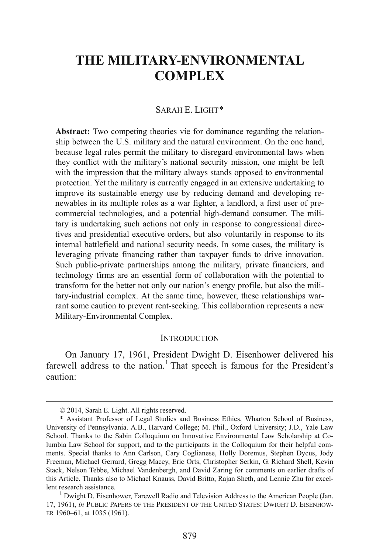# **THE MILITARY-ENVIRONMENTAL COMPLEX**

#### SARAH E. LIGHT[\\*](#page-1-0)

**Abstract:** Two competing theories vie for dominance regarding the relationship between the U.S. military and the natural environment. On the one hand, because legal rules permit the military to disregard environmental laws when they conflict with the military's national security mission, one might be left with the impression that the military always stands opposed to environmental protection. Yet the military is currently engaged in an extensive undertaking to improve its sustainable energy use by reducing demand and developing renewables in its multiple roles as a war fighter, a landlord, a first user of precommercial technologies, and a potential high-demand consumer. The military is undertaking such actions not only in response to congressional directives and presidential executive orders, but also voluntarily in response to its internal battlefield and national security needs. In some cases, the military is leveraging private financing rather than taxpayer funds to drive innovation. Such public-private partnerships among the military, private financiers, and technology firms are an essential form of collaboration with the potential to transform for the better not only our nation's energy profile, but also the military-industrial complex. At the same time, however, these relationships warrant some caution to prevent rent-seeking. This collaboration represents a new Military-Environmental Complex.

#### **INTRODUCTION**

<span id="page-1-2"></span>On January 17, 1961, President Dwight D. Eisenhower delivered his farewell address to the nation.<sup>[1](#page-1-1)</sup> That speech is famous for the President's caution:

 <sup>© 2014,</sup> Sarah E. Light. All rights reserved.

<span id="page-1-0"></span><sup>\*</sup> Assistant Professor of Legal Studies and Business Ethics, Wharton School of Business, University of Pennsylvania. A.B., Harvard College; M. Phil., Oxford University; J.D., Yale Law School. Thanks to the Sabin Colloquium on Innovative Environmental Law Scholarship at Columbia Law School for support, and to the participants in the Colloquium for their helpful comments. Special thanks to Ann Carlson, Cary Coglianese, Holly Doremus, Stephen Dycus, Jody Freeman, Michael Gerrard, Gregg Macey, Eric Orts, Christopher Serkin, G. Richard Shell, Kevin Stack, Nelson Tebbe, Michael Vandenbergh, and David Zaring for comments on earlier drafts of this Article. Thanks also to Michael Knauss, David Britto, Rajan Sheth, and Lennie Zhu for excellent research assistance.<br><sup>1</sup> Dwight D. Eisenhower, Farewell Radio and Television Address to the American People (Jan.

<span id="page-1-1"></span><sup>17, 1961),</sup> *in* PUBLIC PAPERS OF THE PRESIDENT OF THE UNITED STATES: DWIGHT D. EISENHOW-ER 1960–61, at 1035 (1961).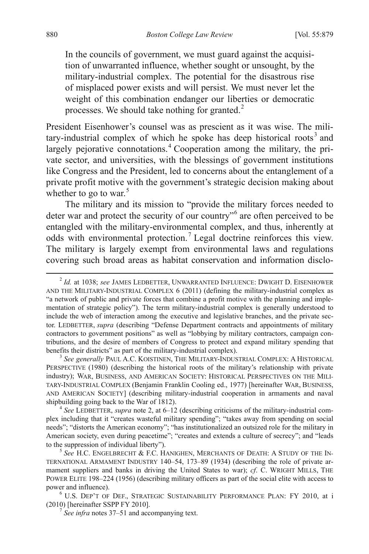In the councils of government, we must guard against the acquisition of unwarranted influence, whether sought or unsought, by the military-industrial complex. The potential for the disastrous rise of misplaced power exists and will persist. We must never let the weight of this combination endanger our liberties or democratic processes. We should take nothing for granted.<sup>[2](#page-1-2)</sup>

President Eisenhower's counsel was as prescient as it was wise. The mili-tary-industrial complex of which he spoke has deep historical roots<sup>[3](#page-2-0)</sup> and largely pejorative connotations. [4](#page-2-1) Cooperation among the military, the private sector, and universities, with the blessings of government institutions like Congress and the President, led to concerns about the entanglement of a private profit motive with the government's strategic decision making about whether to go to war. $5$ 

The military and its mission to "provide the military forces needed to deter war and protect the security of our country"[6](#page-2-3) are often perceived to be entangled with the military-environmental complex, and thus, inherently at odds with environmental protection.<sup>[7](#page-2-4)</sup> Legal doctrine reinforces this view. The military is largely exempt from environmental laws and regulations covering such broad areas as habitat conservation and information disclo-

<span id="page-2-0"></span> $^3$  *See generally* PAUL A.C. KOISTINEN, THE MILITARY-INDUSTRIAL COMPLEX: A HISTORICAL PERSPECTIVE (1980) (describing the historical roots of the military's relationship with private industry); WAR, BUSINESS, AND AMERICAN SOCIETY: HISTORICAL PERSPECTIVES ON THE MILI-TARY-INDUSTRIAL COMPLEX (Benjamin Franklin Cooling ed., 1977) [hereinafter WAR, BUSINESS, AND AMERICAN SOCIETY] (describing military-industrial cooperation in armaments and naval shipbuilding going back to the War of 1812).

<span id="page-2-1"></span><sup>4</sup> See LEDBETTER, *supra* note 2, at 6–12 (describing criticisms of the military-industrial complex including that it "creates wasteful military spending"; "takes away from spending on social needs"; "distorts the American economy"; "has institutionalized an outsized role for the military in American society, even during peacetime"; "creates and extends a culture of secrecy"; and "leads to the suppression of individual liberty").<br><sup>5</sup> *See* H.C. ENGELBRECHT & F.C. HANIGHEN, MERCHANTS OF DEATH: A STUDY OF THE IN-

<span id="page-2-2"></span>TERNATIONAL ARMAMENT INDUSTRY 140–54, 173–89 (1934) (describing the role of private armament suppliers and banks in driving the United States to war); *cf*. C. WRIGHT MILLS, THE POWER ELITE 198–224 (1956) (describing military officers as part of the social elite with access to

<span id="page-2-4"></span><span id="page-2-3"></span>power and influence).<br><sup>6</sup> U.S. DEP'T OF DEF., STRATEGIC SUSTAINABILITY PERFORMANCE PLAN: FY 2010, at i<br>(2010) [hereinafter SSPP FY 2010].

 $\frac{1}{2}$  See infra notes 37–51 and accompanying text.

<span id="page-2-5"></span> <sup>2</sup> *Id.* at 1038; *see* JAMES LEDBETTER, UNWARRANTED INFLUENCE: DWIGHT D. EISENHOWER AND THE MILITARY-INDUSTRIAL COMPLEX 6 (2011) (defining the military-industrial complex as "a network of public and private forces that combine a profit motive with the planning and implementation of strategic policy"). The term military-industrial complex is generally understood to include the web of interaction among the executive and legislative branches, and the private sector. LEDBETTER, *supra* (describing "Defense Department contracts and appointments of military contractors to government positions" as well as "lobbying by military contractors, campaign contributions, and the desire of members of Congress to protect and expand military spending that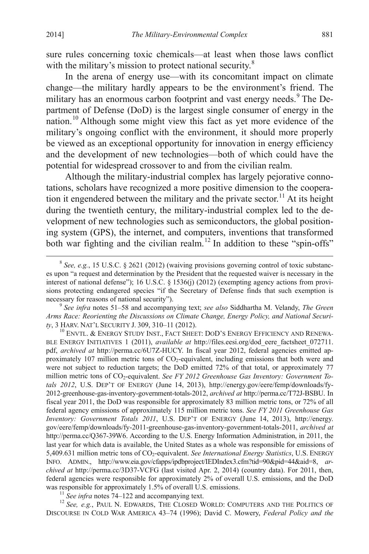sure rules concerning toxic chemicals—at least when those laws conflict with the military's mission to protect national security.<sup>[8](#page-2-5)</sup>

In the arena of energy use—with its concomitant impact on climate change—the military hardly appears to be the environment's friend. The military has an enormous carbon footprint and vast energy needs.<sup>[9](#page-3-0)</sup> The Department of Defense (DoD) is the largest single consumer of energy in the nation.[10](#page-3-1) Although some might view this fact as yet more evidence of the military's ongoing conflict with the environment, it should more properly be viewed as an exceptional opportunity for innovation in energy efficiency and the development of new technologies—both of which could have the potential for widespread crossover to and from the civilian realm.

Although the military-industrial complex has largely pejorative connotations, scholars have recognized a more positive dimension to the coopera-tion it engendered between the military and the private sector.<sup>[11](#page-3-2)</sup> At its height during the twentieth century, the military-industrial complex led to the development of new technologies such as semiconductors, the global positioning system (GPS), the internet, and computers, inventions that transformed both war fighting and the civilian realm.<sup>[12](#page-3-3)</sup> In addition to these "spin-offs"

<span id="page-3-0"></span><sup>9</sup> See *infra* notes 51–58 and accompanying text; *see also* Siddhartha M. Velandy, *The Green Arms Race: Reorienting the Discussions on Climate Change, Energy Policy, and National Securi-*

<span id="page-3-4"></span><span id="page-3-1"></span><sup>10</sup> ENVTL. & ENERGY STUDY INST., FACT SHEET: DOD'S ENERGY EFFICIENCY AND RENEWA-BLE ENERGY INITIATIVES 1 (2011), *available at* http://files.eesi.org/dod\_eere\_factsheet\_072711. pdf, *archived at* http://perma.cc/6U7Z-HUCY. In fiscal year 2012, federal agencies emitted approximately 107 million metric tons of CO2-equivalent, including emissions that both were and were not subject to reduction targets; the DoD emitted 72% of that total, or approximately 77 million metric tons of CO<sub>2</sub>-equivalent. See FY 2012 Greenhouse Gas Inventory: Government To*tals 2012*, U.S. DEP'T OF ENERGY (June 14, 2013), http://energy.gov/eere/femp/downloads/fy-2012-greenhouse-gas-inventory-government-totals-2012, *archived at* http://perma.cc/T72J-BSBU. In fiscal year 2011, the DoD was responsible for approximately 83 million metric tons, or 72% of all federal agency emissions of approximately 115 million metric tons. *See FY 2011 Greenhouse Gas Inventory: Government Totals 2011*, U.S. DEP'T OF ENERGY (June 14, 2013), http://energy. gov/eere/femp/downloads/fy-2011-greenhouse-gas-inventory-government-totals-2011, *archived at* http://perma.cc/Q367-39W6. According to the U.S. Energy Information Administration, in 2011, the last year for which data is available, the United States as a whole was responsible for emissions of 5,409.631 million metric tons of CO2-equivalent. *See International Energy Statistics*, U.S. ENERGY INFO. ADMIN., http://www.eia.gov/cfapps/ipdbproject/IEDIndex3.cfm?tid=90&pid=44&aid=8, *archived at* http://perma.cc/3D37-VCFG (last visited Apr. 2, 2014) (country data). For 2011, then, federal agencies were responsible for approximately 2% of overall U.S. emissions, and the DoD was responsible for approximately 1.5% of overall U.S. emissions.<br><sup>11</sup> *See infra* notes 74–122 and accompanying text.<br><sup>12</sup> *See, e.g.*, PAUL N. EDWARDS, THE CLOSED WORLD: COMPUTERS AND THE POLITICS OF

<span id="page-3-3"></span><span id="page-3-2"></span>DISCOURSE IN COLD WAR AMERICA 43–74 (1996); David C. Mowery, *Federal Policy and the* 

 <sup>8</sup> *See, e.g.*, 15 U.S.C. § 2621 (2012) (waiving provisions governing control of toxic substances upon "a request and determination by the President that the requested waiver is necessary in the interest of national defense"); 16 U.S.C. § 1536(j) (2012) (exempting agency actions from provisions protecting endangered species "if the Secretary of Defense finds that such exemption is necessary for reasons of national security").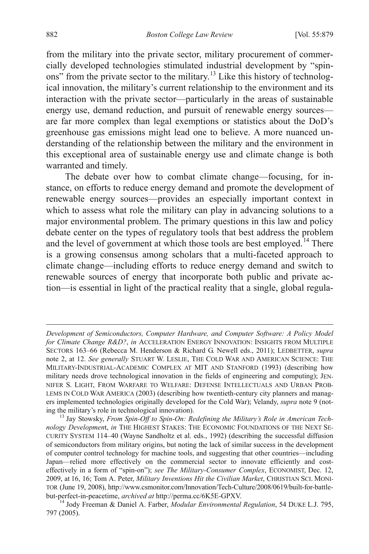from the military into the private sector, military procurement of commercially developed technologies stimulated industrial development by "spin-ons" from the private sector to the military.<sup>[13](#page-3-4)</sup> Like this history of technological innovation, the military's current relationship to the environment and its interaction with the private sector—particularly in the areas of sustainable energy use, demand reduction, and pursuit of renewable energy sources are far more complex than legal exemptions or statistics about the DoD's greenhouse gas emissions might lead one to believe. A more nuanced understanding of the relationship between the military and the environment in this exceptional area of sustainable energy use and climate change is both warranted and timely.

<span id="page-4-1"></span>The debate over how to combat climate change—focusing, for instance, on efforts to reduce energy demand and promote the development of renewable energy sources—provides an especially important context in which to assess what role the military can play in advancing solutions to a major environmental problem. The primary questions in this law and policy debate center on the types of regulatory tools that best address the problem and the level of government at which those tools are best employed.<sup>[14](#page-4-0)</sup> There is a growing consensus among scholars that a multi-faceted approach to climate change—including efforts to reduce energy demand and switch to renewable sources of energy that incorporate both public and private action—is essential in light of the practical reality that a single, global regula-

 $\overline{a}$ 

*Development of Semiconductors, Computer Hardware, and Computer Software: A Policy Model for Climate Change R&D?*, *in* ACCELERATION ENERGY INNOVATION: INSIGHTS FROM MULTIPLE SECTORS 163–66 (Rebecca M. Henderson & Richard G. Newell eds., 2011); LEDBETTER, *supra* note 2, at 12. *See generally* STUART W. LESLIE, THE COLD WAR AND AMERICAN SCIENCE: THE MILITARY-INDUSTRIAL-ACADEMIC COMPLEX AT MIT AND STANFORD (1993) (describing how military needs drove technological innovation in the fields of engineering and computing); JEN-NIFER S. LIGHT, FROM WARFARE TO WELFARE: DEFENSE INTELLECTUALS AND URBAN PROB-LEMS IN COLD WAR AMERICA (2003) (describing how twentieth-century city planners and managers implemented technologies originally developed for the Cold War); Velandy, *supra* note 9 (noting the military's role in technological innovation). <sup>13</sup> Jay Stowsky, *From Spin-Off to Spin-On: Redefining the Military's Role in American Tech-*

*nology Developmen*t, *in* THE HIGHEST STAKES: THE ECONOMIC FOUNDATIONS OF THE NEXT SE-CURITY SYSTEM 114–40 (Wayne Sandholtz et al. eds., 1992) (describing the successful diffusion of semiconductors from military origins, but noting the lack of similar success in the development of computer control technology for machine tools, and suggesting that other countries—including Japan—relied more effectively on the commercial sector to innovate efficiently and costeffectively in a form of "spin-on"); *see The Military-Consumer Complex*, ECONOMIST, Dec. 12, 2009, at 16, 16; Tom A. Peter, *Military Inventions Hit the Civilian Market*, CHRISTIAN SCI. MONI-TOR (June 19, 2008), http://www.csmonitor.com/Innovation/Tech-Culture/2008/0619/built-for-battle-

<span id="page-4-0"></span>but-perfect-in-peacetime, *archived at* http://perma.cc/6K5E-GPXV. <sup>14</sup> Jody Freeman & Daniel A. Farber, *Modular Environmental Regulation*, 54 DUKE L.J. 795, 797 (2005).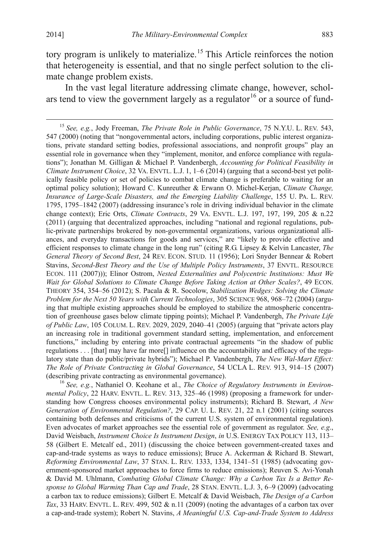tory program is unlikely to materialize.<sup>[15](#page-4-1)</sup> This Article reinforces the notion that heterogeneity is essential, and that no single perfect solution to the climate change problem exists.

In the vast legal literature addressing climate change, however, scholars tend to view the government largely as a regulator  $16$  or a source of fund-

<span id="page-5-1"></span><span id="page-5-0"></span>*mental Policy*, 22 HARV. ENVTL. L. REV. 313, 325–46 (1998) (proposing a framework for understanding how Congress chooses environmental policy instruments); Richard B. Stewart, *A New Generation of Environmental Regulation?*, 29 CAP. U. L. REV. 21, 22 n.1 (2001) (citing sources containing both defenses and criticisms of the current U.S. system of environmental regulation). Even advocates of market approaches see the essential role of government as regulator. *See, e.g*., David Weisbach, *Instrument Choice Is Instrument Design*, *in* U.S. ENERGY TAX POLICY 113, 113– 58 (Gilbert E. Metcalf ed., 2011) (discussing the choice between government-created taxes and cap-and-trade systems as ways to reduce emissions); Bruce A. Ackerman & Richard B. Stewart, *Reforming Environmental Law*, 37 STAN. L. REV. 1333, 1334, 1341–51 (1985) (advocating government-sponsored market approaches to force firms to reduce emissions); Reuven S. Avi-Yonah & David M. Uhlmann, *Combating Global Climate Change: Why a Carbon Tax Is a Better Response to Global Warming Than Cap and Trade*, 28 STAN. ENVTL. L.J. 3, 6–9 (2009) (advocating a carbon tax to reduce emissions); Gilbert E. Metcalf & David Weisbach, *The Design of a Carbon Tax*, 33 HARV. ENVTL. L. REV. 499, 502 & n.11 (2009) (noting the advantages of a carbon tax over a cap-and-trade system); Robert N. Stavins, *A Meaningful U.S. Cap-and-Trade System to Address* 

 <sup>15</sup> *See, e.g.*, Jody Freeman, *The Private Role in Public Governance*, 75 N.Y.U. L. REV. 543, 547 (2000) (noting that "nongovernmental actors, including corporations, public interest organizations, private standard setting bodies, professional associations, and nonprofit groups" play an essential role in governance when they "implement, monitor, and enforce compliance with regulations"); Jonathan M. Gilligan & Michael P. Vandenbergh, *Accounting for Political Feasibility in Climate Instrument Choice*, 32 VA. ENVTL. L.J. 1, 1–6 (2014) (arguing that a second-best yet politically feasible policy or set of policies to combat climate change is preferable to waiting for an optimal policy solution); Howard C. Kunreuther & Erwann O. Michel-Kerjan, *Climate Change, Insurance of Large-Scale Disasters, and the Emerging Liability Challenge*, 155 U. PA. L. REV. 1795, 1795–1842 (2007) (addressing insurance's role in driving individual behavior in the climate change context); Eric Orts, *Climate Contracts*, 29 VA. ENVTL. L.J. 197, 197, 199, 205 & n.22 (2011) (arguing that decentralized approaches, including "national and regional regulations, public-private partnerships brokered by non-governmental organizations, various organizational alliances, and everyday transactions for goods and services," are "likely to provide effective and efficient responses to climate change in the long run" (citing R.G. Lipsey & Kelvin Lancaster, *The General Theory of Second Best*, 24 REV. ECON. STUD. 11 (1956); Lori Snyder Bennear & Robert Stavins, *Second-Best Theory and the Use of Multiple Policy Instruments*, 37 ENVTL. RESOURCE ECON. 111 (2007))); Elinor Ostrom, *Nested Externalities and Polycentric Institutions: Must We Wait for Global Solutions to Climate Change Before Taking Action at Other Scales?*, 49 ECON. THEORY 354, 354–56 (2012); S. Pacala & R. Socolow, *Stabilization Wedges: Solving the Climate Problem for the Next 50 Years with Current Technologies*, 305 SCIENCE 968, 968–72 (2004) (arguing that multiple existing approaches should be employed to stabilize the atmospheric concentration of greenhouse gases below climate tipping points); Michael P. Vandenbergh, *The Private Life of Public Law*, 105 COLUM. L. REV. 2029, 2029, 2040–41 (2005) (arguing that "private actors play an increasing role in traditional government standard setting, implementation, and enforcement functions," including by entering into private contractual agreements "in the shadow of public regulations . . . [that] may have far more[] influence on the accountability and efficacy of the regulatory state than do public/private hybrids"); Michael P. Vandenbergh, *The New Wal-Mart Effect: The Role of Private Contracting in Global Governance*, 54 UCLA L. REV. 913, 914–15 (2007) (describing private contracting as environmental governance). <sup>16</sup> *See, e.g.*, Nathaniel O. Keohane et al., *The Choice of Regulatory Instruments in Environ-*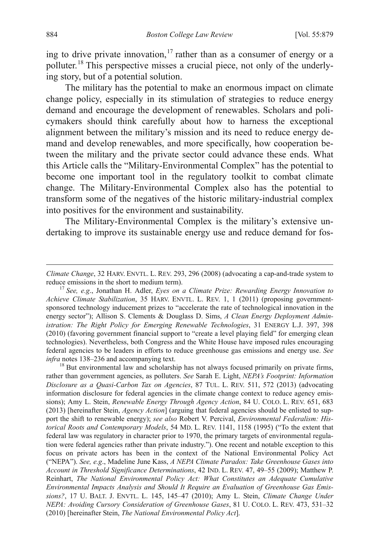ing to drive private innovation, [17](#page-5-1) rather than as a consumer of energy or a polluter.[18](#page-6-0) This perspective misses a crucial piece, not only of the underlying story, but of a potential solution.

The military has the potential to make an enormous impact on climate change policy, especially in its stimulation of strategies to reduce energy demand and encourage the development of renewables. Scholars and policymakers should think carefully about how to harness the exceptional alignment between the military's mission and its need to reduce energy demand and develop renewables, and more specifically, how cooperation between the military and the private sector could advance these ends. What this Article calls the "Military-Environmental Complex" has the potential to become one important tool in the regulatory toolkit to combat climate change. The Military-Environmental Complex also has the potential to transform some of the negatives of the historic military-industrial complex into positives for the environment and sustainability.

<span id="page-6-1"></span>The Military-Environmental Complex is the military's extensive undertaking to improve its sustainable energy use and reduce demand for fos-

 $\overline{a}$ 

*Climate Change*, 32 HARV. ENVTL. L. REV. 293, 296 (2008) (advocating a cap-and-trade system to reduce emissions in the short to medium term).

<sup>&</sup>lt;sup>17</sup> See, e.g., Jonathan H. Adler, *Eyes on a Climate Prize: Rewarding Energy Innovation to Achieve Climate Stabilization*, 35 HARV. ENVTL. L. REV. 1, 1 (2011) (proposing governmentsponsored technology inducement prizes to "accelerate the rate of technological innovation in the energy sector"); Allison S. Clements & Douglass D. Sims, *A Clean Energy Deployment Administration: The Right Policy for Emerging Renewable Technologies*, 31 ENERGY L.J. 397, 398 (2010) (favoring government financial support to "create a level playing field" for emerging clean technologies). Nevertheless, both Congress and the White House have imposed rules encouraging federal agencies to be leaders in efforts to reduce greenhouse gas emissions and energy use. *See infra* notes 138–236 and accompanying text.<br><sup>18</sup> But environmental law and scholarship has not always focused primarily on private firms,

<span id="page-6-0"></span>rather than government agencies, as polluters. *See* Sarah E. Light, *NEPA's Footprint: Information Disclosure as a Quasi-Carbon Tax on Agencies*, 87 TUL. L. REV. 511, 572 (2013) (advocating information disclosure for federal agencies in the climate change context to reduce agency emissions); Amy L. Stein, *Renewable Energy Through Agency Action*, 84 U. COLO. L. REV. 651, 683 (2013) [hereinafter Stein, *Agency Action*] (arguing that federal agencies should be enlisted to support the shift to renewable energy); *see also* Robert V. Percival, *Environmental Federalism: Historical Roots and Contemporary Models*, 54 MD. L. REV. 1141, 1158 (1995) ("To the extent that federal law was regulatory in character prior to 1970, the primary targets of environmental regulation were federal agencies rather than private industry."). One recent and notable exception to this focus on private actors has been in the context of the National Environmental Policy Act ("NEPA"). *See, e.g*., Madeline June Kass, *A NEPA Climate Paradox: Take Greenhouse Gases into Account in Threshold Significance Determinations*, 42 IND. L. REV. 47, 49–55 (2009); Matthew P. Reinhart, *The National Environmental Policy Act: What Constitutes an Adequate Cumulative Environmental Impacts Analysis and Should It Require an Evaluation of Greenhouse Gas Emissions?*, 17 U. BALT. J. ENVTL. L. 145, 145–47 (2010); Amy L. Stein, *Climate Change Under NEPA: Avoiding Cursory Consideration of Greenhouse Gases*, 81 U. COLO. L. REV. 473, 531–32 (2010) [hereinafter Stein, *The National Environmental Policy Act*].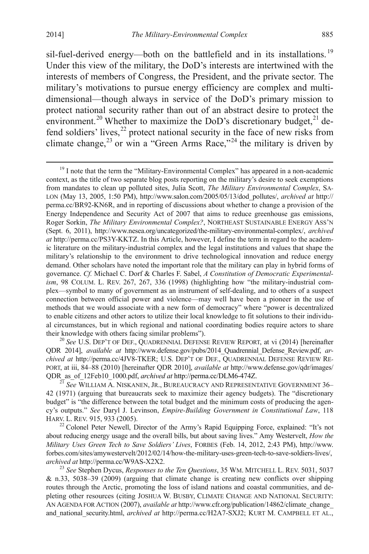sil-fuel-derived energy—both on the battlefield and in its installations.<sup>[19](#page-6-1)</sup> Under this view of the military, the DoD's interests are intertwined with the interests of members of Congress, the President, and the private sector. The military's motivations to pursue energy efficiency are complex and multidimensional—though always in service of the DoD's primary mission to protect national security rather than out of an abstract desire to protect the environment.<sup>[20](#page-7-0)</sup> Whether to maximize the DoD's discretionary budget, $^{21}$  $^{21}$  $^{21}$  defend soldiers' lives,  $22$  protect national security in the face of new risks from climate change,  $^{23}$  $^{23}$  $^{23}$  or win a "Green Arms Race,"<sup>[24](#page-7-4)</sup> the military is driven by

<span id="page-7-4"></span><span id="page-7-0"></span><sup>20</sup> See U.S. DEP'T OF DEF., QUADRENNIAL DEFENSE REVIEW REPORT, at vi (2014) [hereinafter QDR 2014], *available at* http://www.defense.gov/pubs/2014\_Quadrennial\_Defense\_Review.pdf, *archived at* http://perma.cc/4JV8-TKER; U.S. DEP'T OF DEF., QUADRENNIAL DEFENSE REVIEW RE-PORT, at iii, 84–88 (2010) [hereinafter QDR 2010], *available at* http://www.defense.gov/qdr/images/ QDR\_as\_of\_12Feb10\_1000.pdf, *archived at* http://perma.cc/DLM6-474Z. <sup>21</sup> *See* WILLIAM A. NISKANEN, JR., BUREAUCRACY AND REPRESENTATIVE GOVERNMENT 36–

<span id="page-7-5"></span><span id="page-7-1"></span>42 (1971) (arguing that bureaucrats seek to maximize their agency budgets). The "discretionary budget" is "the difference between the total budget and the minimum costs of producing the agency's outputs." *See* Daryl J. Levinson, *Empire-Building Government in Constitutional Law*, 118 HARV. L. REV. 915, 933 (2005).<br><sup>22</sup> Colonel Peter Newell, Director of the Army's Rapid Equipping Force, explained: "It's not

<span id="page-7-2"></span>about reducing energy usage and the overall bills, but about saving lives." Amy Westervelt, *How the Military Uses Green Tech to Save Soldiers' Lives*, FORBES (Feb. 14, 2012, 2:43 PM), http://www. forbes.com/sites/amywestervelt/2012/02/14/how-the-military-uses-green-tech-to-save-soldiers-lives/, archived at http://perma.cc/W9AS-X2X2.

<span id="page-7-3"></span><sup>23</sup> See Stephen Dycus, *Responses to the Ten Questions*, 35 WM. MITCHELL L. REV. 5031, 5037 & n.33, 5038–39 (2009) (arguing that climate change is creating new conflicts over shipping routes through the Arctic, promoting the loss of island nations and coastal communities, and depleting other resources (citing JOSHUA W. BUSBY, CLIMATE CHANGE AND NATIONAL SECURITY: AN AGENDA FOR ACTION (2007), *available at* http://www.cfr.org/publication/14862/climate\_change\_ and\_national\_security.html, *archived at* http://perma.cc/H2A7-SXJ2; KURT M. CAMPBELL ET AL.,

<sup>&</sup>lt;sup>19</sup> I note that the term the "Military-Environmental Complex" has appeared in a non-academic context, as the title of two separate blog posts reporting on the military's desire to seek exemptions from mandates to clean up polluted sites, Julia Scott, *The Military Environmental Complex*, SA-LON (May 13, 2005, 1:50 PM), http://www.salon.com/2005/05/13/dod\_pollutes/, *archived at* http:// perma.cc/BR92-KN6R, and in reporting of discussions about whether to change a provision of the Energy Independence and Security Act of 2007 that aims to reduce greenhouse gas emissions, Roger Sorkin, *The Military Environmental Complex?*, NORTHEAST SUSTAINABLE ENERGY ASS'N (Sept. 6, 2011), http://www.nesea.org/uncategorized/the-military-environmental-complex/, *archived at* http://perma.cc/PS3Y-KKTZ. In this Article, however, I define the term in regard to the academic literature on the military-industrial complex and the legal institutions and values that shape the military's relationship to the environment to drive technological innovation and reduce energy demand. Other scholars have noted the important role that the military can play in hybrid forms of governance. *Cf.* Michael C. Dorf & Charles F. Sabel, *A Constitution of Democratic Experimentalism*, 98 COLUM. L. REV. 267, 267, 336 (1998) (highlighting how "the military-industrial complex—symbol to many of government as an instrument of self-dealing, and to others of a suspect connection between official power and violence—may well have been a pioneer in the use of methods that we would associate with a new form of democracy" where "power is decentralized to enable citizens and other actors to utilize their local knowledge to fit solutions to their individual circumstances, but in which regional and national coordinating bodies require actors to share their knowledge with others facing similar problems").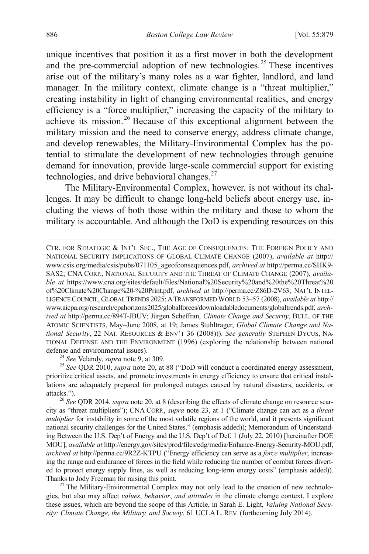unique incentives that position it as a first mover in both the development and the pre-commercial adoption of new technologies.<sup>[25](#page-7-5)</sup> These incentives arise out of the military's many roles as a war fighter, landlord, and land manager. In the military context, climate change is a "threat multiplier," creating instability in light of changing environmental realities, and energy efficiency is a "force multiplier," increasing the capacity of the military to achieve its mission.[26](#page-8-0) Because of this exceptional alignment between the military mission and the need to conserve energy, address climate change, and develop renewables, the Military-Environmental Complex has the potential to stimulate the development of new technologies through genuine demand for innovation, provide large-scale commercial support for existing technologies, and drive behavioral changes. $27$ 

The Military-Environmental Complex, however, is not without its challenges. It may be difficult to change long-held beliefs about energy use, including the views of both those within the military and those to whom the military is accountable. And although the DoD is expending resources on this

<span id="page-8-2"></span> CTR. FOR STRATEGIC & INT'L SEC., THE AGE OF CONSEQUENCES: THE FOREIGN POLICY AND NATIONAL SECURITY IMPLICATIONS OF GLOBAL CLIMATE CHANGE (2007), *available at* http:// www.csis.org/media/csis/pubs/071105\_ageofconsequences.pdf, *archived at* http://perma.cc/SHK9- SAS2; CNA CORP., NATIONAL SECURITY AND THE THREAT OF CLIMATE CHANGE (2007), *available at* https://www.cna.org/sites/default/files/National%20Security%20and%20the%20Threat%20 of%20Climate%20Change%20-%20Print.pdf, *archived at* http://perma.cc/Z86D-2V63; NAT'L INTEL-LIGENCE COUNCIL, GLOBAL TRENDS 2025:ATRANSFORMED WORLD 53–57 (2008), *available at* http:// www.aicpa.org/research/cpahorizons2025/globalforces/downloadabledocuments/globaltrends.pdf, *archived at* http://perma.cc/894T-JBUV; Jürgen Scheffran, *Climate Change and Security*, BULL. OF THE ATOMIC SCIENTISTS, May–June 2008, at 19; James Stuhltrager, *Global Climate Change and National Security*, 22 NAT. RESOURCES & ENV'T 36 (2008))). *See generally* STEPHEN DYCUS, NA-TIONAL DEFENSE AND THE ENVIRONMENT (1996) (exploring the relationship between national defense and environmental issues). <sup>24</sup> *See* Velandy, *supra* note 9, at 309. <sup>25</sup> *See* QDR 2010, *supra* note 20, at 88 ("DoD will conduct a coordinated energy assessment,

prioritize critical assets, and promote investments in energy efficiency to ensure that critical installations are adequately prepared for prolonged outages caused by natural disasters, accidents, or attacks."). <sup>26</sup> *See* QDR 2014, *supra* note 20, at 8 (describing the effects of climate change on resource scar-

<span id="page-8-0"></span>city as "threat multipliers"); CNA CORP., *supra* note 23, at 1 ("Climate change can act as a *threat multiplier* for instability in some of the most volatile regions of the world, and it presents significant national security challenges for the United States." (emphasis added)); Memorandum of Understanding Between the U.S. Dep't of Energy and the U.S. Dep't of Def. 1 (July 22, 2010) [hereinafter DOE MOU], *available at* http://energy.gov/sites/prod/files/edg/media/Enhance-Energy-Security-MOU.pdf, *archived at* http://perma.cc/9R2Z-KTPU ("Energy efficiency can serve as a *force multiplier*, increasing the range and endurance of forces in the field while reducing the number of combat forces diverted to protect energy supply lines, as well as reducing long-term energy costs" (emphasis added)). Thanks to Jody Freeman for raising this point.<br><sup>27</sup> The Military-Environmental Complex may not only lead to the creation of new technolo-

<span id="page-8-1"></span>gies, but also may affect *values*, *behavior*, *and attitudes* in the climate change context. I explore these issues, which are beyond the scope of this Article, in Sarah E. Light, *Valuing National Security: Climate Change, the Military, and Society*, 61 UCLA L. REV. (forthcoming July 2014).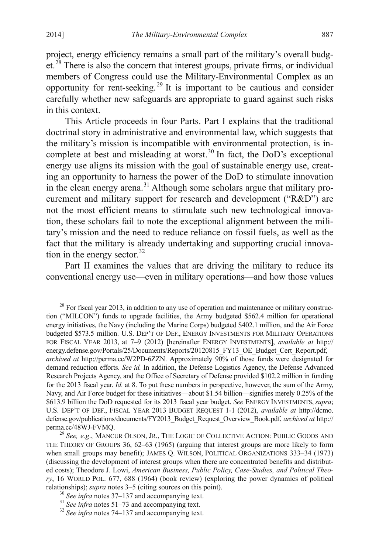project, energy efficiency remains a small part of the military's overall budg-et.<sup>[28](#page-8-2)</sup> There is also the concern that interest groups, private firms, or individual members of Congress could use the Military-Environmental Complex as an opportunity for rent-seeking. [29](#page-9-0) It is important to be cautious and consider carefully whether new safeguards are appropriate to guard against such risks in this context.

This Article proceeds in four Parts. Part I explains that the traditional doctrinal story in administrative and environmental law, which suggests that the military's mission is incompatible with environmental protection, is in-complete at best and misleading at worst.<sup>[30](#page-9-1)</sup> In fact, the DoD's exceptional energy use aligns its mission with the goal of sustainable energy use, creating an opportunity to harness the power of the DoD to stimulate innovation in the clean energy arena.<sup>[31](#page-9-2)</sup> Although some scholars argue that military procurement and military support for research and development ("R&D") are not the most efficient means to stimulate such new technological innovation, these scholars fail to note the exceptional alignment between the military's mission and the need to reduce reliance on fossil fuels, as well as the fact that the military is already undertaking and supporting crucial innovation in the energy sector. [32](#page-9-3)

Part II examines the values that are driving the military to reduce its conventional energy use—even in military operations—and how those values

 $28$  For fiscal year 2013, in addition to any use of operation and maintenance or military construction ("MILCON") funds to upgrade facilities, the Army budgeted \$562.4 million for operational energy initiatives, the Navy (including the Marine Corps) budgeted \$402.1 million, and the Air Force budgeted \$573.5 million. U.S. DEP'T OF DEF., ENERGY INVESTMENTS FOR MILITARY OPERATIONS FOR FISCAL YEAR 2013, at 7–9 (2012) [hereinafter ENERGY INVESTMENTS], *available at* http:// energy.defense.gov/Portals/25/Documents/Reports/20120815\_FY13\_OE\_Budget\_Cert\_Report.pdf, *archived at* http://perma.cc/W2PD-6ZZN. Approximately 90% of those funds were designated for demand reduction efforts. *See id.* In addition, the Defense Logistics Agency, the Defense Advanced Research Projects Agency, and the Office of Secretary of Defense provided \$102.2 million in funding for the 2013 fiscal year. *Id.* at 8. To put these numbers in perspective, however, the sum of the Army, Navy, and Air Force budget for these initiatives—about \$1.54 billion—signifies merely 0.25% of the \$613.9 billion the DoD requested for its 2013 fiscal year budget. *See* ENERGY INVESTMENTS, *supra*; U.S. DEP'T OF DEF., FISCAL YEAR 2013 BUDGET REQUEST 1-1 (2012), *available at* http://dcmo. defense.gov/publications/documents/FY2013\_Budget\_Request\_Overview\_Book.pdf, *archived at* http://

<span id="page-9-4"></span><span id="page-9-0"></span><sup>&</sup>lt;sup>29</sup> See, e.g., MANCUR OLSON, JR., THE LOGIC OF COLLECTIVE ACTION: PUBLIC GOODS AND THE THEORY OF GROUPS 36, 62–63 (1965) (arguing that interest groups are more likely to form when small groups may benefit); JAMES Q. WILSON, POLITICAL ORGANIZATIONS 333–34 (1973) (discussing the development of interest groups when there are concentrated benefits and distributed costs); Theodore J. Lowi, *American Business, Public Policy, Case-Studies, and Political Theory*, 16 WORLD POL. 677, 688 (1964) (book review) (exploring the power dynamics of political relationships); *supra* notes 3–5 (citing sources on this point).<br><sup>30</sup> See infra notes 37–137 and accompanying text.<br><sup>31</sup> See infra notes 51–73 and accompanying text.<br><sup>32</sup> See infra notes 74–137 and accompanying text.

<span id="page-9-1"></span>

<span id="page-9-2"></span>

<span id="page-9-3"></span>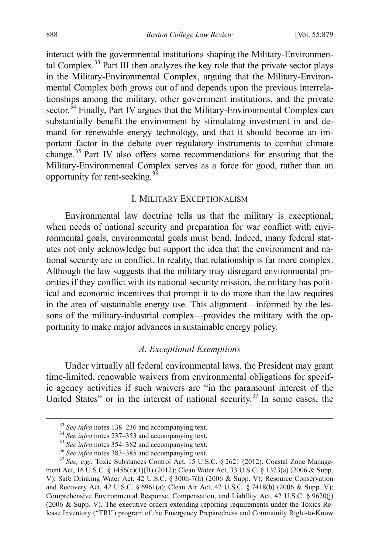interact with the governmental institutions shaping the Military-Environmen-tal Complex.<sup>[33](#page-9-4)</sup> Part III then analyzes the key role that the private sector plays in the Military-Environmental Complex, arguing that the Military-Environmental Complex both grows out of and depends upon the previous interrelationships among the military, other government institutions, and the private sector.<sup> $34$ </sup> Finally, Part IV argues that the Military-Environmental Complex can substantially benefit the environment by stimulating investment in and demand for renewable energy technology, and that it should become an important factor in the debate over regulatory instruments to combat climate change. [35](#page-10-1) Part IV also offers some recommendations for ensuring that the Military-Environmental Complex serves as a force for good, rather than an opportunity for rent-seeking.  $36$ 

## I. MILITARY EXCEPTIONALISM

Environmental law doctrine tells us that the military is exceptional; when needs of national security and preparation for war conflict with environmental goals, environmental goals must bend. Indeed, many federal statutes not only acknowledge but support the idea that the environment and national security are in conflict. In reality, that relationship is far more complex. Although the law suggests that the military may disregard environmental priorities if they conflict with its national security mission, the military has political and economic incentives that prompt it to do more than the law requires in the area of sustainable energy use. This alignment—informed by the lessons of the military-industrial complex—provides the military with the opportunity to make major advances in sustainable energy policy.

#### *A. Exceptional Exemptions*

<span id="page-10-4"></span>Under virtually all federal environmental laws, the President may grant time-limited, renewable waivers from environmental obligations for specific agency activities if such waivers are "in the paramount interest of the United States" or in the interest of national security.<sup>[37](#page-10-3)</sup> In some cases, the

<span id="page-10-3"></span><span id="page-10-2"></span><span id="page-10-1"></span><span id="page-10-0"></span><sup>&</sup>lt;sup>33</sup> See infra notes 138–236 and accompanying text.<br><sup>34</sup> See infra notes 237–353 and accompanying text.<br><sup>35</sup> See infra notes 354–382 and accompanying text.<br><sup>36</sup> See infra notes 383–385 and accompanying text.<br><sup>37</sup> See, e.g ment Act, 16 U.S.C. § 1456(c)(1)(B) (2012); Clean Water Act, 33 U.S.C. § 1323(a) (2006 & Supp. V); Safe Drinking Water Act, 42 U.S.C. § 300h-7(h) (2006 & Supp. V); Resource Conservation and Recovery Act, 42 U.S.C. § 6961(a); Clean Air Act, 42 U.S.C. § 7418(b) (2006 & Supp. V); Comprehensive Environmental Response, Compensation, and Liability Act, 42 U.S.C. § 9620(j) (2006 & Supp. V). The executive orders extending reporting requirements under the Toxics Release Inventory ("TRI") program of the Emergency Preparedness and Community Right-to-Know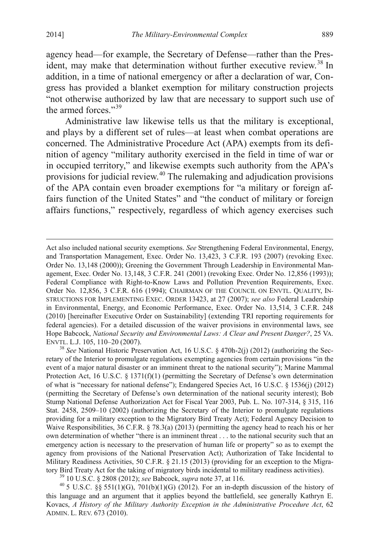agency head—for example, the Secretary of Defense—rather than the Pres-ident, may make that determination without further executive review.<sup>[38](#page-10-4)</sup> In addition, in a time of national emergency or after a declaration of war, Congress has provided a blanket exemption for military construction projects "not otherwise authorized by law that are necessary to support such use of the armed forces."<sup>[39](#page-11-0)</sup>

Administrative law likewise tells us that the military is exceptional, and plays by a different set of rules—at least when combat operations are concerned. The Administrative Procedure Act (APA) exempts from its definition of agency "military authority exercised in the field in time of war or in occupied territory," and likewise exempts such authority from the APA's provisions for judicial review.[40](#page-11-1) The rulemaking and adjudication provisions of the APA contain even broader exemptions for "a military or foreign affairs function of the United States" and "the conduct of military or foreign affairs functions," respectively, regardless of which agency exercises such

retary of the Interior to promulgate regulations exempting agencies from certain provisions "in the event of a major natural disaster or an imminent threat to the national security"); Marine Mammal Protection Act, 16 U.S.C. § 1371(f)(1) (permitting the Secretary of Defense's own determination of what is "necessary for national defense"); Endangered Species Act, 16 U.S.C. § 1536(j) (2012) (permitting the Secretary of Defense's own determination of the national security interest); Bob Stump National Defense Authorization Act for Fiscal Year 2003, Pub. L. No. 107-314, § 315, 116 Stat. 2458, 2509–10 (2002) (authorizing the Secretary of the Interior to promulgate regulations providing for a military exception to the Migratory Bird Treaty Act); Federal Agency Decision to Waive Responsibilities, 36 C.F.R. § 78.3(a) (2013) (permitting the agency head to reach his or her own determination of whether "there is an imminent threat . . . to the national security such that an emergency action is necessary to the preservation of human life or property" so as to exempt the agency from provisions of the National Preservation Act); Authorization of Take Incidental to Military Readiness Activities, 50 C.F.R. § 21.15 (2013) (providing for an exception to the Migra-<br>tory Bird Treaty Act for the taking of migratory birds incidental to military readiness activities).

<span id="page-11-1"></span><span id="page-11-0"></span><sup>39</sup> 10 U.S.C. § 2808 (2012); *see* Babcock, *supra* note 37, at 116.<br><sup>40</sup> 5 U.S.C. §§ 551(1)(G), 701(b)(1)(G) (2012). For an in-depth discussion of the history of this language and an argument that it applies beyond the battlefield, see generally Kathryn E. Kovacs, *A History of the Military Authority Exception in the Administrative Procedure Act*, 62 ADMIN. L. REV. 673 (2010).

<span id="page-11-2"></span>Act also included national security exemptions. *See* Strengthening Federal Environmental, Energy, and Transportation Management, Exec. Order No. 13,423, 3 C.F.R. 193 (2007) (revoking Exec. Order No. 13,148 (2000)); Greening the Government Through Leadership in Environmental Management, Exec. Order No. 13,148, 3 C.F.R. 241 (2001) (revoking Exec. Order No. 12,856 (1993)); Federal Compliance with Right-to-Know Laws and Pollution Prevention Requirements, Exec. Order No. 12,856, 3 C.F.R. 616 (1994); CHAIRMAN OF THE COUNCIL ON ENVTL. QUALITY, IN-STRUCTIONS FOR IMPLEMENTING EXEC. ORDER 13423, at 27 (2007); *see also* Federal Leadership in Environmental, Energy, and Economic Performance, Exec. Order No. 13,514, 3 C.F.R. 248 (2010) [hereinafter Executive Order on Sustainability] (extending TRI reporting requirements for federal agencies). For a detailed discussion of the waiver provisions in environmental laws, see Hope Babcock, *National Security and Environmental Laws: A Clear and Present Danger?*, 25 VA. ENVTL. L.J. 105, 110–20 (2007). <sup>38</sup> *See* National Historic Preservation Act, 16 U.S.C. § 470h-2(j) (2012) (authorizing the Sec-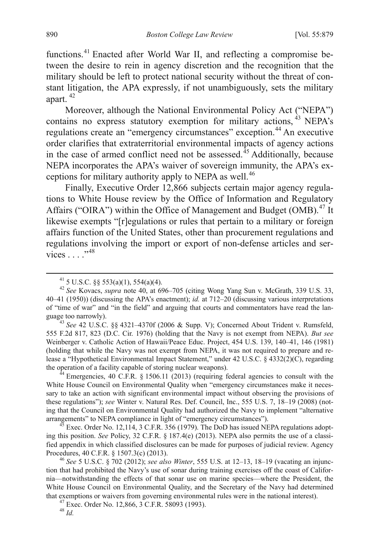functions.[41](#page-11-2) Enacted after World War II, and reflecting a compromise between the desire to rein in agency discretion and the recognition that the military should be left to protect national security without the threat of constant litigation, the APA expressly, if not unambiguously, sets the military apart. [42](#page-12-0)

Moreover, although the National Environmental Policy Act ("NEPA") contains no express statutory exemption for military actions, [43](#page-12-1) NEPA's regulations create an "emergency circumstances" exception.<sup>[44](#page-12-2)</sup> An executive order clarifies that extraterritorial environmental impacts of agency actions in the case of armed conflict need not be assessed.<sup> $45$ </sup> Additionally, because NEPA incorporates the APA's waiver of sovereign immunity, the APA's ex-ceptions for military authority apply to NEPA as well.<sup>[46](#page-12-4)</sup>

Finally, Executive Order 12,866 subjects certain major agency regulations to White House review by the Office of Information and Regulatory Affairs ("OIRA") within the Office of Management and Budget (OMB).<sup>[47](#page-12-5)</sup> It likewise exempts "[r]egulations or rules that pertain to a military or foreign affairs function of the United States, other than procurement regulations and regulations involving the import or export of non-defense articles and services . . . ."[48](#page-12-6)

<span id="page-12-7"></span><span id="page-12-1"></span> $^{43}$  *See* 42 U.S.C. §§ 4321–4370f (2006 & Supp. V); Concerned About Trident v. Rumsfeld, 555 F.2d 817, 823 (D.C. Cir. 1976) (holding that the Navy is not exempt from NEPA). *But see* Weinberger v. Catholic Action of Hawaii/Peace Educ. Project, 454 U.S. 139, 140–41, 146 (1981) (holding that while the Navy was not exempt from NEPA, it was not required to prepare and release a "Hypothetical Environmental Impact Statement," under 42 U.S.C. § 4332(2)(C), regarding the operation of a facility capable of storing nuclear weapons).<br><sup>44</sup> Emergencies, 40 C.F.R. § 1506.11 (2013) (requiring federal agencies to consult with the

<span id="page-12-2"></span>White House Council on Environmental Quality when "emergency circumstances make it necessary to take an action with significant environmental impact without observing the provisions of these regulations"); *see* Winter v. Natural Res. Def. Council, Inc., 555 U.S. 7, 18–19 (2008) (noting that the Council on Environmental Quality had authorized the Navy to implement "alternative arrangements" to NEPA compliance in light of "emergency circumstances").

<span id="page-12-3"></span> $45$  Exec. Order No. 12,114, 3 C.F.R. 356 (1979). The DoD has issued NEPA regulations adopting this position. *See* Policy, 32 C.F.R. § 187.4(e) (2013). NEPA also permits the use of a classified appendix in which classified disclosures can be made for purposes of judicial review. Agency Procedures, 40 C.F.R. § 1507.3(c) (2013). <sup>46</sup> *See* 5 U.S.C. § 702 (2012); *see also Winter*, 555 U.S. at 12–13, 18–19 (vacating an injunc-

<span id="page-12-4"></span>tion that had prohibited the Navy's use of sonar during training exercises off the coast of California—notwithstanding the effects of that sonar use on marine species—where the President, the White House Council on Environmental Quality, and the Secretary of the Navy had determined that exemptions or waivers from governing environmental rules were in the national interest). <sup>47</sup> Exec. Order No. 12,866, 3 C.F.R. 58093 (1993). <sup>48</sup> *Id.*

<span id="page-12-6"></span><span id="page-12-5"></span>

<span id="page-12-0"></span><sup>41</sup> 5 U.S.C. §§ 553(a)(1), 554(a)(4). <sup>42</sup> *See* Kovacs, *supra* note 40, at 696–705 (citing Wong Yang Sun v. McGrath, 339 U.S. 33, 40–41 (1950)) (discussing the APA's enactment); *id.* at 712–20 (discussing various interpretations of "time of war" and "in the field" and arguing that courts and commentators have read the language too narrowly).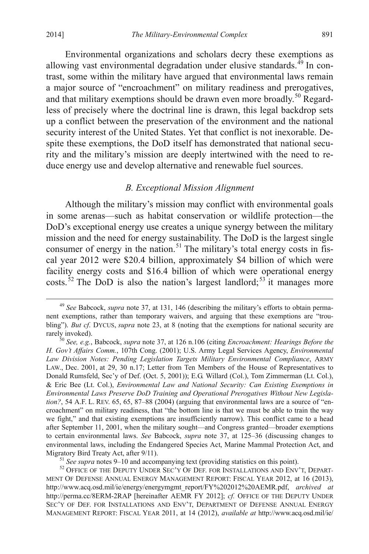Environmental organizations and scholars decry these exemptions as allowing vast environmental degradation under elusive standards. $^{49}$  $^{49}$  $^{49}$  In contrast, some within the military have argued that environmental laws remain a major source of "encroachment" on military readiness and prerogatives, and that military exemptions should be drawn even more broadly.<sup>[50](#page-13-0)</sup> Regardless of precisely where the doctrinal line is drawn, this legal backdrop sets up a conflict between the preservation of the environment and the national security interest of the United States. Yet that conflict is not inexorable. Despite these exemptions, the DoD itself has demonstrated that national security and the military's mission are deeply intertwined with the need to reduce energy use and develop alternative and renewable fuel sources.

#### *B. Exceptional Mission Alignment*

Although the military's mission may conflict with environmental goals in some arenas—such as habitat conservation or wildlife protection—the DoD's exceptional energy use creates a unique synergy between the military mission and the need for energy sustainability. The DoD is the largest single consumer of energy in the nation.<sup>[51](#page-13-1)</sup> The military's total energy costs in fiscal year 2012 were \$20.4 billion, approximately \$4 billion of which were facility energy costs and \$16.4 billion of which were operational energy costs.<sup>[52](#page-13-2)</sup> The DoD is also the nation's largest landlord;<sup>[53](#page-13-3)</sup> it manages more

 <sup>49</sup> *See* Babcock, *supra* note 37, at 131, 146 (describing the military's efforts to obtain permanent exemptions, rather than temporary waivers, and arguing that these exemptions are "troubling"). *But cf*. DYCUS, *supra* note 23, at 8 (noting that the exemptions for national security are rarely invoked).<br><sup>50</sup> *See, e.g.*, Babcock, *supra* note 37, at 126 n.106 (citing *Encroachment: Hearings Before the* 

<span id="page-13-4"></span><span id="page-13-3"></span><span id="page-13-0"></span>*H. Gov't Affairs Comm.*, 107th Cong. (2001); U.S. Army Legal Services Agency, *Environmental Law Division Notes: Pending Legislation Targets Military Environmental Compliance*, ARMY LAW., Dec. 2001, at 29, 30 n.17; Letter from Ten Members of the House of Representatives to Donald Rumsfeld, Sec'y of Def. (Oct. 5, 2001)); E.G. Willard (Col.), Tom Zimmerman (Lt. Col.), & Eric Bee (Lt. Col.), *Environmental Law and National Security: Can Existing Exemptions in Environmental Laws Preserve DoD Training and Operational Prerogatives Without New Legislation?*, 54 A.F. L. REV. 65, 65, 87–88 (2004) (arguing that environmental laws are a source of "encroachment" on military readiness, that "the bottom line is that we must be able to train the way we fight," and that existing exemptions are insufficiently narrow). This conflict came to a head after September 11, 2001, when the military sought—and Congress granted—broader exemptions to certain environmental laws. *See* Babcock, *supra* note 37, at 125–36 (discussing changes to environmental laws, including the Endangered Species Act, Marine Mammal Protection Act, and Migratory Bird Treaty Act, after 9/11).<br><sup>51</sup> *See supra* notes 9–10 and accompanying text (providing statistics on this point).<br><sup>52</sup> OFFICE OF THE DEPUTY UNDER SEC'Y OF DEF. FOR INSTALLATIONS AND ENV'T, DEPART-

<span id="page-13-2"></span><span id="page-13-1"></span>MENT OF DEFENSE ANNUAL ENERGY MANAGEMENT REPORT: FISCAL YEAR 2012, at 16 (2013), http://www.acq.osd.mil/ie/energy/energymgmt\_report/FY%202012%20AEMR.pdf, *archived at*  http://perma.cc/8ERM-2RAP [hereinafter AEMR FY 2012]; *cf.* OFFICE OF THE DEPUTY UNDER SEC'Y OF DEF. FOR INSTALLATIONS AND ENV'T, DEPARTMENT OF DEFENSE ANNUAL ENERGY MANAGEMENT REPORT: FISCAL YEAR 2011, at 14 (2012), *available at* http://www.acq.osd.mil/ie/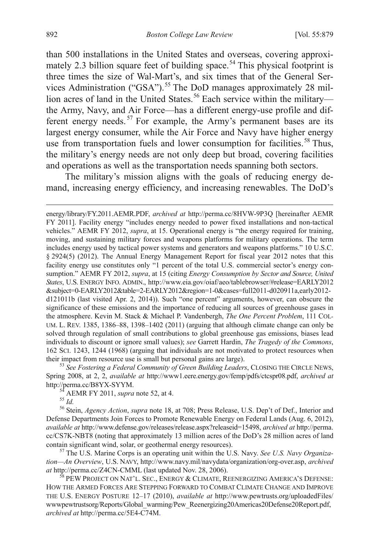than 500 installations in the United States and overseas, covering approxi-mately 2.3 billion square feet of building space.<sup>[54](#page-13-4)</sup> This physical footprint is three times the size of Wal-Mart's, and six times that of the General Ser-vices Administration ("GSA").<sup>[55](#page-14-0)</sup> The DoD manages approximately 28 mil-lion acres of land in the United States.<sup>[56](#page-14-1)</sup> Each service within the militarythe Army, Navy, and Air Force—has a different energy-use profile and dif-ferent energy needs.<sup>[57](#page-14-2)</sup> For example, the Army's permanent bases are its largest energy consumer, while the Air Force and Navy have higher energy use from transportation fuels and lower consumption for facilities.<sup>[58](#page-14-3)</sup> Thus, the military's energy needs are not only deep but broad, covering facilities and operations as well as the transportation needs spanning both sectors.

The military's mission aligns with the goals of reducing energy demand, increasing energy efficiency, and increasing renewables. The DoD's

<span id="page-14-4"></span>Spring 2008, at 2, 2, *available at* http://www1.eere.energy.gov/femp/pdfs/ctcspr08.pdf, *archived at* http://perma.cc/B8YX-SYYM.<br><sup>54</sup> AEMR FY 2011, *supra* note 52, at 4.<br><sup>55</sup> *Id.* <sup>56</sup> Stein, *Agency Action*, *supra* note 18, at 708; Press Release, U.S. Dep't of Def., Interior and

<span id="page-14-1"></span><span id="page-14-0"></span>Defense Departments Join Forces to Promote Renewable Energy on Federal Lands (Aug. 6, 2012), *available at* http://www.defense.gov/releases/release.aspx?releaseid=15498, *archived at* http://perma. cc/CS7K-NBT8 (noting that approximately 13 million acres of the DoD's 28 million acres of land contain significant wind, solar, or geothermal energy resources). <sup>57</sup> The U.S. Marine Corps is an operating unit within the U.S. Navy. *See U.S. Navy Organiza-*

<span id="page-14-2"></span>*tion—An Overview*, U.S. NAVY, http://www.navy.mil/navydata/organization/org-over.asp, *archived at* http://perma.cc/Z4CN-CMML (last updated Nov. 28, 2006).<br><sup>58</sup> PEW PROJECT ON NAT'L. SEC., ENERGY & CLIMATE, REENERGIZING AMERICA'S DEFENSE:

<span id="page-14-3"></span>HOW THE ARMED FORCES ARE STEPPING FORWARD TO COMBAT CLIMATE CHANGE AND IMPROVE THE U.S. ENERGY POSTURE 12–17 (2010), *available at* http://www.pewtrusts.org/uploadedFiles/ wwwpewtrustsorg/Reports/Global\_warming/Pew\_Reenergizing20Americas20Defense20Report.pdf, *archived at* http://perma.cc/5E4-C74M.

energy/library/FY.2011.AEMR.PDF, *archived at* http://perma.cc/8HVW-9P3Q [hereinafter AEMR FY 2011]. Facility energy "includes energy needed to power fixed installations and non-tactical vehicles." AEMR FY 2012, *supra*, at 15. Operational energy is "the energy required for training, moving, and sustaining military forces and weapons platforms for military operations. The term includes energy used by tactical power systems and generators and weapons platforms." 10 U.S.C. § 2924(5) (2012). The Annual Energy Management Report for fiscal year 2012 notes that this facility energy use constitutes only "1 percent of the total U.S. commercial sector's energy consumption." AEMR FY 2012, *supra*, at 15 (citing *Energy Consumption by Sector and Source, United States*, U.S. ENERGY INFO. ADMIN., http://www.eia.gov/oiaf/aeo/tablebrowser/#release=EARLY2012 &subject=0-EARLY2012&table=2-EARLY2012&region=1-0&cases=full2011-d020911a,early2012 d121011b (last visited Apr. 2, 2014)). Such "one percent" arguments, however, can obscure the significance of these emissions and the importance of reducing all sources of greenhouse gases in the atmosphere. Kevin M. Stack & Michael P. Vandenbergh, *The One Percent Problem*, 111 COL-UM. L. REV. 1385, 1386–88, 1398–1402 (2011) (arguing that although climate change can only be solved through regulation of small contributions to global greenhouse gas emissions, biases lead individuals to discount or ignore small values); *see* Garrett Hardin, *The Tragedy of the Commons*, 162 SCI. 1243, 1244 (1968) (arguing that individuals are not motivated to protect resources when their impact from resource use is small but personal gains are large). <sup>53</sup> *See Fostering a Federal Community of Green Building Leaders*, CLOSING THE CIRCLE NEWS,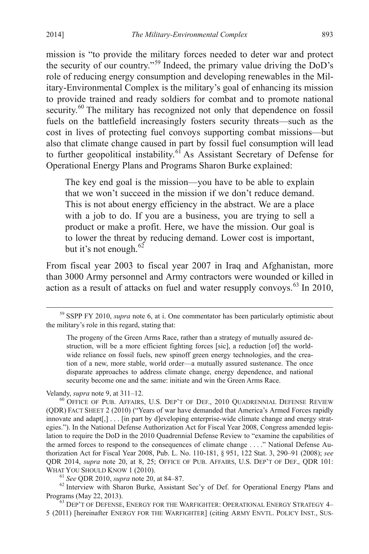mission is "to provide the military forces needed to deter war and protect the security of our country."<sup>[59](#page-14-4)</sup> Indeed, the primary value driving the DoD's role of reducing energy consumption and developing renewables in the Military-Environmental Complex is the military's goal of enhancing its mission to provide trained and ready soldiers for combat and to promote national security.<sup>[60](#page-15-0)</sup> The military has recognized not only that dependence on fossil fuels on the battlefield increasingly fosters security threats—such as the cost in lives of protecting fuel convoys supporting combat missions—but also that climate change caused in part by fossil fuel consumption will lead to further geopolitical instability.<sup>[61](#page-15-1)</sup> As Assistant Secretary of Defense for Operational Energy Plans and Programs Sharon Burke explained:

The key end goal is the mission—you have to be able to explain that we won't succeed in the mission if we don't reduce demand. This is not about energy efficiency in the abstract. We are a place with a job to do. If you are a business, you are trying to sell a product or make a profit. Here, we have the mission. Our goal is to lower the threat by reducing demand. Lower cost is important, but it's not enough. $62$ 

From fiscal year 2003 to fiscal year 2007 in Iraq and Afghanistan, more than 3000 Army personnel and Army contractors were wounded or killed in action as a result of attacks on fuel and water resupply convoys. [63](#page-15-3) In 2010,

<span id="page-15-3"></span><sup>63</sup> DEP'T OF DEFENSE, ENERGY FOR THE WARFIGHTER: OPERATIONAL ENERGY STRATEGY 4– 5 (2011) [hereinafter ENERGY FOR THE WARFIGHTER] (citing ARMY ENVTL. POLICY INST., SUS-

 <sup>59</sup> SSPP FY 2010, *supra* note 6, at i. One commentator has been particularly optimistic about the military's role in this regard, stating that:

The progeny of the Green Arms Race, rather than a strategy of mutually assured destruction, will be a more efficient fighting forces [sic], a reduction [of] the worldwide reliance on fossil fuels, new spinoff green energy technologies, and the creation of a new, more stable, world order—a mutually assured sustenance. The once disparate approaches to address climate change, energy dependence, and national security become one and the same: initiate and win the Green Arms Race.

<span id="page-15-4"></span><span id="page-15-0"></span>Velandy, *supra* note 9, at 311–12.<br><sup>60</sup> OFFICE OF PUB. AFFAIRS, U.S. DEP'T OF DEF., 2010 QUADRENNIAL DEFENSE REVIEW (QDR) FACT SHEET 2 (2010) ("Years of war have demanded that America's Armed Forces rapidly innovate and adapt[,] . . . [in part by d]eveloping enterprise-wide climate change and energy strategies."). In the National Defense Authorization Act for Fiscal Year 2008, Congress amended legislation to require the DoD in the 2010 Quadrennial Defense Review to "examine the capabilities of the armed forces to respond to the consequences of climate change . . . ." National Defense Authorization Act for Fiscal Year 2008, Pub. L. No. 110-181, § 951, 122 Stat. 3, 290–91 (2008); *see*  QDR 2014, *supra* note 20, at 8, 25; OFFICE OF PUB. AFFAIRS, U.S. DEP'T OF DEF., QDR 101:

<span id="page-15-2"></span><span id="page-15-1"></span><sup>&</sup>lt;sup>61</sup> See QDR 2010, *supra* note 20, at 84–87. <sup>62</sup> Interview with Sharon Burke, Assistant Sec'y of Def. for Operational Energy Plans and Programs (May 22, 2013).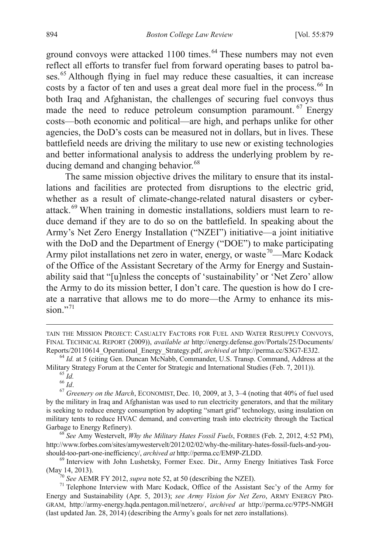ground convoys were attacked 1100 times.<sup>[64](#page-15-4)</sup> These numbers may not even reflect all efforts to transfer fuel from forward operating bases to patrol ba-ses.<sup>[65](#page-16-0)</sup> Although flying in fuel may reduce these casualties, it can increase costs by a factor of ten and uses a great deal more fuel in the process. [66](#page-16-1) In both Iraq and Afghanistan, the challenges of securing fuel convoys thus made the need to reduce petroleum consumption paramount. [67](#page-16-2) Energy costs—both economic and political—are high, and perhaps unlike for other agencies, the DoD's costs can be measured not in dollars, but in lives. These battlefield needs are driving the military to use new or existing technologies and better informational analysis to address the underlying problem by re-ducing demand and changing behavior.<sup>[68](#page-16-3)</sup>

The same mission objective drives the military to ensure that its installations and facilities are protected from disruptions to the electric grid, whether as a result of climate-change-related natural disasters or cyberattack.[69](#page-16-4) When training in domestic installations, soldiers must learn to reduce demand if they are to do so on the battlefield. In speaking about the Army's Net Zero Energy Installation ("NZEI") initiative—a joint initiative with the DoD and the Department of Energy ("DOE") to make participating Army pilot installations net zero in water, energy, or waste<sup>[70](#page-16-5)</sup>—Marc Kodack of the Office of the Assistant Secretary of the Army for Energy and Sustainability said that "[u]nless the concepts of 'sustainability' or 'Net Zero' allow the Army to do its mission better, I don't care. The question is how do I create a narrative that allows me to do more—the Army to enhance its mission $^{71}$  $^{71}$  $^{71}$ 

<span id="page-16-3"></span><sup>68</sup> See Amy Westervelt, *Why the Military Hates Fossil Fuels*, FORBES (Feb. 2, 2012, 4:52 PM), http://www.forbes.com/sites/amywestervelt/2012/02/02/why-the-military-hates-fossil-fuels-and-you-

<span id="page-16-4"></span>should-too-part-one-inefficiency/, *archived at* http://perma.cc/EM9P-ZLDD.<br><sup>69</sup> Interview with John Lushetsky, Former Exec. Dir., Army Energy Initiatives Task Force (May<sub>2</sub>14, 2013).

TAIN THE MISSION PROJECT: CASUALTY FACTORS FOR FUEL AND WATER RESUPPLY CONVOYS, FINAL TECHNICAL REPORT (2009)), *available at* http://energy.defense.gov/Portals/25/Documents/

<sup>&</sup>lt;sup>64</sup> *Id.* at 5 (citing Gen. Duncan McNabb, Commander, U.S. Transp. Command, Address at the Military Strategy Forum at the Center for Strategic and International Studies (Feb. 7, 2011)).

<span id="page-16-2"></span><span id="page-16-1"></span><span id="page-16-0"></span><sup>&</sup>lt;sup>65</sup> Id.<br><sup>66</sup> Id.<br><sup>67</sup> Greenery on the March, ECONOMIST, Dec. 10, 2009, at 3, 3–4 (noting that 40% of fuel used by the military in Iraq and Afghanistan was used to run electricity generators, and that the military is seeking to reduce energy consumption by adopting "smart grid" technology, using insulation on military tents to reduce HVAC demand, and converting trash into electricity through the Tactical Garbage to Energy Refinery).

<span id="page-16-6"></span><span id="page-16-5"></span><sup>&</sup>lt;sup>70</sup> *See* AEMR FY 2012, *supra* note 52, at 50 (describing the NZEI).<br><sup>71</sup> Telephone Interview with Marc Kodack, Office of the Assistant Sec'y of the Army for Energy and Sustainability (Apr. 5, 2013); *see Army Vision for Net Zero*, ARMY ENERGY PRO-GRAM, http://army-energy.hqda.pentagon.mil/netzero/, *archived at* http://perma.cc/97P5-NMGH (last updated Jan. 28, 2014) (describing the Army's goals for net zero installations).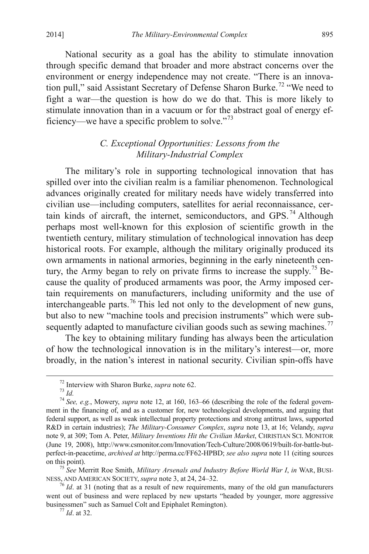National security as a goal has the ability to stimulate innovation through specific demand that broader and more abstract concerns over the environment or energy independence may not create. "There is an innova-tion pull," said Assistant Secretary of Defense Sharon Burke.<sup>[72](#page-16-1)</sup> "We need to fight a war—the question is how do we do that. This is more likely to stimulate innovation than in a vacuum or for the abstract goal of energy ef-ficiency—we have a specific problem to solve."<sup>[73](#page-17-0)</sup>

# *C. Exceptional Opportunities: Lessons from the Military-Industrial Complex*

The military's role in supporting technological innovation that has spilled over into the civilian realm is a familiar phenomenon. Technological advances originally created for military needs have widely transferred into civilian use—including computers, satellites for aerial reconnaissance, cer-tain kinds of aircraft, the internet, semiconductors, and GPS.<sup>[74](#page-17-1)</sup> Although perhaps most well-known for this explosion of scientific growth in the twentieth century, military stimulation of technological innovation has deep historical roots. For example, although the military originally produced its own armaments in national armories, beginning in the early nineteenth century, the Army began to rely on private firms to increase the supply.[75](#page-17-2) Because the quality of produced armaments was poor, the Army imposed certain requirements on manufacturers, including uniformity and the use of interchangeable parts.[76](#page-17-3) This led not only to the development of new guns, but also to new "machine tools and precision instruments" which were sub-sequently adapted to manufacture civilian goods such as sewing machines.<sup>[77](#page-17-4)</sup>

<span id="page-17-5"></span>The key to obtaining military funding has always been the articulation of how the technological innovation is in the military's interest—or, more broadly, in the nation's interest in national security. Civilian spin-offs have

<span id="page-17-1"></span><span id="page-17-0"></span><sup>&</sup>lt;sup>72</sup> Interview with Sharon Burke, *supra* note 62.<br><sup>73</sup> *Id. 74 See, e.g.*, Mowery, *supra* note 12, at 160, 163–66 (describing the role of the federal government in the financing of, and as a customer for, new technological developments, and arguing that federal support, as well as weak intellectual property protections and strong antitrust laws, supported R&D in certain industries); *The Military-Consumer Complex*, *supra* note 13, at 16; Velandy, *supra*  note 9, at 309; Tom A. Peter, *Military Inventions Hit the Civilian Market*, CHRISTIAN SCI. MONITOR (June 19, 2008), http://www.csmonitor.com/Innovation/Tech-Culture/2008/0619/built-for-battle-butperfect-in-peacetime, *archived at* http://perma.cc/FF62-HPBD; *see also supra* note 11 (citing sources

<span id="page-17-2"></span><sup>&</sup>lt;sup>75</sup> *See* Merritt Roe Smith, *Military Arsenals and Industry Before World War I, in* WAR, BUSINESS, AND AMERICAN SOCIETY, *supra* note 3, at 24, 24–32.

<span id="page-17-4"></span><span id="page-17-3"></span><sup>&</sup>lt;sup>76</sup> *Id.* at 31 (noting that as a result of new requirements, many of the old gun manufacturers went out of business and were replaced by new upstarts "headed by younger, more aggressive businessmen" such as Samuel Colt and Epiphalet Remington). <sup>77</sup> *Id*. at 32.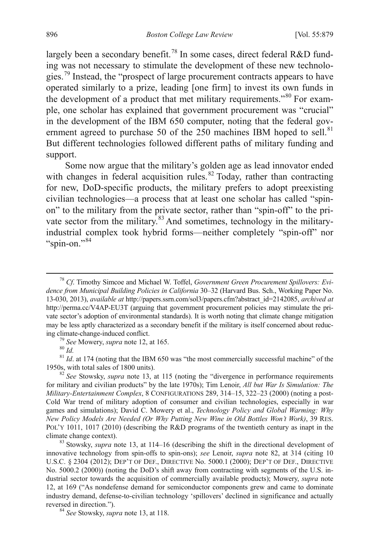largely been a secondary benefit.<sup>[78](#page-17-5)</sup> In some cases, direct federal R&D funding was not necessary to stimulate the development of these new technolo-gies.<sup>[79](#page-18-0)</sup> Instead, the "prospect of large procurement contracts appears to have operated similarly to a prize, leading [one firm] to invest its own funds in the development of a product that met military requirements."[80](#page-18-1) For example, one scholar has explained that government procurement was "crucial" in the development of the IBM 650 computer, noting that the federal gov-ernment agreed to purchase 50 of the 250 machines IBM hoped to sell.<sup>[81](#page-18-2)</sup> But different technologies followed different paths of military funding and support.

Some now argue that the military's golden age as lead innovator ended with changes in federal acquisition rules.<sup>[82](#page-18-3)</sup> Today, rather than contracting for new, DoD-specific products, the military prefers to adopt preexisting civilian technologies—a process that at least one scholar has called "spinon" to the military from the private sector, rather than "spin-off" to the pri-vate sector from the military.<sup>[83](#page-18-4)</sup> And sometimes, technology in the militaryindustrial complex took hybrid forms—neither completely "spin-off" nor "spin-on."[84](#page-18-5)

<span id="page-18-1"></span><span id="page-18-0"></span><sup>79</sup> *See* Mowery, *supra* note 12, at 165. <sup>80</sup> *Id.* 81 *Id.* at 174 (noting that the IBM 650 was "the most commercially successful machine" of the 1950s, with total sales of 1800 units).

<span id="page-18-3"></span><span id="page-18-2"></span><sup>82</sup> See Stowsky, *supra* note 13, at 115 (noting the "divergence in performance requirements for military and civilian products" by the late 1970s); Tim Lenoir, *All but War Is Simulation: The Military-Entertainment Complex*, 8 CONFIGURATIONS 289, 314–15, 322–23 (2000) (noting a post-Cold War trend of military adoption of consumer and civilian technologies, especially in war games and simulations); David C. Mowery et al., *Technology Policy and Global Warming: Why New Policy Models Are Needed (Or Why Putting New Wine in Old Bottles Won't Work)*, 39 RES. POL'Y 1011, 1017 (2010) (describing the R&D programs of the twentieth century as inapt in the climate change context).

<span id="page-18-4"></span><sup>83</sup> Stowsky, *supra* note 13, at 114–16 (describing the shift in the directional development of innovative technology from spin-offs to spin-ons); *see* Lenoir, *supra* note 82, at 314 (citing 10 U.S.C. § 2304 (2012); DEP'T OF DEF., DIRECTIVE No. 5000.1 (2000); DEP'T OF DEF., DIRECTIVE No. 5000.2 (2000)) (noting the DoD's shift away from contracting with segments of the U.S. industrial sector towards the acquisition of commercially available products); Mowery, *supra* note 12, at 169 ("As nondefense demand for semiconductor components grew and came to dominate industry demand, defense-to-civilian technology 'spillovers' declined in significance and actually reversed in direction."). <sup>84</sup> *See* Stowsky, *supra* note 13, at 118.

<span id="page-18-5"></span>

 <sup>78</sup> *Cf*. Timothy Simcoe and Michael W. Toffel, *Government Green Procurement Spillovers: Evidence from Municipal Building Policies in California* 30–32 (Harvard Bus. Sch., Working Paper No. 13-030, 2013), *available at* http://papers.ssrn.com/sol3/papers.cfm?abstract\_id=2142085, *archived at*  http://perma.cc/V4AP-EU3T (arguing that government procurement policies may stimulate the private sector's adoption of environmental standards). It is worth noting that climate change mitigation may be less aptly characterized as a secondary benefit if the military is itself concerned about reduc-<br>ing climate-change-induced conflict.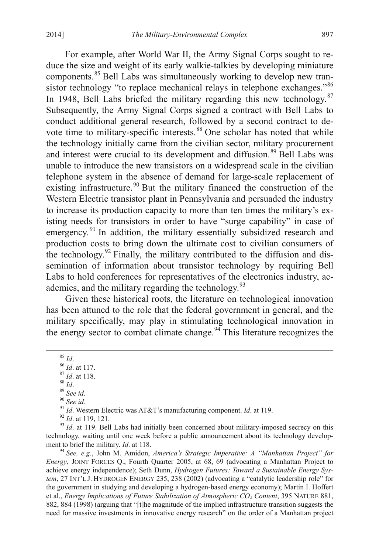For example, after World War II, the Army Signal Corps sought to reduce the size and weight of its early walkie-talkies by developing miniature components.<sup>[85](#page-18-2)</sup> Bell Labs was simultaneously working to develop new tran-sistor technology "to replace mechanical relays in telephone exchanges."[86](#page-19-0) In 1948, Bell Labs briefed the military regarding this new technology.<sup>[87](#page-19-1)</sup> Subsequently, the Army Signal Corps signed a contract with Bell Labs to conduct additional general research, followed by a second contract to de-vote time to military-specific interests.<sup>[88](#page-19-2)</sup> One scholar has noted that while the technology initially came from the civilian sector, military procurement and interest were crucial to its development and diffusion.<sup>[89](#page-19-3)</sup> Bell Labs was unable to introduce the new transistors on a widespread scale in the civilian telephone system in the absence of demand for large-scale replacement of existing infrastructure.<sup>[90](#page-19-4)</sup> But the military financed the construction of the Western Electric transistor plant in Pennsylvania and persuaded the industry to increase its production capacity to more than ten times the military's existing needs for transistors in order to have "surge capability" in case of emergency.<sup>[91](#page-19-5)</sup> In addition, the military essentially subsidized research and production costs to bring down the ultimate cost to civilian consumers of the technology. $92$  Finally, the military contributed to the diffusion and dissemination of information about transistor technology by requiring Bell Labs to hold conferences for representatives of the electronics industry, ac-ademics, and the military regarding the technology.<sup>[93](#page-19-7)</sup>

Given these historical roots, the literature on technological innovation has been attuned to the role that the federal government in general, and the military specifically, may play in stimulating technological innovation in the energy sector to combat climate change.<sup>[94](#page-19-8)</sup> This literature recognizes the

<span id="page-19-8"></span><span id="page-19-7"></span><span id="page-19-6"></span>*Energy*, JOINT FORCES Q., Fourth Quarter 2005, at 68, 69 (advocating a Manhattan Project to achieve energy independence); Seth Dunn, *Hydrogen Futures: Toward a Sustainable Energy System*, 27 INT'L J. HYDROGEN ENERGY 235, 238 (2002) (advocating a "catalytic leadership role" for the government in studying and developing a hydrogen-based energy economy); Martin I. Hoffert et al., *Energy Implications of Future Stabilization of Atmospheric CO2 Content*, 395 NATURE 881, 882, 884 (1998) (arguing that "[t]he magnitude of the implied infrastructure transition suggests the need for massive investments in innovative energy research" on the order of a Manhattan project

<span id="page-19-4"></span>

<span id="page-19-5"></span>

<span id="page-19-3"></span><span id="page-19-2"></span><span id="page-19-1"></span><span id="page-19-0"></span><sup>&</sup>lt;sup>85</sup> *Id.*<br>
<sup>86</sup> *Id.* at 117.<br>
<sup>87</sup> *Id.* at 118.<br>
<sup>88</sup> *Id.*<br>
<sup>89</sup> *See id.*<br>
<sup>99</sup> *See id.*<br>
<sup>91</sup> *Id.* Western Electric was AT&T's manufacturing component. *Id.* at 119.<br>
<sup>92</sup> *Id.* at 119, 121.<br>
<sup>93</sup> *Id.* at 119. Be technology, waiting until one week before a public announcement about its technology development to brief the military. *Id.* at 118.<br><sup>94</sup> *See, e.g.*, John M. Amidon, *America's Strategic Imperative: A "Manhattan Project" for*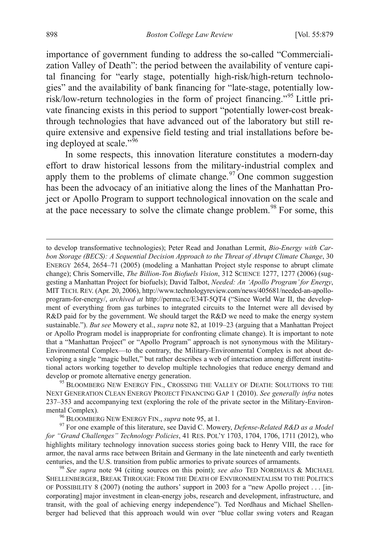importance of government funding to address the so-called "Commercialization Valley of Death": the period between the availability of venture capital financing for "early stage, potentially high-risk/high-return technologies" and the availability of bank financing for "late-stage, potentially lowrisk/low-return technologies in the form of project financing."[95](#page-19-2) Little private financing exists in this period to support "potentially lower-cost breakthrough technologies that have advanced out of the laboratory but still require extensive and expensive field testing and trial installations before being deployed at scale." $\frac{1}{96}$  $\frac{1}{96}$  $\frac{1}{96}$ 

In some respects, this innovation literature constitutes a modern-day effort to draw historical lessons from the military-industrial complex and apply them to the problems of climate change. $\frac{97}{2}$  $\frac{97}{2}$  $\frac{97}{2}$  One common suggestion has been the advocacy of an initiative along the lines of the Manhattan Project or Apollo Program to support technological innovation on the scale and at the pace necessary to solve the climate change problem.<sup>[98](#page-20-2)</sup> For some, this

 to develop transformative technologies); Peter Read and Jonathan Lermit, *Bio-Energy with Carbon Storage (BECS): A Sequential Decision Approach to the Threat of Abrupt Climate Change*, 30 ENERGY 2654, 2654–71 (2005) (modeling a Manhattan Project style response to abrupt climate change); Chris Somerville, *The Billion-Ton Biofuels Vision*, 312 SCIENCE 1277, 1277 (2006) (suggesting a Manhattan Project for biofuels); David Talbot, *Needed: An 'Apollo Program'for Energy*, MIT TECH. REV. (Apr. 20, 2006), http://www.technologyreview.com/news/405681/needed-an-apolloprogram-for-energy/, *archived at* http://perma.cc/E34T-5QT4 ("Since World War II, the development of everything from gas turbines to integrated circuits to the Internet were all devised by R&D paid for by the government. We should target the R&D we need to make the energy system sustainable."). *But see* Mowery et al., *supra* note 82, at 1019–23 (arguing that a Manhattan Project or Apollo Program model is inappropriate for confronting climate change). It is important to note that a "Manhattan Project" or "Apollo Program" approach is not synonymous with the Military-Environmental Complex—to the contrary, the Military-Environmental Complex is not about developing a single "magic bullet," but rather describes a web of interaction among different institutional actors working together to develop multiple technologies that reduce energy demand and develop or promote alternative energy generation.<br><sup>95</sup> BLOOMBERG NEW ENERGY FIN., CROSSING THE VALLEY OF DEATH: SOLUTIONS TO THE

<span id="page-20-3"></span>NEXT GENERATION CLEAN ENERGY PROJECT FINANCING GAP 1 (2010). *See generally infra* notes 237–353 and accompanying text (exploring the role of the private sector in the Military-Environmental Complex).<br><sup>96</sup> BLOOMBERG NEW ENERGY FIN., *supra* note 95, at 1.<br><sup>97</sup> For one example of this literature, see David C. Mowery, *Defense-Related R&D as a Model* 

<span id="page-20-1"></span><span id="page-20-0"></span>*for "Grand Challenges" Technology Policies*, 41 RES. POL'Y 1703, 1704, 1706, 1711 (2012), who highlights military technology innovation success stories going back to Henry VIII, the race for armor, the naval arms race between Britain and Germany in the late nineteenth and early twentieth centuries, and the U.S. transition from public armories to private sources of armaments. <sup>98</sup> *See supra* note 94 (citing sources on this point); *see also* TED NORDHAUS & MICHAEL

<span id="page-20-2"></span>SHELLENBERGER, BREAK THROUGH: FROM THE DEATH OF ENVIRONMENTALISM TO THE POLITICS OF POSSIBILITY 8 (2007) (noting the authors' support in 2003 for a "new Apollo project . . . [incorporating] major investment in clean-energy jobs, research and development, infrastructure, and transit, with the goal of achieving energy independence"). Ted Nordhaus and Michael Shellenberger had believed that this approach would win over "blue collar swing voters and Reagan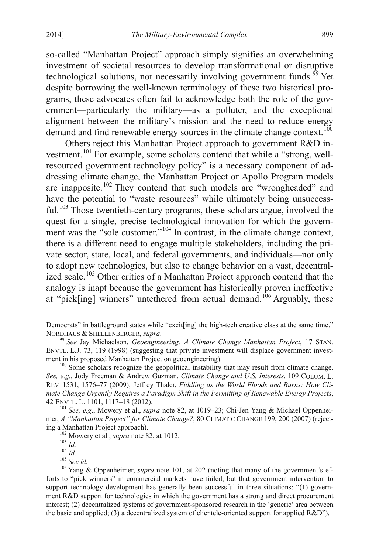so-called "Manhattan Project" approach simply signifies an overwhelming investment of societal resources to develop transformational or disruptive technological solutions, not necessarily involving government funds.<sup>[99](#page-20-3)</sup> Yet despite borrowing the well-known terminology of these two historical programs, these advocates often fail to acknowledge both the role of the government—particularly the military—as a polluter, and the exceptional alignment between the military's mission and the need to reduce energy demand and find renewable energy sources in the climate change context. [100](#page-21-0)

Others reject this Manhattan Project approach to government R&D in-vestment.<sup>[101](#page-21-1)</sup> For example, some scholars contend that while a "strong, wellresourced government technology policy" is a necessary component of addressing climate change, the Manhattan Project or Apollo Program models are inapposite.<sup>[102](#page-21-2)</sup> They contend that such models are "wrongheaded" and have the potential to "waste resources" while ultimately being unsuccess-ful.<sup>[103](#page-21-3)</sup> Those twentieth-century programs, these scholars argue, involved the quest for a single, precise technological innovation for which the govern-ment was the "sole customer."<sup>[104](#page-21-4)</sup> In contrast, in the climate change context, there is a different need to engage multiple stakeholders, including the private sector, state, local, and federal governments, and individuals—not only to adopt new technologies, but also to change behavior on a vast, decentralized scale.[105](#page-21-5) Other critics of a Manhattan Project approach contend that the analogy is inapt because the government has historically proven ineffective at "pick[ing] winners" untethered from actual demand.<sup>[106](#page-21-6)</sup> Arguably, these

Democrats" in battleground states while "excit[ing] the high-tech creative class at the same time."<br>NORDHAUS & SHELLENBERGER, *supra*.

<sup>&</sup>lt;sup>99</sup> See Jay Michaelson, *Geoengineering: A Climate Change Manhattan Project*, 17 STAN. ENVTL. L.J. 73, 119 (1998) (suggesting that private investment will displace government investment in his proposed Manhattan Project on geoengineering).<br><sup>100</sup> Some scholars recognize the geopolitical instability that may result from climate change.

<span id="page-21-7"></span><span id="page-21-0"></span>*See, e.g.*, Jody Freeman & Andrew Guzman, *Climate Change and U.S. Interests*, 109 COLUM. L. REV. 1531, 1576–77 (2009); Jeffrey Thaler, *Fiddling as the World Floods and Burns: How Climate Change Urgently Requires a Paradigm Shift in the Permitting of Renewable Energy Projects*,

<span id="page-21-1"></span><sup>&</sup>lt;sup>101</sup> See, e.g., Mowery et al., *supra* note 82, at 1019–23; Chi-Jen Yang & Michael Oppenheimer, *A "Manhattan Project" for Climate Change?*, 80 CLIMATIC CHANGE 199, 200 (2007) (reject-

<span id="page-21-6"></span><span id="page-21-5"></span><span id="page-21-4"></span><span id="page-21-3"></span><span id="page-21-2"></span><sup>&</sup>lt;sup>102</sup> Mowery et al., *supra* note 82, at 1012.<br><sup>103</sup> *Id.*<br><sup>104</sup> *Id.*<br><sup>105</sup> *See id.*<br><sup>106</sup> Yang & Oppenheimer, *supra* note 101, at 202 (noting that many of the government's efforts to "pick winners" in commercial markets have failed, but that government intervention to support technology development has generally been successful in three situations: "(1) government R&D support for technologies in which the government has a strong and direct procurement interest; (2) decentralized systems of government-sponsored research in the 'generic' area between the basic and applied; (3) a decentralized system of clientele-oriented support for applied R&D").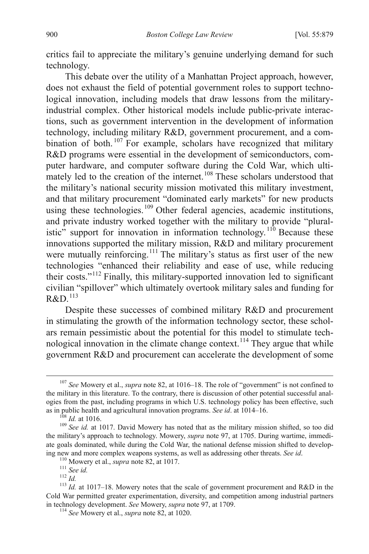critics fail to appreciate the military's genuine underlying demand for such technology.

This debate over the utility of a Manhattan Project approach, however, does not exhaust the field of potential government roles to support technological innovation, including models that draw lessons from the militaryindustrial complex. Other historical models include public-private interactions, such as government intervention in the development of information technology, including military R&D, government procurement, and a com-bination of both. <sup>[107](#page-21-7)</sup> For example, scholars have recognized that military R&D programs were essential in the development of semiconductors, computer hardware, and computer software during the Cold War, which ulti-mately led to the creation of the internet.<sup>[108](#page-22-0)</sup> These scholars understood that the military's national security mission motivated this military investment, and that military procurement "dominated early markets" for new products using these technologies.<sup>[109](#page-22-1)</sup> Other federal agencies, academic institutions, and private industry worked together with the military to provide "plural-istic" support for innovation in information technology.<sup>[110](#page-22-2)</sup> Because these innovations supported the military mission, R&D and military procurement were mutually reinforcing.<sup>[111](#page-22-3)</sup> The military's status as first user of the new technologies "enhanced their reliability and ease of use, while reducing their costs."[112](#page-22-4) Finally, this military-supported innovation led to significant civilian "spillover" which ultimately overtook military sales and funding for  $R&D$ <sup>[113](#page-22-5)</sup>

<span id="page-22-7"></span>Despite these successes of combined military R&D and procurement in stimulating the growth of the information technology sector, these scholars remain pessimistic about the potential for this model to stimulate tech-nological innovation in the climate change context.<sup>[114](#page-22-6)</sup> They argue that while government R&D and procurement can accelerate the development of some

 <sup>107</sup> *See* Mowery et al., *supra* note 82, at 1016–18. The role of "government" is not confined to the military in this literature. To the contrary, there is discussion of other potential successful analogies from the past, including programs in which U.S. technology policy has been effective, such

<span id="page-22-1"></span><span id="page-22-0"></span>as in public health and agricultural innovation programs. *See id.* at 1014–16. <sup>108</sup> *Id.* at 1016.<br><sup>109</sup> *See id.* at 1017. David Mowery has noted that as the military mission shifted, so too did the military's approach to technology. Mowery, *supra* note 97, at 1705. During wartime, immediate goals dominated, while during the Cold War, the national defense mission shifted to develop-

<span id="page-22-5"></span><span id="page-22-4"></span><span id="page-22-3"></span><span id="page-22-2"></span>ing new and more complex weapons systems, as well as addressing other threats. *See id.*<br><sup>110</sup> Mowery et al., *supra* note 82, at 1017.<br><sup>111</sup> *See id.*<br><sup>112</sup> *Id.*<br><sup>112</sup> *Id.*<br><sup>112</sup> *Id.*<br><sup>113</sup> *Id.* at 1017–18. Mowery no Cold War permitted greater experimentation, diversity, and competition among industrial partners in technology development. *See* Mowery, *supra* note 97, at 1709. <sup>114</sup> *See* Mowery et al., *supra* note 82, at 1020.

<span id="page-22-6"></span>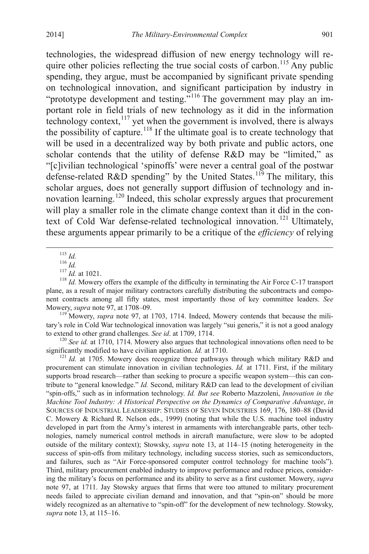technologies, the widespread diffusion of new energy technology will re-quire other policies reflecting the true social costs of carbon.<sup>[115](#page-22-7)</sup> Any public spending, they argue, must be accompanied by significant private spending on technological innovation, and significant participation by industry in "prototype development and testing."<sup>[116](#page-23-0)</sup> The government may play an important role in field trials of new technology as it did in the information technology context,<sup>[117](#page-23-1)</sup> yet when the government is involved, there is always the possibility of capture.<sup>[118](#page-23-2)</sup> If the ultimate goal is to create technology that will be used in a decentralized way by both private and public actors, one scholar contends that the utility of defense R&D may be "limited," as "[c]ivilian technological 'spinoffs' were never a central goal of the postwar defense-related R&D spending" by the United States.<sup>[119](#page-23-3)</sup> The military, this scholar argues, does not generally support diffusion of technology and in-novation learning.<sup>[120](#page-23-4)</sup> Indeed, this scholar expressly argues that procurement will play a smaller role in the climate change context than it did in the con-text of Cold War defense-related technological innovation.<sup>[121](#page-23-5)</sup> Ultimately, these arguments appear primarily to be a critique of the *efficiency* of relying

<span id="page-23-2"></span><span id="page-23-1"></span><span id="page-23-0"></span><sup>115</sup> *Id.*<br><sup>116</sup> *Id.* at 1021.<br><sup>117</sup> *Id.* at 1021.<br><sup>118</sup> *Id.* Mowery offers the example of the difficulty in terminating the Air Force C-17 transport plane, as a result of major military contractors carefully distributing the subcontracts and component contracts among all fifty states, most importantly those of key committee leaders. *See* Mowery, *supra* note 97, at 1708–09.<br><sup>119</sup> Mowery, *supra* note 97, at 1703, 1714. Indeed, Mowery contends that because the mili-

<span id="page-23-3"></span>tary's role in Cold War technological innovation was largely "sui generis," it is not a good analogy

<span id="page-23-4"></span>to extend to other grand challenges. *See id.* at 1709, 1714.<br><sup>120</sup> *See id.* at 1710, 1714. Mowery also argues that technological innovations often need to be significantly modified to have civilian application. *Id.* at

<span id="page-23-6"></span><span id="page-23-5"></span><sup>121</sup> Id. at 1705. Mowery does recognize three pathways through which military R&D and procurement can stimulate innovation in civilian technologies. *Id.* at 1711. First, if the military supports broad research—rather than seeking to procure a specific weapon system—this can contribute to "general knowledge." *Id.* Second, military R&D can lead to the development of civilian "spin-offs," such as in information technology. *Id. But see* Roberto Mazzoleni, *Innovation in the Machine Tool Industry: A Historical Perspective on the Dynamics of Comparative Advantage*, *in* SOURCES OF INDUSTRIAL LEADERSHIP: STUDIES OF SEVEN INDUSTRIES 169, 176, 180–88 (David C. Mowery & Richard R. Nelson eds., 1999) (noting that while the U.S. machine tool industry developed in part from the Army's interest in armaments with interchangeable parts, other technologies, namely numerical control methods in aircraft manufacture, were slow to be adopted outside of the military context); Stowsky, *supra* note 13, at 114–15 (noting heterogeneity in the success of spin-offs from military technology, including success stories, such as semiconductors, and failures, such as "Air Force-sponsored computer control technology for machine tools"). Third, military procurement enabled industry to improve performance and reduce prices, considering the military's focus on performance and its ability to serve as a first customer. Mowery, *supra* note 97, at 1711. Jay Stowsky argues that firms that were too attuned to military procurement needs failed to appreciate civilian demand and innovation, and that "spin-on" should be more widely recognized as an alternative to "spin-off" for the development of new technology. Stowsky, *supra* note 13, at 115–16.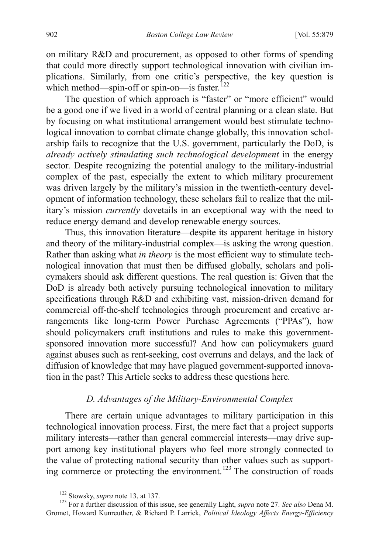on military R&D and procurement, as opposed to other forms of spending that could more directly support technological innovation with civilian implications. Similarly, from one critic's perspective, the key question is which method—spin-off or spin-on—is faster.<sup>[122](#page-23-6)</sup>

The question of which approach is "faster" or "more efficient" would be a good one if we lived in a world of central planning or a clean slate. But by focusing on what institutional arrangement would best stimulate technological innovation to combat climate change globally, this innovation scholarship fails to recognize that the U.S. government, particularly the DoD, is *already actively stimulating such technological development* in the energy sector. Despite recognizing the potential analogy to the military-industrial complex of the past, especially the extent to which military procurement was driven largely by the military's mission in the twentieth-century development of information technology, these scholars fail to realize that the military's mission *currently* dovetails in an exceptional way with the need to reduce energy demand and develop renewable energy sources.

Thus, this innovation literature—despite its apparent heritage in history and theory of the military-industrial complex—is asking the wrong question. Rather than asking what *in theory* is the most efficient way to stimulate technological innovation that must then be diffused globally, scholars and policymakers should ask different questions. The real question is: Given that the DoD is already both actively pursuing technological innovation to military specifications through R&D and exhibiting vast, mission-driven demand for commercial off-the-shelf technologies through procurement and creative arrangements like long-term Power Purchase Agreements ("PPAs"), how should policymakers craft institutions and rules to make this governmentsponsored innovation more successful? And how can policymakers guard against abuses such as rent-seeking, cost overruns and delays, and the lack of diffusion of knowledge that may have plagued government-supported innovation in the past? This Article seeks to address these questions here.

# *D. Advantages of the Military-Environmental Complex*

There are certain unique advantages to military participation in this technological innovation process. First, the mere fact that a project supports military interests—rather than general commercial interests—may drive support among key institutional players who feel more strongly connected to the value of protecting national security than other values such as support-ing commerce or protecting the environment.<sup>[123](#page-24-0)</sup> The construction of roads

<span id="page-24-1"></span><span id="page-24-0"></span><sup>&</sup>lt;sup>122</sup> Stowsky, *supra* note 13, at 137.<br><sup>123</sup> For a further discussion of this issue, see generally Light, *supra* note 27. *See also* Dena M. Gromet, Howard Kunreuther, & Richard P. Larrick, *Political Ideology Affects Energy-Efficiency*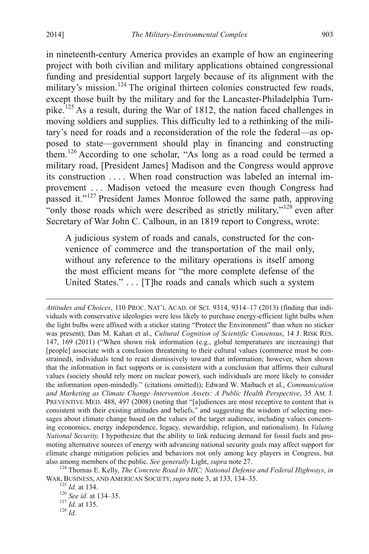$\overline{a}$ 

in nineteenth-century America provides an example of how an engineering project with both civilian and military applications obtained congressional funding and presidential support largely because of its alignment with the military's mission.<sup>[124](#page-24-1)</sup> The original thirteen colonies constructed few roads, except those built by the military and for the Lancaster-Philadelphia Turn-pike.<sup>[125](#page-25-0)</sup> As a result, during the War of 1812, the nation faced challenges in moving soldiers and supplies. This difficulty led to a rethinking of the military's need for roads and a reconsideration of the role the federal—as opposed to state—government should play in financing and constructing them.[126](#page-25-1) According to one scholar, "As long as a road could be termed a military road, [President James] Madison and the Congress would approve its construction . . . . When road construction was labeled an internal improvement . . . Madison vetoed the measure even though Congress had passed it."[127](#page-25-2) President James Monroe followed the same path, approving "only those roads which were described as strictly military," $128$  even after Secretary of War John C. Calhoun, in an 1819 report to Congress, wrote:

A judicious system of roads and canals, constructed for the convenience of commerce and the transportation of the mail only, without any reference to the military operations is itself among the most efficient means for "the more complete defense of the United States." . . . [T]he roads and canals which such a system

<span id="page-25-3"></span><span id="page-25-2"></span><span id="page-25-1"></span><span id="page-25-0"></span>WAR, BUSINESS, AND AMERICAN SOCIETY, *supra* note 3, at 133, 134–35.<br><sup>125</sup> *Id.* at 134.<br><sup>126</sup> *See id.* at 134–35.<br><sup>127</sup> *Id.* at 135.<br><sup>128</sup> *Id.* 

<span id="page-25-4"></span>*Attitudes and Choices*, 110 PROC. NAT'L ACAD. OF SCI. 9314, 9314–17 (2013) (finding that individuals with conservative ideologies were less likely to purchase energy-efficient light bulbs when the light bulbs were affixed with a sticker stating "Protect the Environment" than when no sticker was present); Dan M. Kahan et al., *Cultural Cognition of Scientific Consensus*, 14 J. RISK RES. 147, 169 (2011) ("When shown risk information (e.g., global temperatures are increasing) that [people] associate with a conclusion threatening to their cultural values (commerce must be constrained), individuals tend to react dismissively toward that information; however, when shown that the information in fact supports or is consistent with a conclusion that affirms their cultural values (society should rely more on nuclear power), such individuals are more likely to consider the information open-mindedly." (citations omitted)); Edward W. Maibach et al., *Communication and Marketing as Climate Change–Intervention Assets: A Public Health Perspective*, 35 AM. J. PREVENTIVE MED. 488, 497 (2008) (noting that "[a]udiences are most receptive to content that is consistent with their existing attitudes and beliefs," and suggesting the wisdom of selecting messages about climate change based on the values of the target audience, including values concerning economics, energy independence, legacy, stewardship, religion, and nationalism). In *Valuing National Security,* I hypothesize that the ability to link reducing demand for fossil fuels and promoting alternative sources of energy with advancing national security goals may affect support for climate change mitigation policies and behaviors not only among key players in Congress, but also among members of the public. *See generally* Light, *supra* note 27. <sup>124</sup> Thomas E. Kelly, *The Concrete Road to MIC; National Defense and Federal Highways*, *in*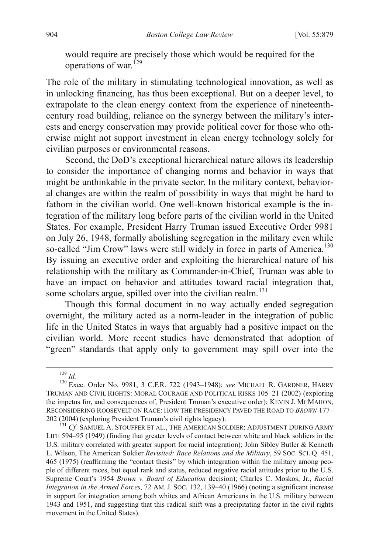would require are precisely those which would be required for the operations of war.<sup>[129](#page-25-4)</sup>

The role of the military in stimulating technological innovation, as well as in unlocking financing, has thus been exceptional. But on a deeper level, to extrapolate to the clean energy context from the experience of nineteenthcentury road building, reliance on the synergy between the military's interests and energy conservation may provide political cover for those who otherwise might not support investment in clean energy technology solely for civilian purposes or environmental reasons.

Second, the DoD's exceptional hierarchical nature allows its leadership to consider the importance of changing norms and behavior in ways that might be unthinkable in the private sector. In the military context, behavioral changes are within the realm of possibility in ways that might be hard to fathom in the civilian world. One well-known historical example is the integration of the military long before parts of the civilian world in the United States. For example, President Harry Truman issued Executive Order 9981 on July 26, 1948, formally abolishing segregation in the military even while so-called "Jim Crow" laws were still widely in force in parts of America.<sup>[130](#page-26-0)</sup> By issuing an executive order and exploiting the hierarchical nature of his relationship with the military as Commander-in-Chief, Truman was able to have an impact on behavior and attitudes toward racial integration that, some scholars argue, spilled over into the civilian realm.<sup>[131](#page-26-1)</sup>

Though this formal document in no way actually ended segregation overnight, the military acted as a norm-leader in the integration of public life in the United States in ways that arguably had a positive impact on the civilian world. More recent studies have demonstrated that adoption of "green" standards that apply only to government may spill over into the

<span id="page-26-0"></span><sup>129</sup> *Id.* <sup>130</sup> Exec. Order No. 9981, 3 C.F.R. 722 (1943–1948); *see* MICHAEL R. GARDNER, HARRY TRUMAN AND CIVIL RIGHTS: MORAL COURAGE AND POLITICAL RISKS 105–21 (2002) (exploring the impetus for, and consequences of, President Truman's executive order); KEVIN J. MCMAHON, RECONSIDERING ROOSEVELT ON RACE: HOW THE PRESIDENCY PAVED THE ROAD TO *BROWN* 177– 202 (2004) (exploring President Truman's civil rights legacy). <sup>131</sup> *Cf.* SAMUEL A. STOUFFER ET AL., THE AMERICAN SOLDIER: ADJUSTMENT DURING ARMY

<span id="page-26-2"></span><span id="page-26-1"></span>LIFE 594–95 (1949) (finding that greater levels of contact between white and black soldiers in the U.S. military correlated with greater support for racial integration); John Sibley Butler & Kenneth L. Wilson, The American Soldier *Revisited: Race Relations and the Military*, 59 SOC. SCI. Q. 451, 465 (1975) (reaffirming the "contact thesis" by which integration within the military among people of different races, but equal rank and status, reduced negative racial attitudes prior to the U.S. Supreme Court's 1954 *Brown v. Board of Education* decision); Charles C. Moskos, Jr., *Racial Integration in the Armed Forces*, 72 AM. J. SOC. 132, 139–40 (1966) (noting a significant increase in support for integration among both whites and African Americans in the U.S. military between 1943 and 1951, and suggesting that this radical shift was a precipitating factor in the civil rights movement in the United States).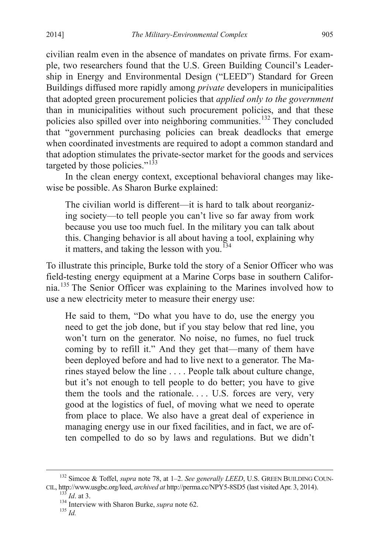civilian realm even in the absence of mandates on private firms. For example, two researchers found that the U.S. Green Building Council's Leadership in Energy and Environmental Design ("LEED") Standard for Green Buildings diffused more rapidly among *private* developers in municipalities that adopted green procurement policies that *applied only to the government*  than in municipalities without such procurement policies, and that these policies also spilled over into neighboring communities.<sup>[132](#page-26-2)</sup> They concluded that "government purchasing policies can break deadlocks that emerge when coordinated investments are required to adopt a common standard and that adoption stimulates the private-sector market for the goods and services targeted by those policies." $133$ 

In the clean energy context, exceptional behavioral changes may likewise be possible. As Sharon Burke explained:

The civilian world is different—it is hard to talk about reorganizing society—to tell people you can't live so far away from work because you use too much fuel. In the military you can talk about this. Changing behavior is all about having a tool, explaining why it matters, and taking the lesson with you.<sup>[134](#page-27-1)</sup>

To illustrate this principle, Burke told the story of a Senior Officer who was field-testing energy equipment at a Marine Corps base in southern California.[135](#page-27-2) The Senior Officer was explaining to the Marines involved how to use a new electricity meter to measure their energy use:

He said to them, "Do what you have to do, use the energy you need to get the job done, but if you stay below that red line, you won't turn on the generator. No noise, no fumes, no fuel truck coming by to refill it." And they get that—many of them have been deployed before and had to live next to a generator. The Marines stayed below the line . . . . People talk about culture change, but it's not enough to tell people to do better; you have to give them the tools and the rationale... U.S. forces are very, very good at the logistics of fuel, of moving what we need to operate from place to place. We also have a great deal of experience in managing energy use in our fixed facilities, and in fact, we are often compelled to do so by laws and regulations. But we didn't

<span id="page-27-3"></span><span id="page-27-2"></span><span id="page-27-1"></span><span id="page-27-0"></span> <sup>132</sup> Simcoe & Toffel, *supra* note 78, at 1–2. *See generally LEED*, U.S. GREEN BUILDING COUN-CIL, http://www.usgbc.org/leed, *archived at* http://perma.cc/NPY5-8SD5 (last visited Apr. 3, 2014). <sup>133</sup> *Id*. at 3. <sup>134</sup> Interview with Sharon Burke, *supra* note 62. <sup>135</sup> *Id*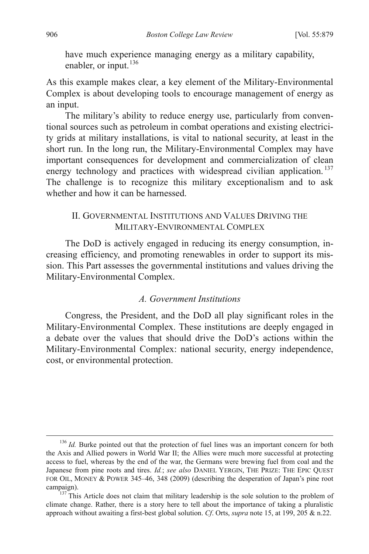have much experience managing energy as a military capability, enabler, or input.<sup>[136](#page-27-3)</sup>

As this example makes clear, a key element of the Military-Environmental Complex is about developing tools to encourage management of energy as an input.

The military's ability to reduce energy use, particularly from conventional sources such as petroleum in combat operations and existing electricity grids at military installations, is vital to national security, at least in the short run. In the long run, the Military-Environmental Complex may have important consequences for development and commercialization of clean energy technology and practices with widespread civilian application.<sup>[137](#page-28-0)</sup> The challenge is to recognize this military exceptionalism and to ask whether and how it can be harnessed.

## II. GOVERNMENTAL INSTITUTIONS AND VALUES DRIVING THE MILITARY-ENVIRONMENTAL COMPLEX

The DoD is actively engaged in reducing its energy consumption, increasing efficiency, and promoting renewables in order to support its mission. This Part assesses the governmental institutions and values driving the Military-Environmental Complex.

## *A. Government Institutions*

<span id="page-28-1"></span>Congress, the President, and the DoD all play significant roles in the Military-Environmental Complex. These institutions are deeply engaged in a debate over the values that should drive the DoD's actions within the Military-Environmental Complex: national security, energy independence, cost, or environmental protection.

<sup>&</sup>lt;sup>136</sup> *Id.* Burke pointed out that the protection of fuel lines was an important concern for both the Axis and Allied powers in World War II; the Allies were much more successful at protecting access to fuel, whereas by the end of the war, the Germans were brewing fuel from coal and the Japanese from pine roots and tires. *Id.*; *see also* DANIEL YERGIN, THE PRIZE: THE EPIC QUEST FOR OIL, MONEY & POWER 345–46, 348 (2009) (describing the desperation of Japan's pine root campaign).<br><sup>137</sup> This Article does not claim that military leadership is the sole solution to the problem of

<span id="page-28-0"></span>climate change. Rather, there is a story here to tell about the importance of taking a pluralistic approach without awaiting a first-best global solution. *Cf*. Orts, *supra* note 15, at 199, 205 & n.22.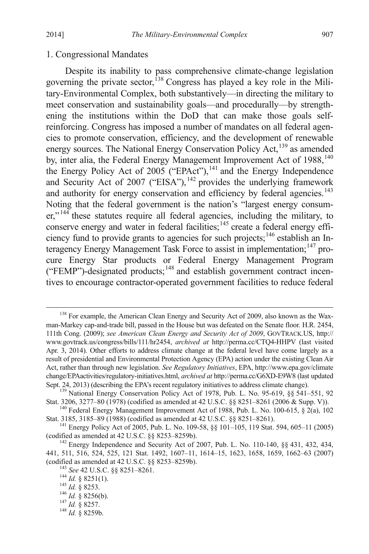#### 1. Congressional Mandates

Despite its inability to pass comprehensive climate-change legislation governing the private sector,<sup>[138](#page-28-1)</sup> Congress has played a key role in the Military-Environmental Complex, both substantively—in directing the military to meet conservation and sustainability goals—and procedurally—by strengthening the institutions within the DoD that can make those goals selfreinforcing. Congress has imposed a number of mandates on all federal agencies to promote conservation, efficiency, and the development of renewable energy sources. The National Energy Conservation Policy Act,<sup>[139](#page-29-0)</sup> as amended by, inter alia, the Federal Energy Management Improvement Act of 1988,<sup>[140](#page-29-1)</sup> the Energy Policy Act of 2005 ("EPAct"),<sup>[141](#page-29-2)</sup> and the Energy Independence and Security Act of 2007 ("EISA"),  $^{142}$  $^{142}$  $^{142}$  provides the underlying framework and authority for energy conservation and efficiency by federal agencies.<sup>[143](#page-29-4)</sup> Noting that the federal government is the nation's "largest energy consum-er,"<sup>[144](#page-29-5)</sup> these statutes require all federal agencies, including the military, to conserve energy and water in federal facilities;<sup>[145](#page-29-6)</sup> create a federal energy effi-ciency fund to provide grants to agencies for such projects;<sup>[146](#page-29-7)</sup> establish an In-teragency Energy Management Task Force to assist in implementation;<sup>[147](#page-29-8)</sup> procure Energy Star products or Federal Energy Management Program ("FEMP")-designated products;[148](#page-29-9) and establish government contract incentives to encourage contractor-operated government facilities to reduce federal

<span id="page-29-10"></span><sup>&</sup>lt;sup>138</sup> For example, the American Clean Energy and Security Act of 2009, also known as the Waxman-Markey cap-and-trade bill, passed in the House but was defeated on the Senate floor. H.R. 2454, 111th Cong. (2009); *see American Clean Energy and Security Act of 2009*, GOVTRACK.US, http:// www.govtrack.us/congress/bills/111/hr2454, *archived at* http://perma.cc/CTQ4-HHPV (last visited Apr. 3, 2014). Other efforts to address climate change at the federal level have come largely as a result of presidential and Environmental Protection Agency (EPA) action under the existing Clean Air Act, rather than through new legislation. *See Regulatory Initiatives*, EPA, http://www.epa.gov/climate change/EPAactivities/regulatory-initiatives.html, *archived at* http://perma.cc/G6XD-E9W8 (last updated

<span id="page-29-0"></span><sup>&</sup>lt;sup>139</sup> National Energy Conservation Policy Act of 1978, Pub. L. No. 95-619, §§ 541–551, 92 Stat. 3206, 3277–80 (1978) (codified as amended at 42 U.S.C. §§ 8251–8261 (2006 & Supp. V)).

<span id="page-29-1"></span><sup>&</sup>lt;sup>140</sup> Federal Energy Management Improvement Act of 1988, Pub. L. No. 100-615, § 2(a), 102 Stat. 3185, 3185–89 (1988) (codified as amended at 42 U.S.C. §§ 8251–8261).

<span id="page-29-2"></span><sup>&</sup>lt;sup>141</sup> Energy Policy Act of 2005, Pub. L. No. 109-58, §§ 101-105, 119 Stat. 594, 605-11 (2005) (codified as amended at 42 U.S.C. §§ 8253-8259b).

<span id="page-29-5"></span><span id="page-29-4"></span><span id="page-29-3"></span> $^{142}$  Energy Independence and Security Act of 2007, Pub. L. No. 110-140, §§ 431, 432, 434, 441, 511, 516, 524, 525, 121 Stat. 1492, 1607–11, 1614–15, 1623, 1658, 1659, 1662–63 (2007) (codified as amended at 42 U.S.C. §§ 8253–8259b).<br>
<sup>143</sup> *See* 42 U.S.C. §§ 8251–8261.<br>
<sup>144</sup> *Id.* § 8251(1).<br>
<sup>145</sup> *Id.* § 8253.<br>
<sup>146</sup> *Id.* § 8256(b).<br>
<sup>147</sup> *Id.* § 8257.<br>
<sup>148</sup> *Id.* § 8259b.

<span id="page-29-6"></span>

<span id="page-29-8"></span><span id="page-29-7"></span>

<span id="page-29-9"></span>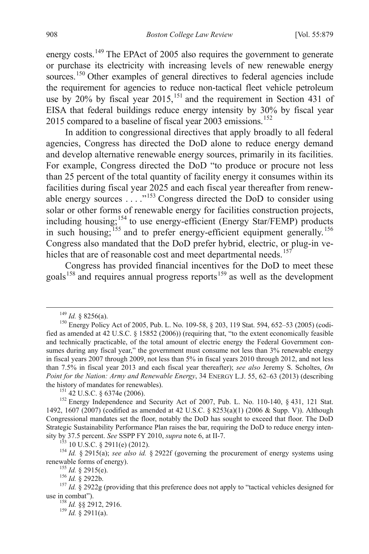energy costs.<sup>[149](#page-29-10)</sup> The EPAct of 2005 also requires the government to generate or purchase its electricity with increasing levels of new renewable energy sources.<sup>[150](#page-30-0)</sup> Other examples of general directives to federal agencies include the requirement for agencies to reduce non-tactical fleet vehicle petroleum use by 20% by fiscal year  $2015$ ,  $^{151}$  $^{151}$  $^{151}$  and the requirement in Section 431 of EISA that federal buildings reduce energy intensity by 30% by fiscal year 2015 compared to a baseline of fiscal year 2003 emissions.<sup>[152](#page-30-2)</sup>

In addition to congressional directives that apply broadly to all federal agencies, Congress has directed the DoD alone to reduce energy demand and develop alternative renewable energy sources, primarily in its facilities. For example, Congress directed the DoD "to produce or procure not less than 25 percent of the total quantity of facility energy it consumes within its facilities during fiscal year 2025 and each fiscal year thereafter from renewable energy sources . . . ."[153](#page-30-3) Congress directed the DoD to consider using solar or other forms of renewable energy for facilities construction projects, including housing;<sup>[154](#page-30-4)</sup> to use energy-efficient (Energy Star/FEMP) products in such housing;<sup>[155](#page-30-5)</sup> and to prefer energy-efficient equipment generally.<sup>[156](#page-30-6)</sup> Congress also mandated that the DoD prefer hybrid, electric, or plug-in ve-hicles that are of reasonable cost and meet departmental needs.<sup>[157](#page-30-7)</sup>

Congress has provided financial incentives for the DoD to meet these goals<sup>[158](#page-30-8)</sup> and requires annual progress reports<sup>[159](#page-30-9)</sup> as well as the development

<span id="page-30-0"></span><sup>&</sup>lt;sup>149</sup> *Id.* § 8256(a).<br><sup>150</sup> Energy Policy Act of 2005, Pub. L. No. 109-58, § 203, 119 Stat. 594, 652–53 (2005) (codified as amended at 42 U.S.C. § 15852 (2006)) (requiring that, "to the extent economically feasible and technically practicable, of the total amount of electric energy the Federal Government consumes during any fiscal year," the government must consume not less than 3% renewable energy in fiscal years 2007 through 2009, not less than 5% in fiscal years 2010 through 2012, and not less than 7.5% in fiscal year 2013 and each fiscal year thereafter); *see also* Jeremy S. Scholtes, *On Point for the Nation: Army and Renewable Energy*, 34 ENERGY L.J. 55, 62–63 (2013) (describing the history of mandates for renewables).

<span id="page-30-10"></span><span id="page-30-2"></span><span id="page-30-1"></span><sup>&</sup>lt;sup>151</sup> 42 U.S.C. § 6374e (2006). <sup>152</sup> Energy Independence and Security Act of 2007, Pub. L. No. 110-140, § 431, 121 Stat. 1492, 1607 (2007) (codified as amended at 42 U.S.C. § 8253(a)(1) (2006 & Supp. V)). Although Congressional mandates set the floor, notably the DoD has sought to exceed that floor. The DoD Strategic Sustainability Performance Plan raises the bar, requiring the DoD to reduce energy intensity by 37.5 percent. See SSPP FY 2010, supra note 6, at II-7.

<span id="page-30-4"></span><span id="page-30-3"></span><sup>&</sup>lt;sup>153</sup> 10 U.S.C. § 2911(e) (2012).<br><sup>154</sup> *Id.* § 2915(a); *see also id.* § 2922f (governing the procurement of energy systems using renewable forms of energy).

<span id="page-30-8"></span><span id="page-30-7"></span><span id="page-30-6"></span><span id="page-30-5"></span><sup>&</sup>lt;sup>155</sup> *Id.* § 2915(e).<br><sup>156</sup> *Id.* § 2922b.<br><sup>157</sup> *Id.* § 2922g (providing that this preference does not apply to "tactical vehicles designed for use in combat").

<span id="page-30-9"></span><sup>&</sup>lt;sup>158</sup> *Id.* §§ 2912, 2916.<br><sup>159</sup> *Id.* § 2911(a).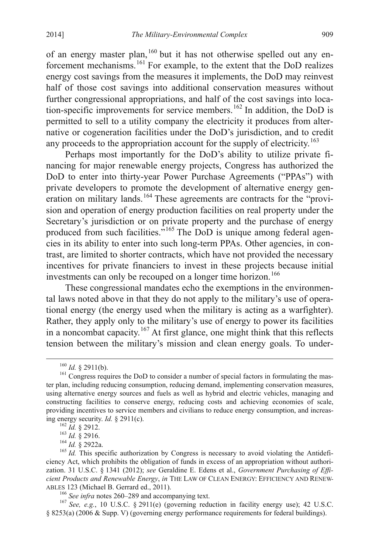of an energy master plan,<sup>[160](#page-30-10)</sup> but it has not otherwise spelled out any enforcement mechanisms.[161](#page-31-0) For example, to the extent that the DoD realizes energy cost savings from the measures it implements, the DoD may reinvest half of those cost savings into additional conservation measures without further congressional appropriations, and half of the cost savings into loca-tion-specific improvements for service members.<sup>[162](#page-31-1)</sup> In addition, the DoD is permitted to sell to a utility company the electricity it produces from alternative or cogeneration facilities under the DoD's jurisdiction, and to credit any proceeds to the appropriation account for the supply of electricity.<sup>[163](#page-31-2)</sup>

Perhaps most importantly for the DoD's ability to utilize private financing for major renewable energy projects, Congress has authorized the DoD to enter into thirty-year Power Purchase Agreements ("PPAs") with private developers to promote the development of alternative energy gen-eration on military lands.<sup>[164](#page-31-3)</sup> These agreements are contracts for the "provision and operation of energy production facilities on real property under the Secretary's jurisdiction or on private property and the purchase of energy produced from such facilities."[165](#page-31-4) The DoD is unique among federal agencies in its ability to enter into such long-term PPAs. Other agencies, in contrast, are limited to shorter contracts, which have not provided the necessary incentives for private financiers to invest in these projects because initial investments can only be recouped on a longer time horizon.<sup>[166](#page-31-5)</sup>

These congressional mandates echo the exemptions in the environmental laws noted above in that they do not apply to the military's use of operational energy (the energy used when the military is acting as a warfighter). Rather, they apply only to the military's use of energy to power its facilities in a noncombat capacity.<sup>[167](#page-31-6)</sup> At first glance, one might think that this reflects tension between the military's mission and clean energy goals. To under-

<span id="page-31-0"></span><sup>&</sup>lt;sup>160</sup> *Id.* § 2911(b).<br><sup>161</sup> Congress requires the DoD to consider a number of special factors in formulating the master plan, including reducing consumption, reducing demand, implementing conservation measures, using alternative energy sources and fuels as well as hybrid and electric vehicles, managing and constructing facilities to conserve energy, reducing costs and achieving economies of scale, providing incentives to service members and civilians to reduce energy consumption, and increasing energy security. *Id.* § 2911(c).<br><sup>162</sup> *Id.* § 2912.<br><sup>163</sup> *Id.* § 2922a.<br><sup>166</sup> *Id.* This specific authorization by Congress is necessary to avoid violating the Antidefi-<br><sup>165</sup> *Id.* This specific authorization by C

<span id="page-31-7"></span><span id="page-31-4"></span><span id="page-31-3"></span><span id="page-31-2"></span><span id="page-31-1"></span>ciency Act, which prohibits the obligation of funds in excess of an appropriation without authorization. 31 U.S.C. § 1341 (2012); *see* Geraldine E. Edens et al., *Government Purchasing of Efficient Products and Renewable Energy*, *in* THE LAW OF CLEAN ENERGY: EFFICIENCY AND RENEW-ABLES 123 (Michael B. Gerrard ed., 2011).<br><sup>166</sup> *See infra* notes 260–289 and accompanying text.<br><sup>167</sup> *See, e.g.*, 10 U.S.C. § 2911(e) (governing reduction in facility energy use); 42 U.S.C.

<span id="page-31-6"></span><span id="page-31-5"></span><sup>§</sup> 8253(a) (2006 & Supp. V) (governing energy performance requirements for federal buildings).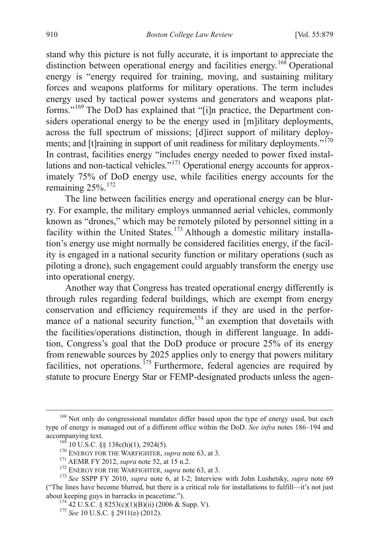stand why this picture is not fully accurate, it is important to appreciate the distinction between operational energy and facilities energy.<sup>[168](#page-31-7)</sup> Operational energy is "energy required for training, moving, and sustaining military forces and weapons platforms for military operations. The term includes energy used by tactical power systems and generators and weapons platforms."[169](#page-32-0) The DoD has explained that "[i]n practice, the Department considers operational energy to be the energy used in [m]ilitary deployments, across the full spectrum of missions; [d]irect support of military deploy-ments; and [t]raining in support of unit readiness for military deployments."<sup>[170](#page-32-1)</sup> In contrast, facilities energy "includes energy needed to power fixed installations and non-tactical vehicles."[171](#page-32-2) Operational energy accounts for approximately 75% of DoD energy use, while facilities energy accounts for the remaining 25%. [172](#page-32-3)

The line between facilities energy and operational energy can be blurry. For example, the military employs unmanned aerial vehicles, commonly known as "drones," which may be remotely piloted by personnel sitting in a facility within the United States.<sup>[173](#page-32-4)</sup> Although a domestic military installation's energy use might normally be considered facilities energy, if the facility is engaged in a national security function or military operations (such as piloting a drone), such engagement could arguably transform the energy use into operational energy.

Another way that Congress has treated operational energy differently is through rules regarding federal buildings, which are exempt from energy conservation and efficiency requirements if they are used in the performance of a national security function,  $174$  an exemption that dovetails with the facilities/operations distinction, though in different language. In addition, Congress's goal that the DoD produce or procure 25% of its energy from renewable sources by 2025 applies only to energy that powers military facilities, not operations.<sup>[175](#page-32-6)</sup> Furthermore, federal agencies are required by statute to procure Energy Star or FEMP-designated products unless the agen-

<span id="page-32-7"></span><span id="page-32-0"></span><sup>&</sup>lt;sup>168</sup> Not only do congressional mandates differ based upon the type of energy used, but each type of energy is managed out of a different office within the DoD. *See infra* notes 186–194 and accompanying text.<br>
<sup>169</sup> 10 U.S.C. §§ 138c(h)(1), 2924(5).<br>
<sup>170</sup> ENERGY FOR THE WARFIGHTER, *supra* note 63, at 3.<br>
<sup>171</sup> AEMR FY 2012, *supra* note 52, at 15 n.2.<br>
<sup>172</sup> ENERGY FOR THE WARFIGHTER, *supra* note 63, at 3

<span id="page-32-6"></span><span id="page-32-5"></span><span id="page-32-4"></span><span id="page-32-3"></span><span id="page-32-2"></span><span id="page-32-1"></span><sup>(&</sup>quot;The lines have become blurred, but there is a critical role for installations to fulfill—it's not just about keeping guys in barracks in peacetime."). <sup>174</sup> 42 U.S.C. § 8253(c)(1)(B)(ii) (2006 & Supp. V). <sup>175</sup> *See* 10 U.S.C. § 2911(e) (2012).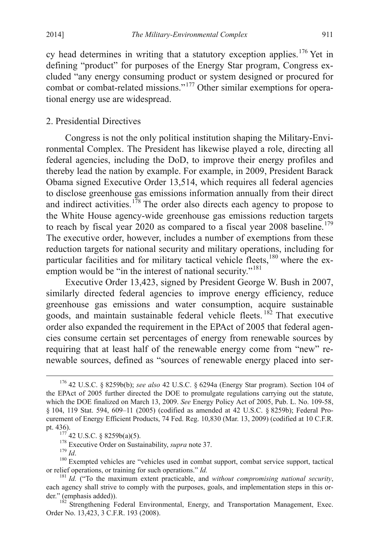cy head determines in writing that a statutory exception applies. [176](#page-32-7) Yet in defining "product" for purposes of the Energy Star program, Congress excluded "any energy consuming product or system designed or procured for combat or combat-related missions."[177](#page-33-0) Other similar exemptions for operational energy use are widespread.

## 2. Presidential Directives

Congress is not the only political institution shaping the Military-Environmental Complex. The President has likewise played a role, directing all federal agencies, including the DoD, to improve their energy profiles and thereby lead the nation by example. For example, in 2009, President Barack Obama signed Executive Order 13,514, which requires all federal agencies to disclose greenhouse gas emissions information annually from their direct and indirect activities.<sup>[178](#page-33-1)</sup> The order also directs each agency to propose to the White House agency-wide greenhouse gas emissions reduction targets to reach by fiscal year 2020 as compared to a fiscal year 2008 baseline.<sup>[179](#page-33-2)</sup> The executive order, however, includes a number of exemptions from these reduction targets for national security and military operations, including for particular facilities and for military tactical vehicle fleets, <sup>[180](#page-33-3)</sup> where the ex-emption would be "in the interest of national security."<sup>[181](#page-33-4)</sup>

Executive Order 13,423, signed by President George W. Bush in 2007, similarly directed federal agencies to improve energy efficiency, reduce greenhouse gas emissions and water consumption, acquire sustainable goods, and maintain sustainable federal vehicle fleets. [182](#page-33-5) That executive order also expanded the requirement in the EPAct of 2005 that federal agencies consume certain set percentages of energy from renewable sources by requiring that at least half of the renewable energy come from "new" renewable sources, defined as "sources of renewable energy placed into ser-

<span id="page-33-6"></span> <sup>176</sup> <sup>42</sup> U.S.C. § 8259b(b); *see also* 42 U.S.C. § 6294a (Energy Star program). Section 104 of the EPAct of 2005 further directed the DOE to promulgate regulations carrying out the statute, which the DOE finalized on March 13, 2009. *See* Energy Policy Act of 2005, Pub. L. No. 109-58, § 104, 119 Stat. 594, 609–11 (2005) (codified as amended at 42 U.S.C. § 8259b); Federal Procurement of Energy Efficient Products, 74 Fed. Reg. 10,830 (Mar. 13, 2009) (codified at 10 C.F.R.

<span id="page-33-2"></span><span id="page-33-1"></span><span id="page-33-0"></span>pt. 436).<br>
<sup>177</sup> 42 U.S.C. § 8259b(a)(5).<br>
<sup>178</sup> Executive Order on Sustainability, *supra* note 37.<br>
<sup>179</sup> *Id.*<br>
<sup>180</sup> Exempted vehicles are "vehicles used in combat support, combat service support, tactical<br>
or relief o

<span id="page-33-4"></span><span id="page-33-3"></span><sup>&</sup>lt;sup>181</sup> *Id.* ("To the maximum extent practicable, and *without compromising national security*, each agency shall strive to comply with the purposes, goals, and implementation steps in this order." (emphasis added)). <sup>182</sup> Strengthening Federal Environmental, Energy, and Transportation Management, Exec.

<span id="page-33-5"></span>Order No. 13,423, 3 C.F.R. 193 (2008).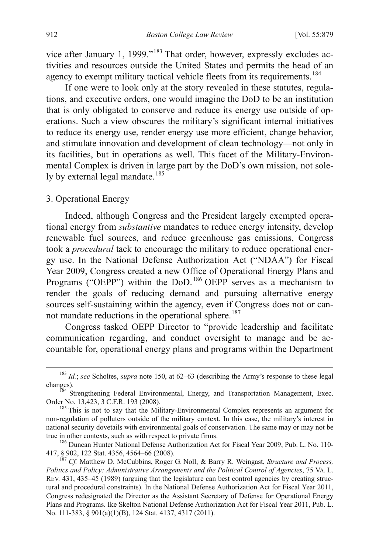vice after January 1, 1999."[183](#page-33-6) That order, however, expressly excludes activities and resources outside the United States and permits the head of an agency to exempt military tactical vehicle fleets from its requirements.<sup>[184](#page-34-0)</sup>

If one were to look only at the story revealed in these statutes, regulations, and executive orders, one would imagine the DoD to be an institution that is only obligated to conserve and reduce its energy use outside of operations. Such a view obscures the military's significant internal initiatives to reduce its energy use, render energy use more efficient, change behavior, and stimulate innovation and development of clean technology—not only in its facilities, but in operations as well. This facet of the Military-Environmental Complex is driven in large part by the DoD's own mission, not sole-ly by external legal mandate.<sup>[185](#page-34-1)</sup>

#### 3. Operational Energy

Indeed, although Congress and the President largely exempted operational energy from *substantive* mandates to reduce energy intensity, develop renewable fuel sources, and reduce greenhouse gas emissions, Congress took a *procedural* tack to encourage the military to reduce operational energy use. In the National Defense Authorization Act ("NDAA") for Fiscal Year 2009, Congress created a new Office of Operational Energy Plans and Programs ("OEPP") within the DoD.<sup>[186](#page-34-2)</sup> OEPP serves as a mechanism to render the goals of reducing demand and pursuing alternative energy sources self-sustaining within the agency, even if Congress does not or can-not mandate reductions in the operational sphere.<sup>[187](#page-34-3)</sup>

Congress tasked OEPP Director to "provide leadership and facilitate communication regarding, and conduct oversight to manage and be accountable for, operational energy plans and programs within the Department

 <sup>183</sup> *Id.*; *see* Scholtes, *supra* note 150, at 62–63 (describing the Army's response to these legal

<span id="page-34-0"></span>changes).<br><sup>184</sup> Strengthening Federal Environmental, Energy, and Transportation Management, Exec.<br>Order No. 13,423, 3 C.F.R. 193 (2008).

<span id="page-34-1"></span> $^{185}$  This is not to say that the Military-Environmental Complex represents an argument for non-regulation of polluters outside of the military context. In this case, the military's interest in national security dovetails with environmental goals of conservation. The same may or may not be true in other contexts, such as with respect to private firms.<br><sup>186</sup> Duncan Hunter National Defense Authorization Act for Fiscal Year 2009, Pub. L. No. 110-

<span id="page-34-2"></span><sup>417, §</sup> 902, 122 Stat. 4356, 4564–66 (2008). <sup>187</sup> *Cf.* Matthew D. McCubbins, Roger G. Noll, & Barry R. Weingast, *Structure and Process,* 

<span id="page-34-3"></span>*Politics and Policy: Administrative Arrangements and the Political Control of Agencies*, 75 VA. L. REV. 431, 435–45 (1989) (arguing that the legislature can best control agencies by creating structural and procedural constraints). In the National Defense Authorization Act for Fiscal Year 2011, Congress redesignated the Director as the Assistant Secretary of Defense for Operational Energy Plans and Programs. Ike Skelton National Defense Authorization Act for Fiscal Year 2011, Pub. L. No. 111-383, § 901(a)(1)(B), 124 Stat. 4137, 4317 (2011).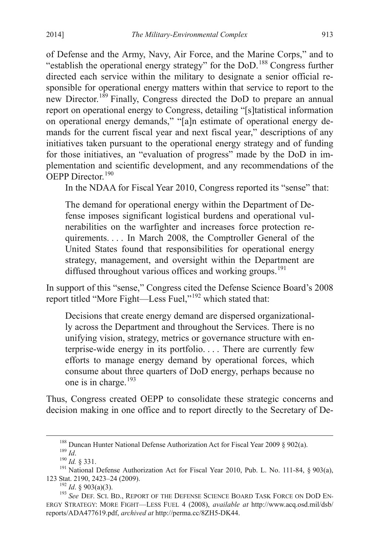of Defense and the Army, Navy, Air Force, and the Marine Corps," and to "establish the operational energy strategy" for the DoD.<sup>[188](#page-34-2)</sup> Congress further directed each service within the military to designate a senior official responsible for operational energy matters within that service to report to the new Director.<sup>[189](#page-35-0)</sup> Finally, Congress directed the DoD to prepare an annual report on operational energy to Congress, detailing "[s]tatistical information on operational energy demands," "[a]n estimate of operational energy demands for the current fiscal year and next fiscal year," descriptions of any initiatives taken pursuant to the operational energy strategy and of funding for those initiatives, an "evaluation of progress" made by the DoD in implementation and scientific development, and any recommendations of the OEPP Director<sup>[190](#page-35-1)</sup>

In the NDAA for Fiscal Year 2010, Congress reported its "sense" that:

The demand for operational energy within the Department of Defense imposes significant logistical burdens and operational vulnerabilities on the warfighter and increases force protection requirements. . . . In March 2008, the Comptroller General of the United States found that responsibilities for operational energy strategy, management, and oversight within the Department are diffused throughout various offices and working groups.<sup>[191](#page-35-2)</sup>

<span id="page-35-5"></span>In support of this "sense," Congress cited the Defense Science Board's 2008 report titled "More Fight—Less Fuel,"[192](#page-35-3) which stated that:

Decisions that create energy demand are dispersed organizationally across the Department and throughout the Services. There is no unifying vision, strategy, metrics or governance structure with enterprise-wide energy in its portfolio. . . . There are currently few efforts to manage energy demand by operational forces, which consume about three quarters of DoD energy, perhaps because no one is in charge.<sup>[193](#page-35-4)</sup>

Thus, Congress created OEPP to consolidate these strategic concerns and decision making in one office and to report directly to the Secretary of De-

<sup>&</sup>lt;sup>188</sup> Duncan Hunter National Defense Authorization Act for Fiscal Year 2009 § 902(a).<br><sup>189</sup> *Id.* § 331.<br><sup>191</sup> National Defense Authorization Act for Fiscal Year 2010, Pub. L. No. 111-84, § 903(a),

<span id="page-35-2"></span><span id="page-35-1"></span><span id="page-35-0"></span><sup>123</sup> Stat. 2190, 2423–24 (2009).<br><sup>192</sup> *Id*. § 903(a)(3).<br><sup>193</sup> *See* Def. Sci. Bd., Report of the Defense Science Board Task Force on DoD En-

<span id="page-35-4"></span><span id="page-35-3"></span>ERGY STRATEGY: MORE FIGHT—LESS FUEL 4 (2008), *available at* http://www.acq.osd.mil/dsb/ reports/ADA477619.pdf, *archived at* http://perma.cc/8ZH5-DK44.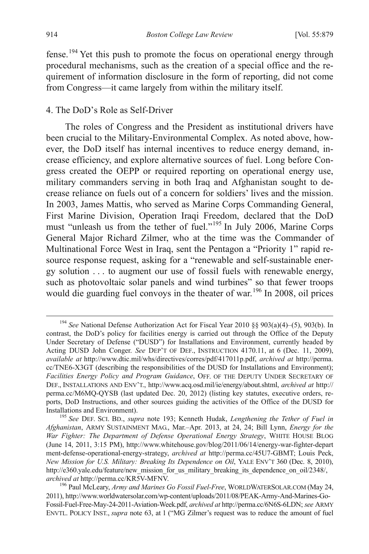fense.[194](#page-35-5) Yet this push to promote the focus on operational energy through procedural mechanisms, such as the creation of a special office and the requirement of information disclosure in the form of reporting, did not come from Congress—it came largely from within the military itself.

#### 4. The DoD's Role as Self-Driver

The roles of Congress and the President as institutional drivers have been crucial to the Military-Environmental Complex. As noted above, however, the DoD itself has internal incentives to reduce energy demand, increase efficiency, and explore alternative sources of fuel. Long before Congress created the OEPP or required reporting on operational energy use, military commanders serving in both Iraq and Afghanistan sought to decrease reliance on fuels out of a concern for soldiers' lives and the mission. In 2003, James Mattis, who served as Marine Corps Commanding General, First Marine Division, Operation Iraqi Freedom, declared that the DoD must "unleash us from the tether of fuel."[195](#page-36-0) In July 2006, Marine Corps General Major Richard Zilmer, who at the time was the Commander of Multinational Force West in Iraq, sent the Pentagon a "Priority 1" rapid resource response request, asking for a "renewable and self-sustainable energy solution . . . to augment our use of fossil fuels with renewable energy, such as photovoltaic solar panels and wind turbines" so that fewer troops would die guarding fuel convoys in the theater of war.<sup>[196](#page-36-1)</sup> In 2008, oil prices

 <sup>194</sup> *See* National Defense Authorization Act for Fiscal Year 2010 §§ 903(a)(4)–(5), 903(b). In contrast, the DoD's policy for facilities energy is carried out through the Office of the Deputy Under Secretary of Defense ("DUSD") for Installations and Environment, currently headed by Acting DUSD John Conger. *See* DEP'T OF DEF., INSTRUCTION 4170.11, at 6 (Dec. 11, 2009), *available at* http://www.dtic.mil/whs/directives/corres/pdf/417011p.pdf, *archived at* http://perma. cc/TNE6-X3GT (describing the responsibilities of the DUSD for Installations and Environment); *Facilities Energy Policy and Program Guidance*, OFF. OF THE DEPUTY UNDER SECRETARY OF DEF., INSTALLATIONS AND ENV'T., http://www.acq.osd.mil/ie/energy/about.shtml, *archived at* http:// perma.cc/M6MQ-QYSB (last updated Dec. 20, 2012) (listing key statutes, executive orders, reports, DoD Instructions, and other sources guiding the activities of the Office of the DUSD for Installations and Environment). <sup>195</sup> *See* DEF. SCI. BD., *supra* note 193; Kenneth Hudak, *Lengthening the Tether of Fuel in* 

<span id="page-36-2"></span><span id="page-36-0"></span>*Afghanistan*, ARMY SUSTAINMENT MAG., Mar.–Apr. 2013, at 24, 24; Bill Lynn, *Energy for the War Fighter: The Department of Defense Operational Energy Strategy*, WHITE HOUSE BLOG (June 14, 2011, 3:15 PM), http://www.whitehouse.gov/blog/2011/06/14/energy-war-fighter-depart ment-defense-operational-energy-strategy, *archived at* http://perma.cc/45U7-GBMT; Louis Peck, *New Mission for U.S. Military: Breaking Its Dependence on Oil, YALE ENV'T 360 (Dec. 8, 2010),* http://e360.yale.edu/feature/new\_mission\_for\_us\_military\_breaking\_its\_dependence\_on\_oil/2348/, *archived at* http://perma.cc/KR5V-MFNV. <sup>196</sup> Paul McLeary, *Army and Marines Go Fossil Fuel-Free*, WORLDWATERSOLAR.COM (May 24,

<span id="page-36-1"></span><sup>2011),</sup> http://www.worldwatersolar.com/wp-content/uploads/2011/08/PEAK-Army-And-Marines-Go-Fossil-Fuel-Free-May-24-2011-Aviation-Week.pdf, *archived at* http://perma.cc/6N6S-6LDN; *see* ARMY ENVTL. POLICY INST., *supra* note 63, at 1 ("MG Zilmer's request was to reduce the amount of fuel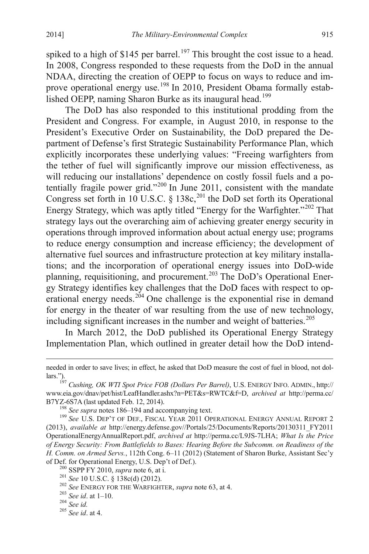spiked to a high of \$145 per barrel.<sup>[197](#page-36-2)</sup> This brought the cost issue to a head. In 2008, Congress responded to these requests from the DoD in the annual NDAA, directing the creation of OEPP to focus on ways to reduce and im-prove operational energy use.<sup>[198](#page-37-0)</sup> In 2010, President Obama formally estab-lished OEPP, naming Sharon Burke as its inaugural head.<sup>[199](#page-37-1)</sup>

The DoD has also responded to this institutional prodding from the President and Congress. For example, in August 2010, in response to the President's Executive Order on Sustainability, the DoD prepared the Department of Defense's first Strategic Sustainability Performance Plan, which explicitly incorporates these underlying values: "Freeing warfighters from the tether of fuel will significantly improve our mission effectiveness, as will reducing our installations' dependence on costly fossil fuels and a po-tentially fragile power grid."<sup>[200](#page-37-2)</sup> In June 2011, consistent with the mandate Congress set forth in 10 U.S.C. § 138c,<sup>[201](#page-37-3)</sup> the DoD set forth its Operational Energy Strategy, which was aptly titled "Energy for the Warfighter."<sup>[202](#page-37-4)</sup> That strategy lays out the overarching aim of achieving greater energy security in operations through improved information about actual energy use; programs to reduce energy consumption and increase efficiency; the development of alternative fuel sources and infrastructure protection at key military installations; and the incorporation of operational energy issues into DoD-wide planning, requisitioning, and procurement.<sup>[203](#page-37-5)</sup> The DoD's Operational Energy Strategy identifies key challenges that the DoD faces with respect to op-erational energy needs.<sup>[204](#page-37-6)</sup> One challenge is the exponential rise in demand for energy in the theater of war resulting from the use of new technology, including significant increases in the number and weight of batteries. [205](#page-37-7)

In March 2012, the DoD published its Operational Energy Strategy Implementation Plan, which outlined in greater detail how the DoD intend-

<span id="page-37-1"></span><span id="page-37-0"></span>(2013), *available at* http://energy.defense.gov//Portals/25/Documents/Reports/20130311\_FY2011 OperationalEnergyAnnualReport.pdf, *archived at* http://perma.cc/L9JS-7LHA; *What Is the Price of Energy Security: From Battlefields to Bases: Hearing Before the Subcomm. on Readiness of the H. Comm. on Armed Servs.*, 112th Cong. 6–11 (2012) (Statement of Sharon Burke, Assistant Sec'y of Def. for Operational Energy, U.S. Dep't of Def.).

<span id="page-37-8"></span>needed in order to save lives; in effect, he asked that DoD measure the cost of fuel in blood, not dollars."). <sup>197</sup> *Cushing, OK WTI Spot Price FOB (Dollars Per Barrel)*, U.S. ENERGY INFO. ADMIN., http://

www.eia.gov/dnav/pet/hist/LeafHandler.ashx?n=PET&s=RWTC&f=D, *archived at* http://perma.cc/ B7YZ-6S7A (last updated Feb. 12, 2014).<br><sup>198</sup> *See supra* notes 186–194 and accompanying text.<br><sup>199</sup> *See* U.S. DEP'T OF DEF., FISCAL YEAR 2011 OPERATIONAL ENERGY ANNUAL REPORT 2

<span id="page-37-4"></span><span id="page-37-3"></span>

<span id="page-37-2"></span><sup>&</sup>lt;sup>200</sup> SSPP FY 2010, *supra* note 6, at i.<br>
<sup>201</sup> *See* 10 U.S.C. § 138c(d) (2012).<br>
<sup>202</sup> *See* ENERGY FOR THE WARFIGHTER, *supra* note 63, at 4.<br>
<sup>203</sup> *See id.* at 1–10.<br>
<sup>204</sup> *See id.* at 4.<br>
<sup>205</sup> *See id.* at 4.

<span id="page-37-5"></span>

<span id="page-37-7"></span><span id="page-37-6"></span>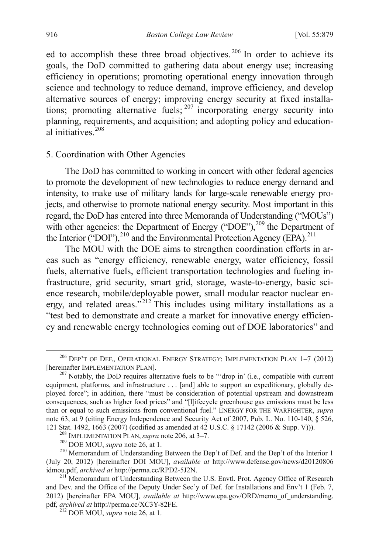ed to accomplish these three broad objectives.<sup>[206](#page-37-8)</sup> In order to achieve its goals, the DoD committed to gathering data about energy use; increasing efficiency in operations; promoting operational energy innovation through science and technology to reduce demand, improve efficiency, and develop alternative sources of energy; improving energy security at fixed installations; promoting alternative fuels;  $207$  incorporating energy security into planning, requirements, and acquisition; and adopting policy and education-al initiatives<sup>[208](#page-38-1)</sup>

#### 5. Coordination with Other Agencies

The DoD has committed to working in concert with other federal agencies to promote the development of new technologies to reduce energy demand and intensity, to make use of military lands for large-scale renewable energy projects, and otherwise to promote national energy security. Most important in this regard, the DoD has entered into three Memoranda of Understanding ("MOUs") with other agencies: the Department of Energy ("DOE"),<sup>[209](#page-38-2)</sup> the Department of the Interior ("DOI"), $^{210}$  $^{210}$  $^{210}$  and the Environmental Protection Agency (EPA).<sup>[211](#page-38-4)</sup>

The MOU with the DOE aims to strengthen coordination efforts in areas such as "energy efficiency, renewable energy, water efficiency, fossil fuels, alternative fuels, efficient transportation technologies and fueling infrastructure, grid security, smart grid, storage, waste-to-energy, basic science research, mobile/deployable power, small modular reactor nuclear en-ergy, and related areas."<sup>[212](#page-38-5)</sup> This includes using military installations as a "test bed to demonstrate and create a market for innovative energy efficiency and renewable energy technologies coming out of DOE laboratories" and

 $^{206}$  DEP'T OF DEF., OPERATIONAL ENERGY STRATEGY: IMPLEMENTATION PLAN  $1-7$  (2012) [hereinafter IMPLEMENTATION PLAN].

<span id="page-38-6"></span><span id="page-38-0"></span> $^{207}$  Notably, the DoD requires alternative fuels to be "'drop in' (i.e., compatible with current equipment, platforms, and infrastructure . . . [and] able to support an expeditionary, globally deployed force"; in addition, there "must be consideration of potential upstream and downstream consequences, such as higher food prices" and "[l]ifecycle greenhouse gas emissions must be less than or equal to such emissions from conventional fuel." ENERGY FOR THE WARFIGHTER, *supra*  note 63, at 9 (citing Energy Independence and Security Act of 2007, Pub. L. No. 110-140, § 526, 121 Stat. 1492, 1663 (2007) (codified as amended at 42 U.S.C. § 17142 (2006 & Supp. V))).

<span id="page-38-3"></span><span id="page-38-2"></span><span id="page-38-1"></span><sup>&</sup>lt;sup>208</sup> IMPLEMENTATION PLAN, *supra* note 206, at 3–7.<br><sup>209</sup> DOE MOU, *supra* note 26, at 1.<br><sup>210</sup> Memorandum of Understanding Between the Dep't of Def. and the Dep't of the Interior 1 (July 20, 2012) [hereinafter DOI MOU], *available at* http://www.defense.gov/news/d20120806

<span id="page-38-5"></span><span id="page-38-4"></span><sup>&</sup>lt;sup>211</sup> Memorandum of Understanding Between the U.S. Envtl. Prot. Agency Office of Research and Dev. and the Office of the Deputy Under Sec'y of Def. for Installations and Env't 1 (Feb. 7, 2012) [hereinafter EPA MOU], *available at* http://www.epa.gov/ORD/memo\_of\_understanding. pdf, *archived at* http://perma.cc/XC3Y-82FE. <sup>212</sup> DOE MOU, *supra* note 26, at 1.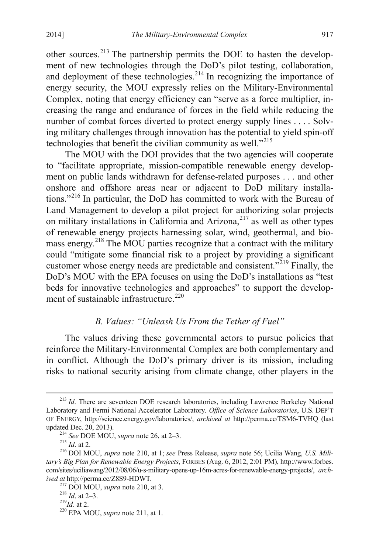other sources.<sup>[213](#page-38-6)</sup> The partnership permits the DOE to hasten the development of new technologies through the DoD's pilot testing, collaboration, and deployment of these technologies.<sup>[214](#page-39-0)</sup> In recognizing the importance of energy security, the MOU expressly relies on the Military-Environmental Complex, noting that energy efficiency can "serve as a force multiplier, increasing the range and endurance of forces in the field while reducing the number of combat forces diverted to protect energy supply lines . . . . Solving military challenges through innovation has the potential to yield spin-off technologies that benefit the civilian community as well."<sup>[215](#page-39-1)</sup>

The MOU with the DOI provides that the two agencies will cooperate to "facilitate appropriate, mission-compatible renewable energy development on public lands withdrawn for defense-related purposes . . . and other onshore and offshore areas near or adjacent to DoD military installations."[216](#page-39-2) In particular, the DoD has committed to work with the Bureau of Land Management to develop a pilot project for authorizing solar projects on military installations in California and Arizona, $217$  as well as other types of renewable energy projects harnessing solar, wind, geothermal, and bio-mass energy.<sup>[218](#page-39-4)</sup> The MOU parties recognize that a contract with the military could "mitigate some financial risk to a project by providing a significant customer whose energy needs are predictable and consistent.<sup>"[219](#page-39-5)</sup> Finally, the DoD's MOU with the EPA focuses on using the DoD's installations as "test beds for innovative technologies and approaches" to support the develop-ment of sustainable infrastructure.<sup>[220](#page-39-6)</sup>

## *B. Values: "Unleash Us From the Tether of Fuel"*

The values driving these governmental actors to pursue policies that reinforce the Military-Environmental Complex are both complementary and in conflict. Although the DoD's primary driver is its mission, including risks to national security arising from climate change, other players in the

<span id="page-39-7"></span><sup>&</sup>lt;sup>213</sup> *Id.* There are seventeen DOE research laboratories, including Lawrence Berkeley National Laboratory and Fermi National Accelerator Laboratory*. Office of Science Laboratories*, U.S. DEP'T OF ENERGY, http://science.energy.gov/laboratories/, *archived at* http://perma.cc/TSM6-TVHQ (last updated Dec. 20, 2013). <sup>214</sup> *See* DOE MOU, *supra* note 26, at 2–3. <sup>215</sup> *Id*. at 2. <sup>216</sup> DOI MOU, *supra* note 210, at 1; *see* Press Release, *supra* note 56; Ucilia Wang, *U.S. Mili-*

<span id="page-39-3"></span><span id="page-39-2"></span><span id="page-39-1"></span><span id="page-39-0"></span>*tary's Big Plan for Renewable Energy Projects*, FORBES (Aug. 6, 2012, 2:01 PM), http://www.forbes. com/sites/uciliawang/2012/08/06/u-s-military-opens-up-16m-acres-for-renewable-energy-projects/, *arch-*

<span id="page-39-6"></span><span id="page-39-5"></span>

<span id="page-39-4"></span><sup>&</sup>lt;sup>217</sup> DOI MOU, *supra* note 210, at 3.<br><sup>218</sup> *Id.* at 2–3. <sup>219</sup>*Id.* at 2. <sup>220</sup> EPA MOU, *supra* note 211, at 1.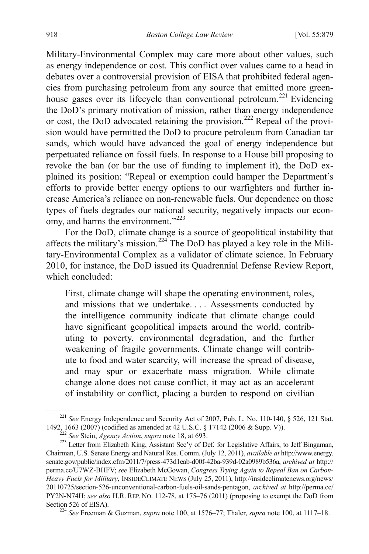Military-Environmental Complex may care more about other values, such as energy independence or cost. This conflict over values came to a head in debates over a controversial provision of EISA that prohibited federal agencies from purchasing petroleum from any source that emitted more green-house gases over its lifecycle than conventional petroleum.<sup>[221](#page-39-7)</sup> Evidencing the DoD's primary motivation of mission, rather than energy independence or cost, the DoD advocated retaining the provision.[222](#page-40-0) Repeal of the provision would have permitted the DoD to procure petroleum from Canadian tar sands, which would have advanced the goal of energy independence but perpetuated reliance on fossil fuels. In response to a House bill proposing to revoke the ban (or bar the use of funding to implement it), the DoD explained its position: "Repeal or exemption could hamper the Department's efforts to provide better energy options to our warfighters and further increase America's reliance on non-renewable fuels. Our dependence on those types of fuels degrades our national security, negatively impacts our econ-omy, and harms the environment."<sup>[223](#page-40-1)</sup>

For the DoD, climate change is a source of geopolitical instability that affects the military's mission.<sup>[224](#page-40-2)</sup> The DoD has played a key role in the Military-Environmental Complex as a validator of climate science. In February 2010, for instance, the DoD issued its Quadrennial Defense Review Report, which concluded:

First, climate change will shape the operating environment, roles, and missions that we undertake. . . . Assessments conducted by the intelligence community indicate that climate change could have significant geopolitical impacts around the world, contributing to poverty, environmental degradation, and the further weakening of fragile governments. Climate change will contribute to food and water scarcity, will increase the spread of disease, and may spur or exacerbate mass migration. While climate change alone does not cause conflict, it may act as an accelerant of instability or conflict, placing a burden to respond on civilian

<span id="page-40-3"></span><sup>&</sup>lt;sup>221</sup> *See* Energy Independence and Security Act of 2007, Pub. L. No. 110-140, § 526, 121 Stat. 1492, 1663 (2007) (codified as amended at 42 U.S.C. § 17142 (2006 & Supp. V)).<br><sup>222</sup> See Stein, *Agency Action*, *supra* note 18, at 693.<br><sup>223</sup> Letter from Elizabeth King, Assistant Sec'y of Def. for Legislative Affairs,

<span id="page-40-1"></span><span id="page-40-0"></span>Chairman, U.S. Senate Energy and Natural Res. Comm. (July 12, 2011), *available at* http://www.energy. senate.gov/public/index.cfm/2011/7/press-473d1eab-d00f-42ba-939d-02a0989b536a, *archived at* http:// perma.cc/U7WZ-BHFV; *see* Elizabeth McGowan, *Congress Trying Again to Repeal Ban on Carbon-Heavy Fuels for Military*, INSIDECLIMATE NEWS (July 25, 2011), http://insideclimatenews.org/news/ 20110725/section-526-unconventional-carbon-fuels-oil-sands-pentagon, *archived at* http://perma.cc/ PY2N-N74H; *see also* H.R. REP. NO. 112-78, at 175–76 (2011) (proposing to exempt the DoD from Section 526 of EISA). <sup>224</sup> *See* Freeman & Guzman, *supra* note 100, at 1576–77; Thaler, *supra* note 100, at 1117–18.

<span id="page-40-2"></span>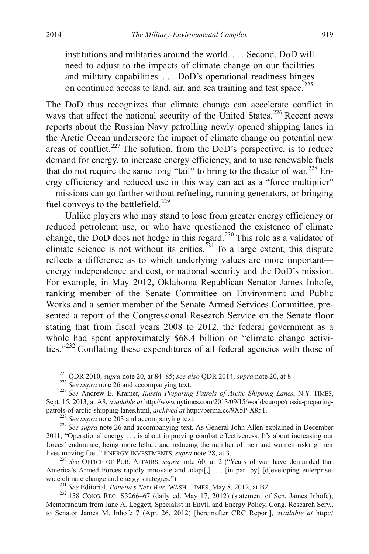institutions and militaries around the world. . . . Second, DoD will need to adjust to the impacts of climate change on our facilities and military capabilities. . . . DoD's operational readiness hinges on continued access to land, air, and sea training and test space.<sup>[225](#page-40-3)</sup>

The DoD thus recognizes that climate change can accelerate conflict in ways that affect the national security of the United States.<sup>[226](#page-41-0)</sup> Recent news reports about the Russian Navy patrolling newly opened shipping lanes in the Arctic Ocean underscore the impact of climate change on potential new areas of conflict.<sup>[227](#page-41-1)</sup> The solution, from the DoD's perspective, is to reduce demand for energy, to increase energy efficiency, and to use renewable fuels that do not require the same long "tail" to bring to the theater of war.<sup>[228](#page-41-2)</sup> Energy efficiency and reduced use in this way can act as a "force multiplier" —missions can go farther without refueling, running generators, or bringing fuel convoys to the battlefield. $^{229}$  $^{229}$  $^{229}$ 

Unlike players who may stand to lose from greater energy efficiency or reduced petroleum use, or who have questioned the existence of climate change, the DoD does not hedge in this regard.<sup>[230](#page-41-4)</sup> This role as a validator of climate science is not without its critics.<sup>[231](#page-41-5)</sup> To a large extent, this dispute reflects a difference as to which underlying values are more important energy independence and cost, or national security and the DoD's mission. For example, in May 2012, Oklahoma Republican Senator James Inhofe, ranking member of the Senate Committee on Environment and Public Works and a senior member of the Senate Armed Services Committee, presented a report of the Congressional Research Service on the Senate floor stating that from fiscal years 2008 to 2012, the federal government as a whole had spent approximately \$68.4 billion on "climate change activities."[232](#page-41-6) Conflating these expenditures of all federal agencies with those of

<sup>&</sup>lt;sup>225</sup> QDR 2010, *supra* note 20, at 84–85; *see also* QDR 2014, *supra* note 20, at 8.<br><sup>226</sup> See supra note 26 and accompanying text.<br><sup>227</sup> See Andrew E. Kramer, *Russia Preparing Patrols of Arctic Shipping Lanes*, N.Y. T

<span id="page-41-1"></span><span id="page-41-0"></span>Sept. 15, 2013, at A8, *available at* http://www.nytimes.com/2013/09/15/world/europe/russia-preparingpatrols-of-arctic-shipping-lanes.html, *archived at* http://perma.cc/9X5P-X85T.<br><sup>228</sup> See supra note 203 and accompanying text.<br><sup>229</sup> See supra note 26 and accompanying text. As General John Allen explained in December

<span id="page-41-3"></span><span id="page-41-2"></span><sup>2011, &</sup>quot;Operational energy . . . is about improving combat effectiveness. It's about increasing our forces' endurance, being more lethal, and reducing the number of men and women risking their lives moving fuel." ENERGY INVESTMENTS, *supra* note 28, at 3. <sup>230</sup> *See* OFFICE OF PUB. AFFAIRS, *supra* note 60, at 2 ("Years of war have demanded that

<span id="page-41-4"></span>America's Armed Forces rapidly innovate and adapt[,] . . . [in part by] [d]eveloping enterprisewide climate change and energy strategies.").<br><sup>231</sup> *See* Editorial, *Panetta's Next War*, WASH. TIMES, May 8, 2012, at B2.<br><sup>232</sup> 158 CONG. REC. S3266–67 (daily ed. May 17, 2012) (statement of Sen. James Inhofe);

<span id="page-41-6"></span><span id="page-41-5"></span>Memorandum from Jane A. Leggett, Specialist in Envtl. and Energy Policy, Cong. Research Serv., to Senator James M. Inhofe 7 (Apr. 26, 2012) [hereinafter CRC Report], *available at* http://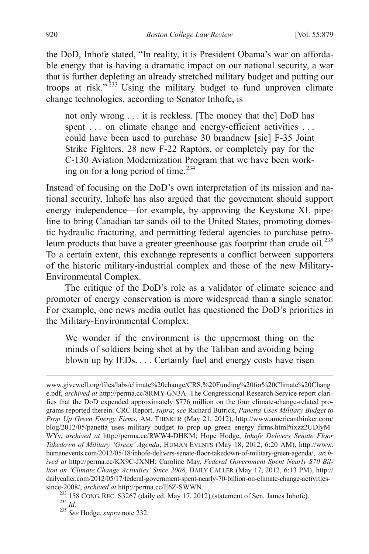the DoD, Inhofe stated, "In reality, it is President Obama's war on affordable energy that is having a dramatic impact on our national security, a war that is further depleting an already stretched military budget and putting our troops at risk." $233$  Using the military budget to fund unproven climate change technologies, according to Senator Inhofe, is

not only wrong . . . it is reckless. [The money that the] DoD has spent . . . on climate change and energy-efficient activities . . . could have been used to purchase 30 brandnew [sic] F-35 Joint Strike Fighters, 28 new F-22 Raptors, or completely pay for the C-130 Aviation Modernization Program that we have been work-ing on for a long period of time.<sup>[234](#page-42-0)</sup>

Instead of focusing on the DoD's own interpretation of its mission and national security, Inhofe has also argued that the government should support energy independence—for example, by approving the Keystone XL pipeline to bring Canadian tar sands oil to the United States, promoting domestic hydraulic fracturing, and permitting federal agencies to purchase petroleum products that have a greater greenhouse gas footprint than crude  $\delta$ il.<sup>[235](#page-42-1)</sup> To a certain extent, this exchange represents a conflict between supporters of the historic military-industrial complex and those of the new Military-Environmental Complex.

The critique of the DoD's role as a validator of climate science and promoter of energy conservation is more widespread than a single senator. For example, one news media outlet has questioned the DoD's priorities in the Military-Environmental Complex:

We wonder if the environment is the uppermost thing on the minds of soldiers being shot at by the Taliban and avoiding being blown up by IEDs. . . . Certainly fuel and energy costs have risen

<span id="page-42-2"></span>www.givewell.org/files/labs/climate%20change/CRS,%20Funding%20for%20Climate%20Chang e.pdf, *archived at* http://perma.cc/8RMY-GN3A. The Congressional Research Service report clarifies that the DoD expended approximately \$776 million on the four climate-change-related programs reported therein. CRC Report, *supra*; *see* Richard Butrick, *Panetta Uses Military Budget to Prop Up Green Energy Firms*, AM. THINKER (May 21, 2012), http://www.americanthinker.com/ blog/2012/05/panetta\_uses\_military\_budget\_to\_prop\_up\_green\_energy\_firms.html#ixzz2UDlyM WYv, *archived at* http://perma.cc/RWW4-DHKM; Hope Hodge, *Inhofe Delivers Senate Floor Takedown of Military 'Green' Agenda*, HUMAN EVENTS (May 18, 2012, 6:20 AM), http://www. humanevents.com/2012/05/18/inhofe-delivers-senate-floor-takedown-of-military-green-agenda/, *archived at* http://perma.cc/KX9C-JXNH; Caroline May, *Federal Government Spent Nearly \$70 Billion on 'Climate Change Activities' Since 2008*, DAILY CALLER (May 17, 2012, 6:13 PM), http:// dailycaller.com/2012/05/17/federal-government-spent-nearly-70-billion-on-climate-change-activities-<br>since-2008/, archived at http://perma.cc/E6Z-SWWN.

<sup>&</sup>lt;sup>233</sup> 158 CONG. REC. S3267 (daily ed. May 17, 2012) (statement of Sen. James Inhofe). <sup>234</sup> *Id.* <sup>235</sup> *See* Hodge, *supra* note 232.

<span id="page-42-1"></span><span id="page-42-0"></span>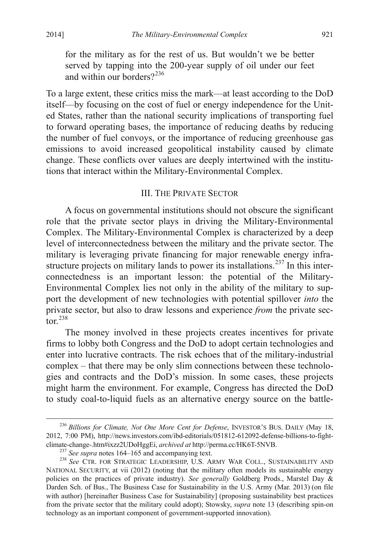for the military as for the rest of us. But wouldn't we be better served by tapping into the 200-year supply of oil under our feet and within our borders $2^{236}$  $2^{236}$  $2^{236}$ 

To a large extent, these critics miss the mark—at least according to the DoD itself—by focusing on the cost of fuel or energy independence for the United States, rather than the national security implications of transporting fuel to forward operating bases, the importance of reducing deaths by reducing the number of fuel convoys, or the importance of reducing greenhouse gas emissions to avoid increased geopolitical instability caused by climate change. These conflicts over values are deeply intertwined with the institutions that interact within the Military-Environmental Complex.

### III. THE PRIVATE SECTOR

A focus on governmental institutions should not obscure the significant role that the private sector plays in driving the Military-Environmental Complex. The Military-Environmental Complex is characterized by a deep level of interconnectedness between the military and the private sector. The military is leveraging private financing for major renewable energy infra-structure projects on military lands to power its installations.<sup>[237](#page-43-0)</sup> In this interconnectedness is an important lesson: the potential of the Military-Environmental Complex lies not only in the ability of the military to support the development of new technologies with potential spillover *into* the private sector, but also to draw lessons and experience *from* the private sec- $\arctan 238$  $\arctan 238$ 

The money involved in these projects creates incentives for private firms to lobby both Congress and the DoD to adopt certain technologies and enter into lucrative contracts. The risk echoes that of the military-industrial complex – that there may be only slim connections between these technologies and contracts and the DoD's mission. In some cases, these projects might harm the environment. For example, Congress has directed the DoD to study coal-to-liquid fuels as an alternative energy source on the battle-

<span id="page-43-2"></span> <sup>236</sup> *Billions for Climate, Not One More Cent for Defense*, INVESTOR'S BUS. DAILY (May 18, 2012, 7:00 PM), http://news.investors.com/ibd-editorials/051812-612092-defense-billions-to-fightclimate-change-.htm#ixzz2UDoHggEi, *archived at* http://perma.cc/HK6T-5NVB. <sup>237</sup> *See supra* notes 164–165 and accompanying text. <sup>238</sup> *See* CTR. FOR STRATEGIC LEADERSHIP, U.S. ARMY WAR COLL., SUSTAINABILITY AND

<span id="page-43-1"></span><span id="page-43-0"></span>NATIONAL SECURITY, at vii (2012) (noting that the military often models its sustainable energy policies on the practices of private industry). *See generally* Goldberg Prods., Marstel Day & Darden Sch. of Bus., The Business Case for Sustainability in the U.S. Army (Mar. 2013) (on file with author) [hereinafter Business Case for Sustainability] (proposing sustainability best practices from the private sector that the military could adopt); Stowsky, *supra* note 13 (describing spin-on technology as an important component of government-supported innovation).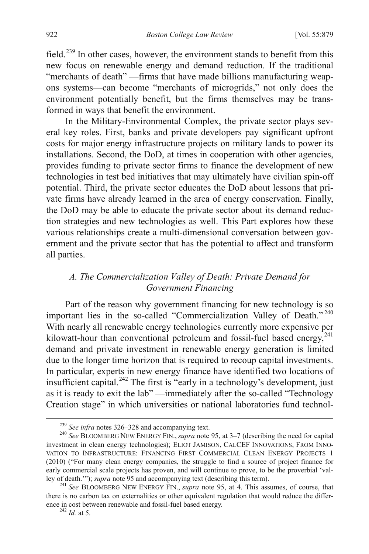field.[239](#page-43-2) In other cases, however, the environment stands to benefit from this new focus on renewable energy and demand reduction. If the traditional "merchants of death" —firms that have made billions manufacturing weapons systems—can become "merchants of microgrids," not only does the environment potentially benefit, but the firms themselves may be transformed in ways that benefit the environment.

In the Military-Environmental Complex, the private sector plays several key roles. First, banks and private developers pay significant upfront costs for major energy infrastructure projects on military lands to power its installations. Second, the DoD, at times in cooperation with other agencies, provides funding to private sector firms to finance the development of new technologies in test bed initiatives that may ultimately have civilian spin-off potential. Third, the private sector educates the DoD about lessons that private firms have already learned in the area of energy conservation. Finally, the DoD may be able to educate the private sector about its demand reduction strategies and new technologies as well. This Part explores how these various relationships create a multi-dimensional conversation between government and the private sector that has the potential to affect and transform all parties.

# *A. The Commercialization Valley of Death: Private Demand for Government Financing*

<span id="page-44-3"></span>Part of the reason why government financing for new technology is so important lies in the so-called "Commercialization Valley of Death."<sup>[240](#page-44-0)</sup> With nearly all renewable energy technologies currently more expensive per kilowatt-hour than conventional petroleum and fossil-fuel based energy,<sup>[241](#page-44-1)</sup> demand and private investment in renewable energy generation is limited due to the longer time horizon that is required to recoup capital investments. In particular, experts in new energy finance have identified two locations of insufficient capital.<sup>[242](#page-44-2)</sup> The first is "early in a technology's development, just as it is ready to exit the lab" —immediately after the so-called "Technology Creation stage" in which universities or national laboratories fund technol-

<span id="page-44-0"></span><sup>&</sup>lt;sup>239</sup> *See infra* notes 326–328 and accompanying text.<br><sup>240</sup> *See* BLOOMBERG NEW ENERGY FIN., *supra* note 95, at 3–7 (describing the need for capital investment in clean energy technologies); ELIOT JAMISON, CALCEF INNOVATIONS, FROM INNO-VATION TO INFRASTRUCTURE: FINANCING FIRST COMMERCIAL CLEAN ENERGY PROJECTS 1 (2010) ("For many clean energy companies, the struggle to find a source of project finance for early commercial scale projects has proven, and will continue to prove, to be the proverbial 'val-<br>ley of death.'''); *supra* note 95 and accompanying text (describing this term).

<span id="page-44-2"></span><span id="page-44-1"></span><sup>&</sup>lt;sup>241</sup> See BLOOMBERG NEW ENERGY FIN., *supra* note 95, at 4. This assumes, of course, that there is no carbon tax on externalities or other equivalent regulation that would reduce the difference in cost between renewable and fossil-fuel based energy. <sup>242</sup> *Id.* at 5.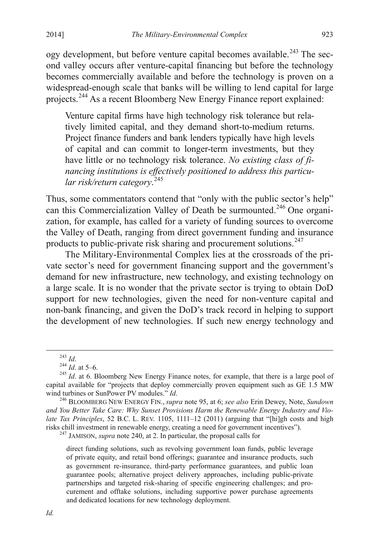ogy development, but before venture capital becomes available.<sup>[243](#page-44-3)</sup> The second valley occurs after venture-capital financing but before the technology becomes commercially available and before the technology is proven on a widespread-enough scale that banks will be willing to lend capital for large projects.[244](#page-45-0) As a recent Bloomberg New Energy Finance report explained:

Venture capital firms have high technology risk tolerance but relatively limited capital, and they demand short-to-medium returns. Project finance funders and bank lenders typically have high levels of capital and can commit to longer-term investments, but they have little or no technology risk tolerance. *No existing class of financing institutions is effectively positioned to address this particular risk/return category*. [245](#page-45-1)

Thus, some commentators contend that "only with the public sector's help" can this Commercialization Valley of Death be surmounted.<sup>[246](#page-45-2)</sup> One organization, for example, has called for a variety of funding sources to overcome the Valley of Death, ranging from direct government funding and insurance products to public-private risk sharing and procurement solutions.<sup>[247](#page-45-3)</sup>

The Military-Environmental Complex lies at the crossroads of the private sector's need for government financing support and the government's demand for new infrastructure, new technology, and existing technology on a large scale. It is no wonder that the private sector is trying to obtain DoD support for new technologies, given the need for non-venture capital and non-bank financing, and given the DoD's track record in helping to support the development of new technologies. If such new energy technology and

<span id="page-45-4"></span><sup>247</sup> JAMISON, *supra* note 240, at 2. In particular, the proposal calls for

direct funding solutions, such as revolving government loan funds, public leverage of private equity, and retail bond offerings; guarantee and insurance products, such as government re-insurance, third-party performance guarantees, and public loan guarantee pools; alternative project delivery approaches, including public-private partnerships and targeted risk-sharing of specific engineering challenges; and procurement and offtake solutions, including supportive power purchase agreements and dedicated locations for new technology deployment.

<span id="page-45-1"></span><span id="page-45-0"></span><sup>&</sup>lt;sup>243</sup> *Id.*<br><sup>244</sup> *Id.* at 5–6.<br><sup>245</sup> *Id.* at 6. Bloomberg New Energy Finance notes, for example, that there is a large pool of capital available for "projects that deploy commercially proven equipment such as GE 1.5 MW wind turbines or SunPower PV modules." *Id.* 246 BLOOMBERG NEW ENERGY FIN., *supra* note 95, at 6; *see also* Erin Dewey, Note, *Sundown* 

<span id="page-45-3"></span><span id="page-45-2"></span>*and You Better Take Care: Why Sunset Provisions Harm the Renewable Energy Industry and Violate Tax Principles*, 52 B.C. L. REV. 1105, 1111–12 (2011) (arguing that "[hi]gh costs and high risks chill investment in renewable energy, creating a need for government incentives").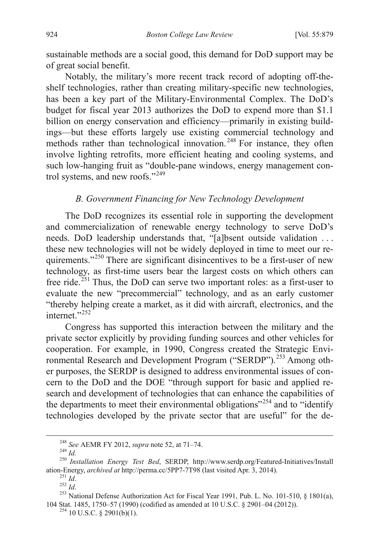sustainable methods are a social good, this demand for DoD support may be of great social benefit.

Notably, the military's more recent track record of adopting off-theshelf technologies, rather than creating military-specific new technologies, has been a key part of the Military-Environmental Complex. The DoD's budget for fiscal year 2013 authorizes the DoD to expend more than \$1.1 billion on energy conservation and efficiency—primarily in existing buildings—but these efforts largely use existing commercial technology and methods rather than technological innovation.<sup>[248](#page-45-4)</sup> For instance, they often involve lighting retrofits, more efficient heating and cooling systems, and such low-hanging fruit as "double-pane windows, energy management control systems, and new roofs."[249](#page-46-0)

## *B. Government Financing for New Technology Development*

The DoD recognizes its essential role in supporting the development and commercialization of renewable energy technology to serve DoD's needs. DoD leadership understands that, "[a]bsent outside validation . . . these new technologies will not be widely deployed in time to meet our re-quirements."<sup>[250](#page-46-1)</sup> There are significant disincentives to be a first-user of new technology, as first-time users bear the largest costs on which others can free ride.[251](#page-46-2) Thus, the DoD can serve two important roles: as a first-user to evaluate the new "precommercial" technology, and as an early customer "thereby helping create a market, as it did with aircraft, electronics, and the internet<sup>"[252](#page-46-3)</sup>

<span id="page-46-6"></span>Congress has supported this interaction between the military and the private sector explicitly by providing funding sources and other vehicles for cooperation. For example, in 1990, Congress created the Strategic Envi-ronmental Research and Development Program ("SERDP").<sup>[253](#page-46-4)</sup> Among other purposes, the SERDP is designed to address environmental issues of concern to the DoD and the DOE "through support for basic and applied research and development of technologies that can enhance the capabilities of the departments to meet their environmental obligations<sup> $254$ </sup> and to "identify" technologies developed by the private sector that are useful" for the de-

<span id="page-46-0"></span><sup>&</sup>lt;sup>248</sup> *See AEMR FY 2012, supra* note 52, at 71–74.<br><sup>249</sup> *Id.* 250 *Installation Energy Test Bed*, SERDP, http://www.serdp.org/Featured-Initiatives/Install ation-Energy, *archived at* http://perma.cc/5PP7-7T98 (last visite

<span id="page-46-5"></span><span id="page-46-4"></span><span id="page-46-3"></span><span id="page-46-2"></span><span id="page-46-1"></span><sup>&</sup>lt;sup>251</sup> *Id.* <sup>252</sup> *Id.* <sup>252</sup> *Id.* <sup>252</sup> *Id.* 253 *Id.* 253 *Id.* 253 National Defense Authorization Act for Fiscal Year 1991, Pub. L. No. 101-510, § 1801(a), 104 Stat. 1485, 1750–57 (1990) (codified as amended at 10 U.S.C. § 2901–04 (2012)). <sup>254</sup> 10 U.S.C. § 2901(b)(1).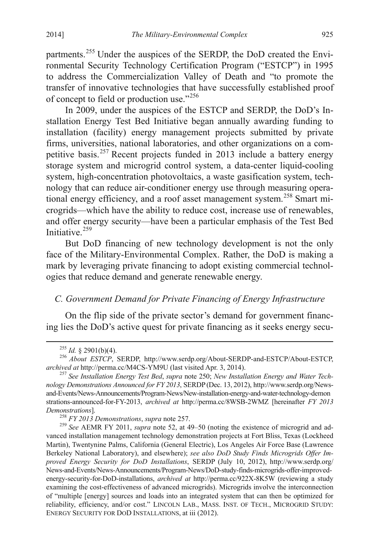partments.<sup>[255](#page-46-6)</sup> Under the auspices of the SERDP, the DoD created the Environmental Security Technology Certification Program ("ESTCP") in 1995 to address the Commercialization Valley of Death and "to promote the transfer of innovative technologies that have successfully established proof of concept to field or production use."[256](#page-47-0)

In 2009, under the auspices of the ESTCP and SERDP, the DoD's Installation Energy Test Bed Initiative began annually awarding funding to installation (facility) energy management projects submitted by private firms, universities, national laboratories, and other organizations on a com-petitive basis.<sup>[257](#page-47-1)</sup> Recent projects funded in 2013 include a battery energy storage system and microgrid control system, a data-center liquid-cooling system, high-concentration photovoltaics, a waste gasification system, technology that can reduce air-conditioner energy use through measuring opera-tional energy efficiency, and a roof asset management system.<sup>[258](#page-47-2)</sup> Smart microgrids—which have the ability to reduce cost, increase use of renewables, and offer energy security—have been a particular emphasis of the Test Bed Initiative.<sup>[259](#page-47-3)</sup>

But DoD financing of new technology development is not the only face of the Military-Environmental Complex. Rather, the DoD is making a mark by leveraging private financing to adopt existing commercial technologies that reduce demand and generate renewable energy.

# *C. Government Demand for Private Financing of Energy Infrastructure*

On the flip side of the private sector's demand for government financing lies the DoD's active quest for private financing as it seeks energy secu-

<span id="page-47-0"></span><sup>&</sup>lt;sup>255</sup> *Id.* § 2901(b)(4).<br><sup>256</sup> *About ESTCP*, SERDP, http://www.serdp.org/About-SERDP-and-ESTCP/About-ESTCP, archived at http://perma.cc/M4CS-YM9U (last visited Apr. 3, 2014).

<span id="page-47-1"></span><sup>&</sup>lt;sup>257</sup> See Installation Energy Test Bed, supra note 250; *New Installation Energy and Water Technology Demonstrations Announced for FY 2013*, SERDP(Dec. 13, 2012), http://www.serdp.org/Newsand-Events/News-Announcements/Program-News/New-installation-energy-and-water-technology-demon strations-announced-for-FY-2013, *archived at* http://perma.cc/8WSB-2WMZ [hereinafter *FY 2013 Pemonstrations*].<br><sup>258</sup> *FY 2013 Demonstrations, supra* note 257.<br><sup>259</sup> *See* AEMR FY 2011, *supra* note 52, at 49–50 (noting the existence of microgrid and ad-

<span id="page-47-3"></span><span id="page-47-2"></span>vanced installation management technology demonstration projects at Fort Bliss, Texas (Lockheed Martin), Twentynine Palms, California (General Electric), Los Angeles Air Force Base (Lawrence Berkeley National Laboratory), and elsewhere); *see also DoD Study Finds Microgrids Offer Improved Energy Security for DoD Installations*, SERDP (July 10, 2012), http://www.serdp.org/ News-and-Events/News-Announcements/Program-News/DoD-study-finds-microgrids-offer-improvedenergy-security-for-DoD-installations, *archived at* http://perma.cc/922X-8K5W (reviewing a study examining the cost-effectiveness of advanced microgrids). Microgrids involve the interconnection of "multiple [energy] sources and loads into an integrated system that can then be optimized for reliability, efficiency, and/or cost." LINCOLN LAB., MASS. INST. OF TECH., MICROGRID STUDY: ENERGY SECURITY FOR DOD INSTALLATIONS, at iii (2012).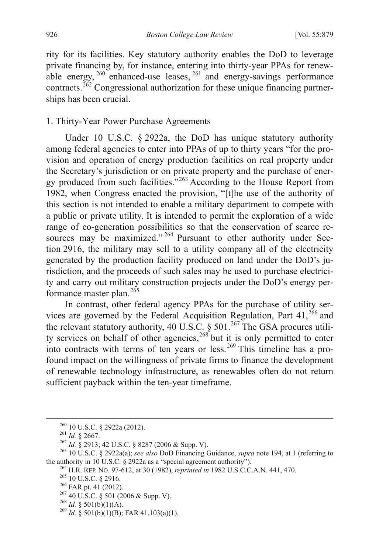rity for its facilities. Key statutory authority enables the DoD to leverage private financing by, for instance, entering into thirty-year PPAs for renew-able energy, <sup>[260](#page-47-3)</sup> enhanced-use leases, <sup>[261](#page-48-0)</sup> and energy-savings performance contracts.<sup> $262$ </sup> Congressional authorization for these unique financing partnerships has been crucial.

## 1. Thirty-Year Power Purchase Agreements

Under 10 U.S.C. § 2922a, the DoD has unique statutory authority among federal agencies to enter into PPAs of up to thirty years "for the provision and operation of energy production facilities on real property under the Secretary's jurisdiction or on private property and the purchase of ener-gy produced from such facilities."<sup>[263](#page-48-2)</sup> According to the House Report from 1982, when Congress enacted the provision, "[t]he use of the authority of this section is not intended to enable a military department to compete with a public or private utility. It is intended to permit the exploration of a wide range of co-generation possibilities so that the conservation of scarce re-sources may be maximized."<sup>[264](#page-48-3)</sup> Pursuant to other authority under Section 2916, the military may sell to a utility company all of the electricity generated by the production facility produced on land under the DoD's jurisdiction, and the proceeds of such sales may be used to purchase electricity and carry out military construction projects under the DoD's energy performance master plan. $265$ 

In contrast, other federal agency PPAs for the purchase of utility ser-vices are governed by the Federal Acquisition Regulation, Part 41,<sup>[266](#page-48-5)</sup> and the relevant statutory authority, 40 U.S.C. § 501.<sup>[267](#page-48-6)</sup> The GSA procures utili-ty services on behalf of other agencies,<sup>[268](#page-48-7)</sup> but it is only permitted to enter into contracts with terms of ten years or less.<sup>[269](#page-48-8)</sup> This timeline has a profound impact on the willingness of private firms to finance the development of renewable technology infrastructure, as renewables often do not return sufficient payback within the ten-year timeframe.

<span id="page-48-2"></span><span id="page-48-1"></span><span id="page-48-0"></span><sup>&</sup>lt;sup>260</sup> 10 U.S.C. § 2922a (2012).<br><sup>261</sup> *Id.* § 2667.<br><sup>262</sup> *Id.* § 2913; 42 U.S.C. § 8287 (2006 & Supp. V).<br><sup>263</sup> 10 U.S.C. § 2922a(a); *see also* DoD Financing Guidance, *supra* note 194, at 1 (referring to the authority

<span id="page-48-4"></span><span id="page-48-3"></span><sup>&</sup>lt;sup>264</sup> H.R. REP. NO. 97-612, at 30 (1982), *reprinted in* 1982 U.S.C.C.A.N. 441, 470.<br><sup>265</sup> 10 U.S.C. § 2916.<br><sup>266</sup> FAR pt. 41 (2012).<br><sup>267</sup> 40 U.S.C. § 501 (2006 & Supp. V).<br><sup>268</sup> Id. § 501(b)(1)(A).<br><sup>268</sup> Id. § 501(b)(1)

<span id="page-48-5"></span>

<span id="page-48-6"></span>

<span id="page-48-8"></span><span id="page-48-7"></span>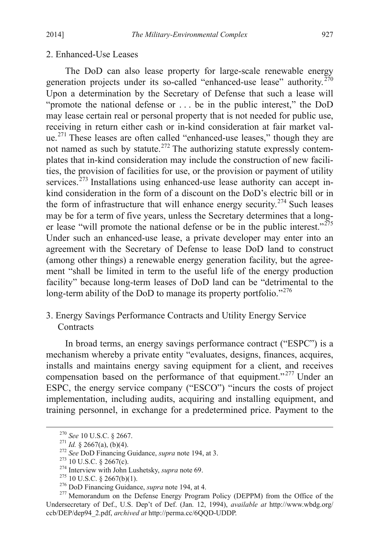#### 2. Enhanced-Use Leases

The DoD can also lease property for large-scale renewable energy generation projects under its so-called "enhanced-use lease" authority.<sup>[270](#page-48-0)</sup> Upon a determination by the Secretary of Defense that such a lease will "promote the national defense or . . . be in the public interest," the DoD may lease certain real or personal property that is not needed for public use, receiving in return either cash or in-kind consideration at fair market val-ue.<sup>[271](#page-49-0)</sup> These leases are often called "enhanced-use leases," though they are not named as such by statute.<sup>[272](#page-49-1)</sup> The authorizing statute expressly contemplates that in-kind consideration may include the construction of new facilities, the provision of facilities for use, or the provision or payment of utility services.<sup>[273](#page-49-2)</sup> Installations using enhanced-use lease authority can accept inkind consideration in the form of a discount on the DoD's electric bill or in the form of infrastructure that will enhance energy security.<sup>[274](#page-49-3)</sup> Such leases may be for a term of five years, unless the Secretary determines that a longer lease "will promote the national defense or be in the public interest." $275$ Under such an enhanced-use lease, a private developer may enter into an agreement with the Secretary of Defense to lease DoD land to construct (among other things) a renewable energy generation facility, but the agreement "shall be limited in term to the useful life of the energy production facility" because long-term leases of DoD land can be "detrimental to the long-term ability of the DoD to manage its property portfolio."<sup>[276](#page-49-5)</sup>

# <span id="page-49-7"></span>3. Energy Savings Performance Contracts and Utility Energy Service **Contracts**

In broad terms, an energy savings performance contract ("ESPC") is a mechanism whereby a private entity "evaluates, designs, finances, acquires, installs and maintains energy saving equipment for a client, and receives compensation based on the performance of that equipment."<sup>[277](#page-49-6)</sup> Under an ESPC, the energy service company ("ESCO") "incurs the costs of project implementation, including audits, acquiring and installing equipment, and training personnel, in exchange for a predetermined price. Payment to the

<span id="page-49-4"></span>

<span id="page-49-6"></span><span id="page-49-5"></span>

<span id="page-49-3"></span><span id="page-49-2"></span><span id="page-49-1"></span><span id="page-49-0"></span><sup>&</sup>lt;sup>270</sup> See 10 U.S.C. § 2667.<br><sup>271</sup> Id. § 2667(a), (b)(4).<br><sup>272</sup> See DoD Financing Guidance, *supra* note 194, at 3.<br><sup>273</sup> 10 U.S.C. § 2667(c).<br><sup>274</sup> Interview with John Lushetsky, *supra* note 69.<br><sup>275</sup> 10 U.S.C. § 2667(b) Undersecretary of Def., U.S. Dep't of Def. (Jan. 12, 1994), *available at* http://www.wbdg.org/ ccb/DEP/dep94\_2.pdf, *archived at* http://perma.cc/6QQD-UDDP.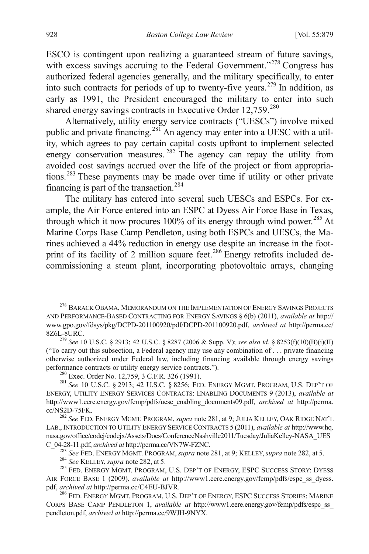ESCO is contingent upon realizing a guaranteed stream of future savings, with excess savings accruing to the Federal Government."<sup>[278](#page-49-7)</sup> Congress has authorized federal agencies generally, and the military specifically, to enter into such contracts for periods of up to twenty-five years.[279](#page-50-0) In addition, as early as 1991, the President encouraged the military to enter into such shared energy savings contracts in Executive Order 12,759.<sup>[280](#page-50-1)</sup>

Alternatively, utility energy service contracts ("UESCs") involve mixed public and private financing.<sup>[281](#page-50-2)</sup> An agency may enter into a UESC with a utility, which agrees to pay certain capital costs upfront to implement selected energy conservation measures.<sup>[282](#page-50-3)</sup> The agency can repay the utility from avoided cost savings accrued over the life of the project or from appropriations.[283](#page-50-4) These payments may be made over time if utility or other private financing is part of the transaction.<sup>[284](#page-50-5)</sup>

The military has entered into several such UESCs and ESPCs. For example, the Air Force entered into an ESPC at Dyess Air Force Base in Texas, through which it now procures 100% of its energy through wind power.<sup>[285](#page-50-6)</sup> At Marine Corps Base Camp Pendleton, using both ESPCs and UESCs, the Marines achieved a 44% reduction in energy use despite an increase in the foot-print of its facility of 2 million square feet.<sup>[286](#page-50-7)</sup> Energy retrofits included decommissioning a steam plant, incorporating photovoltaic arrays, changing

<sup>&</sup>lt;sup>278</sup> BARACK OBAMA, MEMORANDUM ON THE IMPLEMENTATION OF ENERGY SAVINGS PROJECTS AND PERFORMANCE-BASED CONTRACTING FOR ENERGY SAVINGS § 6(b) (2011), *available at* http:// www.gpo.gov/fdsys/pkg/DCPD-201100920/pdf/DCPD-201100920.pdf, *archived at* http://perma.cc/ 8Z6L-8URC.

<span id="page-50-0"></span><sup>279</sup> *See* 10 U.S.C. § 2913; 42 U.S.C. § 8287 (2006 & Supp. V); *see also id.* § 8253(f)(10)(B)(i)(II) ("To carry out this subsection, a Federal agency may use any combination of . . . private financing otherwise authorized under Federal law, including financing available through energy savings performance contracts or utility energy service contracts."). <sup>280</sup> Exec. Order No. 12,759, 3 C.F.R. 326 (1991). <sup>281</sup> *See* 10 U.S.C. § 2913; 42 U.S.C. § 8256; FED. ENERGY MGMT. PROGRAM, U.S. DEP'T OF

<span id="page-50-8"></span><span id="page-50-2"></span><span id="page-50-1"></span>ENERGY, UTILITY ENERGY SERVICES CONTRACTS: ENABLING DOCUMENTS 9 (2013), *available at* http://www1.eere.energy.gov/femp/pdfs/uesc\_enabling\_documents09.pdf, *archived at* http://perma. cc/NS2D-75FK. <sup>282</sup> *See* FED. ENERGY MGMT. PROGRAM, *supra* note 281, at 9; JULIA KELLEY, OAK RIDGE NAT'L

<span id="page-50-3"></span>LAB., INTRODUCTION TO UTILITY ENERGY SERVICE CONTRACTS 5 (2011), *available at* http://www.hq. nasa.gov/office/codej/codejx/Assets/Docs/ConferenceNashville2011/Tuesday/JuliaKelley-NASA\_UES C\_04-28-11.pdf, *archived at http://perma.cc/VN7W-FZNC.*<br><sup>283</sup> See FED. ENERGY MGMT. PROGRAM, *supra* note 281, at 9; KELLEY, *supra* note 282, at 5.<br><sup>284</sup> See KELLEY, *supra* note 282, at 5.<br><sup>285</sup> FED. ENERGY MGMT. PROGRA

<span id="page-50-6"></span><span id="page-50-5"></span><span id="page-50-4"></span>AIR FORCE BASE 1 (2009), *available at* http://www1.eere.energy.gov/femp/pdfs/espc\_ss\_dyess.<br>pdf, *archived at* http://perma.cc/C4EU-BJVR.

<span id="page-50-7"></span><sup>&</sup>lt;sup>286</sup> FED. ENERGY MGMT. PROGRAM, U.S. DEP'T OF ENERGY, ESPC SUCCESS STORIES: MARINE CORPS BASE CAMP PENDLETON 1, *available at* http://www1.eere.energy.gov/femp/pdfs/espc\_ss\_ pendleton.pdf, *archived at* http://perma.cc/9WJH-9NYX.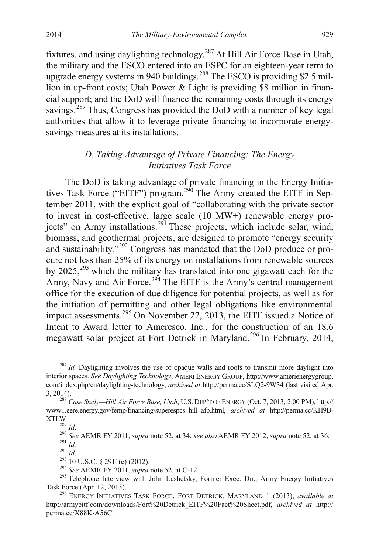fixtures, and using daylighting technology.[287](#page-50-8) At Hill Air Force Base in Utah, the military and the ESCO entered into an ESPC for an eighteen-year term to upgrade energy systems in 940 buildings.<sup>[288](#page-51-0)</sup> The ESCO is providing \$2.5 million in up-front costs; Utah Power & Light is providing \$8 million in financial support; and the DoD will finance the remaining costs through its energy savings.<sup>[289](#page-51-1)</sup> Thus, Congress has provided the DoD with a number of key legal authorities that allow it to leverage private financing to incorporate energysavings measures at its installations.

## *D. Taking Advantage of Private Financing: The Energy Initiatives Task Force*

The DoD is taking advantage of private financing in the Energy Initia-tives Task Force ("EITF") program.<sup>[290](#page-51-2)</sup> The Army created the EITF in September 2011, with the explicit goal of "collaborating with the private sector to invest in cost-effective, large scale (10 MW+) renewable energy pro-jects" on Army installations.<sup>[291](#page-51-3)</sup> These projects, which include solar, wind, biomass, and geothermal projects, are designed to promote "energy security and sustainability."[292](#page-51-4) Congress has mandated that the DoD produce or procure not less than 25% of its energy on installations from renewable sources by  $2025$ ,<sup>[293](#page-51-5)</sup> which the military has translated into one gigawatt each for the Army, Navy and Air Force.<sup>[294](#page-51-6)</sup> The EITF is the Army's central management office for the execution of due diligence for potential projects, as well as for the initiation of permitting and other legal obligations like environmental impact assessments.<sup>[295](#page-51-7)</sup> On November 22, 2013, the EITF issued a Notice of Intent to Award letter to Ameresco, Inc., for the construction of an 18.6 megawatt solar project at Fort Detrick in Maryland.<sup>[296](#page-51-8)</sup> In February, 2014,

<span id="page-51-9"></span><sup>&</sup>lt;sup>287</sup> *Id.* Daylighting involves the use of opaque walls and roofs to transmit more daylight into interior spaces. *See Daylighting Technology*, AMERI ENERGY GROUP, http://www.amerienergygroup. com/index.php/en/daylighting-technology, *archived at* http://perma.cc/SLQ2-9W34 (last visited Apr. 3, 2014). <sup>288</sup> *Case Study—Hill Air Force Base, Utah*, U.S. DEP'T OF ENERGY (Oct. 7, 2013, 2:00 PM), http://

<span id="page-51-0"></span>www1.eere.energy.gov/femp/financing/superespcs\_hill\_afb.html, *archived at* http://perma.cc/KH9B-

<span id="page-51-3"></span><span id="page-51-2"></span><span id="page-51-1"></span>XTLW.<br>
<sup>289</sup> *Id.*<br>
<sup>290</sup> *See* AEMR FY 2011, *supra* note 52, at 34; *see also* AEMR FY 2012, *supra* note 52, at 36.<br>
<sup>291</sup> *Id.*<br>
<sup>292</sup> *Id.*<br>
<sup>293</sup> 10 U.S.C. § 2911(e) (2012).<br>
<sup>294</sup> *See* AEMR FY 2011, *supra* note 5

<span id="page-51-7"></span><span id="page-51-6"></span><span id="page-51-5"></span><span id="page-51-4"></span>Task Force (Apr. 12, 2013). <sup>296</sup> ENERGY INITIATIVES TASK FORCE, FORT DETRICK, MARYLAND 1 (2013), *available at* 

<span id="page-51-8"></span>http://armyeitf.com/downloads/Fort%20Detrick\_EITF%20Fact%20Sheet.pdf, *archived at* http:// perma.cc/X88K-A56C.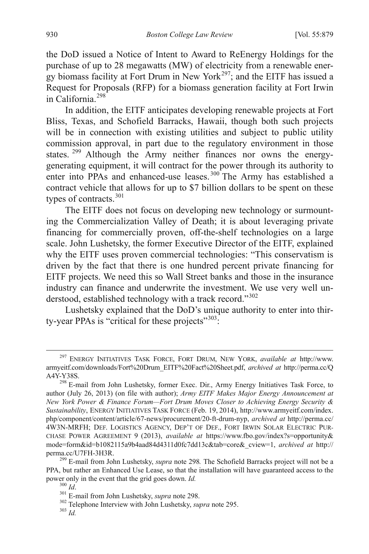the DoD issued a Notice of Intent to Award to ReEnergy Holdings for the purchase of up to 28 megawatts (MW) of electricity from a renewable energy biomass facility at Fort Drum in New York<sup>297</sup>; and the EITF has issued a Request for Proposals (RFP) for a biomass generation facility at Fort Irwin in California.<sup>[298](#page-52-0)</sup>

In addition, the EITF anticipates developing renewable projects at Fort Bliss, Texas, and Schofield Barracks, Hawaii, though both such projects will be in connection with existing utilities and subject to public utility commission approval, in part due to the regulatory environment in those states. <sup>[299](#page-52-1)</sup> Although the Army neither finances nor owns the energygenerating equipment, it will contract for the power through its authority to enter into PPAs and enhanced-use leases.<sup>[300](#page-52-2)</sup> The Army has established a contract vehicle that allows for up to \$7 billion dollars to be spent on these types of contracts.<sup>[301](#page-52-3)</sup>

The EITF does not focus on developing new technology or surmounting the Commercialization Valley of Death; it is about leveraging private financing for commercially proven, off-the-shelf technologies on a large scale. John Lushetsky, the former Executive Director of the EITF, explained why the EITF uses proven commercial technologies: "This conservatism is driven by the fact that there is one hundred percent private financing for EITF projects. We need this so Wall Street banks and those in the insurance industry can finance and underwrite the investment. We use very well understood, established technology with a track record."[302](#page-52-4)

Lushetsky explained that the DoD's unique authority to enter into thir-ty-year PPAs is "critical for these projects"<sup>[303](#page-52-5)</sup>:

 <sup>297</sup> ENERGY INITIATIVES TASK FORCE, FORT DRUM, NEW YORK, *available at* http://www. armyeitf.com/downloads/Fort%20Drum\_EITF%20Fact%20Sheet.pdf, *archived at* http://perma.cc/Q A4Y-Y38S.

<span id="page-52-6"></span><span id="page-52-0"></span><sup>&</sup>lt;sup>298</sup> E-mail from John Lushetsky, former Exec. Dir., Army Energy Initiatives Task Force, to author (July 26, 2013) (on file with author); *Army EITF Makes Major Energy Announcement at New York Power & Finance Forum—Fort Drum Moves Closer to Achieving Energy Security & Sustainability*, ENERGY INITIATIVES TASK FORCE (Feb. 19, 2014), http://www.armyeitf.com/index. php/component/content/article/67-news/procurement/20-ft-drum-nyp, *archived at* http://perma.cc/ 4W3N-MRFH; DEF. LOGISTICS AGENCY, DEP'T OF DEF., FORT IRWIN SOLAR ELECTRIC PUR-CHASE POWER AGREEMENT 9 (2013), *available at* https://www.fbo.gov/index?s=opportunity& mode=form&id=b1082115a9b4aad84d4311d0fc7dd13c&tab=core&\_cview=1, *archived at* http://

<span id="page-52-3"></span><span id="page-52-2"></span><span id="page-52-1"></span><sup>&</sup>lt;sup>299</sup> E-mail from John Lushetsky, *supra* note 298. The Schofield Barracks project will not be a PPA, but rather an Enhanced Use Lease, so that the installation will have guaranteed access to the power only in the event that the grid goes down. *Id.* <sup>300</sup> *Id.* <sup>301</sup> E-mail from John Lushetsky, *supra* note 298. <sup>302</sup> Telephone Interview with John Lushetsky, *supra* note 295. <sup>303</sup> *Id* 

<span id="page-52-5"></span><span id="page-52-4"></span>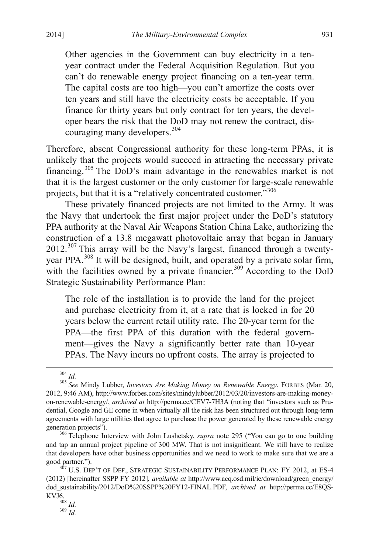Other agencies in the Government can buy electricity in a tenyear contract under the Federal Acquisition Regulation. But you can't do renewable energy project financing on a ten-year term. The capital costs are too high—you can't amortize the costs over ten years and still have the electricity costs be acceptable. If you finance for thirty years but only contract for ten years, the developer bears the risk that the DoD may not renew the contract, dis-couraging many developers.<sup>[304](#page-52-6)</sup>

Therefore, absent Congressional authority for these long-term PPAs, it is unlikely that the projects would succeed in attracting the necessary private financing.[305](#page-53-0) The DoD's main advantage in the renewables market is not that it is the largest customer or the only customer for large-scale renewable projects, but that it is a "relatively concentrated customer."<sup>[306](#page-53-1)</sup>

These privately financed projects are not limited to the Army. It was the Navy that undertook the first major project under the DoD's statutory PPA authority at the Naval Air Weapons Station China Lake, authorizing the construction of a 13.8 megawatt photovoltaic array that began in January  $2012$ .<sup>[307](#page-53-2)</sup> This array will be the Navy's largest, financed through a twentyyear PPA.[308](#page-53-3) It will be designed, built, and operated by a private solar firm, with the facilities owned by a private financier.<sup>[309](#page-53-4)</sup> According to the DoD Strategic Sustainability Performance Plan:

The role of the installation is to provide the land for the project and purchase electricity from it, at a rate that is locked in for 20 years below the current retail utility rate. The 20-year term for the PPA—the first PPA of this duration with the federal government—gives the Navy a significantly better rate than 10-year PPAs. The Navy incurs no upfront costs. The array is projected to

<span id="page-53-0"></span><sup>304</sup> *Id.* <sup>305</sup> *See* Mindy Lubber, *Investors Are Making Money on Renewable Energy*, FORBES (Mar. 20, 2012, 9:46 AM), http://www.forbes.com/sites/mindylubber/2012/03/20/investors-are-making-moneyon-renewable-energy/, *archived at* http://perma.cc/CEV7-7H3A (noting that "investors such as Prudential, Google and GE come in when virtually all the risk has been structured out through long-term agreements with large utilities that agree to purchase the power generated by these renewable energy generation projects").

<span id="page-53-1"></span><sup>&</sup>lt;sup>306</sup> Telephone Interview with John Lushetsky, *supra* note 295 ("You can go to one building and tap an annual project pipeline of 300 MW. That is not insignificant. We still have to realize that developers have other business opportunities and we need to work to make sure that we are a good partner.").<br><sup>307</sup> U.S. DEP'T OF DEF., STRATEGIC SUSTAINABILITY PERFORMANCE PLAN: FY 2012, at ES-4

<span id="page-53-2"></span><sup>(2012) [</sup>hereinafter SSPP FY 2012], *available at* http://www.acq.osd.mil/ie/download/green\_energy/ dod\_sustainability/2012/DoD%20SSPP%20FY12-FINAL.PDF, *archived at* http://perma.cc/E8QS-KVJ6. <sup>308</sup> *Id.* <sup>309</sup> *Id.*

<span id="page-53-4"></span><span id="page-53-3"></span>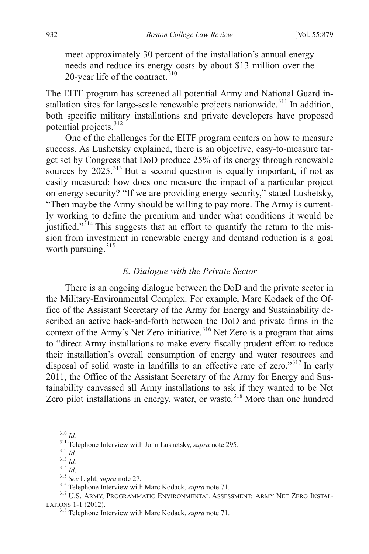meet approximately 30 percent of the installation's annual energy needs and reduce its energy costs by about \$13 million over the 20-year life of the contract. $310$ 

The EITF program has screened all potential Army and National Guard in-stallation sites for large-scale renewable projects nationwide.<sup>[311](#page-54-0)</sup> In addition, both specific military installations and private developers have proposed potential projects.<sup>[312](#page-54-1)</sup>

One of the challenges for the EITF program centers on how to measure success. As Lushetsky explained, there is an objective, easy-to-measure target set by Congress that DoD produce 25% of its energy through renewable sources by 2025.<sup>[313](#page-54-2)</sup> But a second question is equally important, if not as easily measured: how does one measure the impact of a particular project on energy security? "If we are providing energy security," stated Lushetsky, "Then maybe the Army should be willing to pay more. The Army is currently working to define the premium and under what conditions it would be justified. $1^{314}$  $1^{314}$  $1^{314}$  This suggests that an effort to quantify the return to the mission from investment in renewable energy and demand reduction is a goal worth pursuing.<sup>[315](#page-54-4)</sup>

## *E. Dialogue with the Private Sector*

There is an ongoing dialogue between the DoD and the private sector in the Military-Environmental Complex. For example, Marc Kodack of the Office of the Assistant Secretary of the Army for Energy and Sustainability described an active back-and-forth between the DoD and private firms in the context of the Army's Net Zero initiative.<sup>[316](#page-54-5)</sup> Net Zero is a program that aims to "direct Army installations to make every fiscally prudent effort to reduce their installation's overall consumption of energy and water resources and disposal of solid waste in landfills to an effective rate of zero."<sup>[317](#page-54-6)</sup> In early 2011, the Office of the Assistant Secretary of the Army for Energy and Sustainability canvassed all Army installations to ask if they wanted to be Net Zero pilot installations in energy, water, or waste.<sup>[318](#page-54-7)</sup> More than one hundred

<span id="page-54-6"></span><span id="page-54-5"></span><span id="page-54-4"></span><span id="page-54-3"></span>

<span id="page-54-8"></span><span id="page-54-2"></span><span id="page-54-1"></span><span id="page-54-0"></span><sup>&</sup>lt;sup>310</sup> *Id.*<br><sup>311</sup> Telephone Interview with John Lushetsky, *supra* note 295.<br><sup>312</sup> *Id.*<br><sup>313</sup> *Id.*<br><sup>314</sup> *Id.*<br><sup>315</sup> See Light, *supra* note 27.<br><sup>316</sup> Telephone Interview with Marc Kodack, *supra* note 71.<br><sup>317</sup> U.S. AR LATIONS 1-1 (2012). <sup>318</sup> Telephone Interview with Marc Kodack, *supra* note 71.

<span id="page-54-7"></span>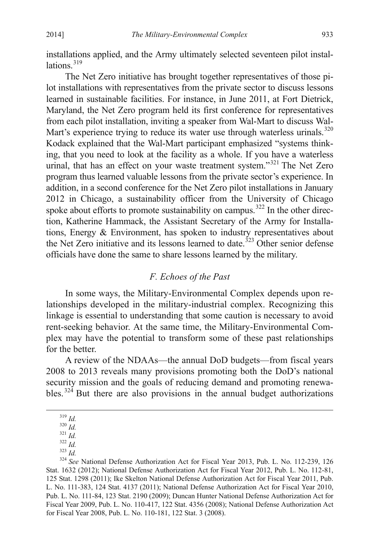installations applied, and the Army ultimately selected seventeen pilot installations $^{319}$  $^{319}$  $^{319}$ 

The Net Zero initiative has brought together representatives of those pilot installations with representatives from the private sector to discuss lessons learned in sustainable facilities. For instance, in June 2011, at Fort Dietrick, Maryland, the Net Zero program held its first conference for representatives from each pilot installation, inviting a speaker from Wal-Mart to discuss Wal-Mart's experience trying to reduce its water use through waterless urinals.<sup>[320](#page-55-0)</sup> Kodack explained that the Wal-Mart participant emphasized "systems thinking, that you need to look at the facility as a whole. If you have a waterless urinal, that has an effect on your waste treatment system."<sup>[321](#page-55-1)</sup> The Net Zero program thus learned valuable lessons from the private sector's experience. In addition, in a second conference for the Net Zero pilot installations in January 2012 in Chicago, a sustainability officer from the University of Chicago spoke about efforts to promote sustainability on campus.<sup>[322](#page-55-2)</sup> In the other direction, Katherine Hammack, the Assistant Secretary of the Army for Installations, Energy & Environment, has spoken to industry representatives about the Net Zero initiative and its lessons learned to date.<sup>[323](#page-55-3)</sup> Other senior defense officials have done the same to share lessons learned by the military.

## *F. Echoes of the Past*

In some ways, the Military-Environmental Complex depends upon relationships developed in the military-industrial complex. Recognizing this linkage is essential to understanding that some caution is necessary to avoid rent-seeking behavior. At the same time, the Military-Environmental Complex may have the potential to transform some of these past relationships for the better.

<span id="page-55-5"></span>A review of the NDAAs—the annual DoD budgets—from fiscal years 2008 to 2013 reveals many provisions promoting both the DoD's national security mission and the goals of reducing demand and promoting renewables.  $324$  But there are also provisions in the annual budget authorizations

<span id="page-55-4"></span>

<span id="page-55-3"></span><span id="page-55-2"></span><span id="page-55-1"></span><span id="page-55-0"></span><sup>&</sup>lt;sup>319</sup> *Id.* <sup>320</sup> *Id.* <sup>321</sup> *Id.* <sup>321</sup> *Id.* <sup>321</sup> *Id.* <sup>322</sup> *Id.* <sup>323</sup> *Id.* <sup>323</sup> *Id.* <sup>324</sup> *See* National Defense Authorization Act for Fiscal Year 2013, Pub. L. No. 112-239, 126 Stat. 1632 (2012); National Defense Authorization Act for Fiscal Year 2012, Pub. L. No. 112-81, 125 Stat. 1298 (2011); Ike Skelton National Defense Authorization Act for Fiscal Year 2011, Pub. L. No. 111-383, 124 Stat. 4137 (2011); National Defense Authorization Act for Fiscal Year 2010, Pub. L. No. 111-84, 123 Stat. 2190 (2009); Duncan Hunter National Defense Authorization Act for Fiscal Year 2009, Pub. L. No. 110-417, 122 Stat. 4356 (2008); National Defense Authorization Act for Fiscal Year 2008, Pub. L. No. 110-181, 122 Stat. 3 (2008).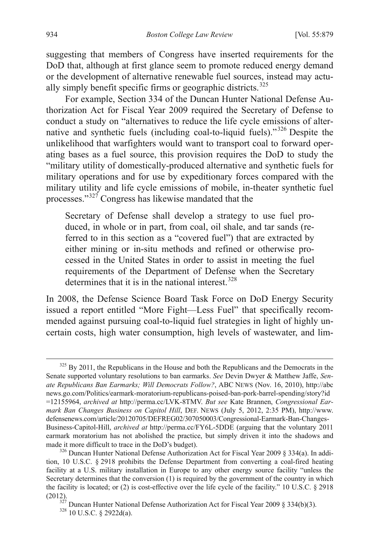suggesting that members of Congress have inserted requirements for the DoD that, although at first glance seem to promote reduced energy demand or the development of alternative renewable fuel sources, instead may actu-ally simply benefit specific firms or geographic districts.<sup>[325](#page-55-5)</sup>

For example, Section 334 of the Duncan Hunter National Defense Authorization Act for Fiscal Year 2009 required the Secretary of Defense to conduct a study on "alternatives to reduce the life cycle emissions of alternative and synthetic fuels (including coal-to-liquid fuels)."[326](#page-56-0) Despite the unlikelihood that warfighters would want to transport coal to forward operating bases as a fuel source, this provision requires the DoD to study the "military utility of domestically-produced alternative and synthetic fuels for military operations and for use by expeditionary forces compared with the military utility and life cycle emissions of mobile, in-theater synthetic fuel processes."[327](#page-56-1) Congress has likewise mandated that the

Secretary of Defense shall develop a strategy to use fuel produced, in whole or in part, from coal, oil shale, and tar sands (referred to in this section as a "covered fuel") that are extracted by either mining or in-situ methods and refined or otherwise processed in the United States in order to assist in meeting the fuel requirements of the Department of Defense when the Secretary determines that it is in the national interest.  $328$ 

In 2008, the Defense Science Board Task Force on DoD Energy Security issued a report entitled "More Fight—Less Fuel" that specifically recommended against pursuing coal-to-liquid fuel strategies in light of highly uncertain costs, high water consumption, high levels of wastewater, and lim-

<span id="page-56-3"></span><sup>&</sup>lt;sup>325</sup> By 2011, the Republicans in the House and both the Republicans and the Democrats in the Senate supported voluntary resolutions to ban earmarks. *See* Devin Dwyer & Matthew Jaffe, *Senate Republicans Ban Earmarks; Will Democrats Follow?*, ABC NEWS (Nov. 16, 2010), http://abc news.go.com/Politics/earmark-moratorium-republicans-poised-ban-pork-barrel-spending/story?id =12155964, *archived at* http://perma.cc/LVK-8TMV. *But see* Kate Brannen, *Congressional Earmark Ban Changes Business on Capitol Hill*, DEF. NEWS (July 5, 2012, 2:35 PM), http://www. defensenews.com/article/20120705/DEFREG02/307050003/Congressional-Earmark-Ban-Changes-Business-Capitol-Hill, *archived at* http://perma.cc/FY6L-5DDE (arguing that the voluntary 2011 earmark moratorium has not abolished the practice, but simply driven it into the shadows and made it more difficult to trace in the DoD's budget).<br><sup>326</sup> Duncan Hunter National Defense Authorization Act for Fiscal Year 2009 § 334(a). In addi-

<span id="page-56-0"></span>tion, 10 U.S.C. § 2918 prohibits the Defense Department from converting a coal-fired heating facility at a U.S. military installation in Europe to any other energy source facility "unless the Secretary determines that the conversion (1) is required by the government of the country in which the facility is located; or (2) is cost-effective over the life cycle of the facility." 10 U.S.C. § 2918

<span id="page-56-2"></span><span id="page-56-1"></span><sup>(2012). &</sup>lt;sup>327</sup> Duncan Hunter National Defense Authorization Act for Fiscal Year 2009 § 334(b)(3). <sup>328</sup> 10 U.S.C. § 2922d(a).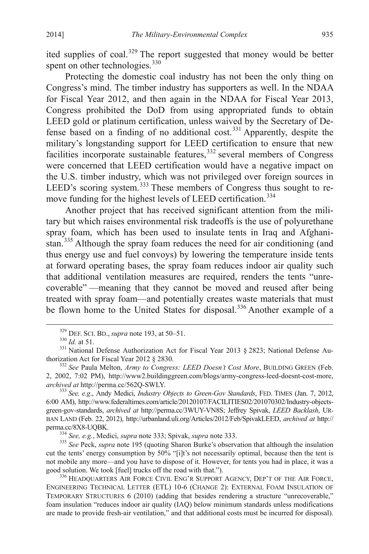ited supplies of coal.<sup>[329](#page-56-3)</sup> The report suggested that money would be better spent on other technologies.<sup>[330](#page-57-0)</sup>

Protecting the domestic coal industry has not been the only thing on Congress's mind. The timber industry has supporters as well. In the NDAA for Fiscal Year 2012, and then again in the NDAA for Fiscal Year 2013, Congress prohibited the DoD from using appropriated funds to obtain LEED gold or platinum certification, unless waived by the Secretary of De-fense based on a finding of no additional cost.<sup>[331](#page-57-1)</sup> Apparently, despite the military's longstanding support for LEED certification to ensure that new facilities incorporate sustainable features,<sup>[332](#page-57-2)</sup> several members of Congress were concerned that LEED certification would have a negative impact on the U.S. timber industry, which was not privileged over foreign sources in LEED's scoring system.<sup>[333](#page-57-3)</sup> These members of Congress thus sought to re-move funding for the highest levels of LEED certification.<sup>[334](#page-57-4)</sup>

Another project that has received significant attention from the military but which raises environmental risk tradeoffs is the use of polyurethane spray foam, which has been used to insulate tents in Iraq and Afghani-stan.<sup>[335](#page-57-5)</sup> Although the spray foam reduces the need for air conditioning (and thus energy use and fuel convoys) by lowering the temperature inside tents at forward operating bases, the spray foam reduces indoor air quality such that additional ventilation measures are required, renders the tents "unrecoverable" —meaning that they cannot be moved and reused after being treated with spray foam—and potentially creates waste materials that must be flown home to the United States for disposal.<sup>[336](#page-57-6)</sup> Another example of a

<span id="page-57-5"></span><span id="page-57-4"></span><sup>334</sup> *See, e.g.*, Medici, *supra* note 333; Spivak, *supra* note 333. <br><sup>335</sup> *See* Peck, *supra* note 195 (quoting Sharon Burke's observation that although the insulation cut the tents' energy consumption by 50% "[i]t's not necessarily optimal, because then the tent is not mobile any more—and you have to dispose of it. However, for tents you had in place, it was a good solution. We took [fuel] trucks off the road with that.").

<span id="page-57-7"></span><span id="page-57-0"></span><sup>&</sup>lt;sup>329</sup> DEF. SCI. BD., *supra* note 193, at 50–51.<br><sup>330</sup> *Id.* at 51.<br><sup>331</sup> National Defense Authorization Act for Fiscal Year 2013 § 2823; National Defense Authorization Act for Fiscal Year 2012 § 2830.

<span id="page-57-2"></span><span id="page-57-1"></span><sup>&</sup>lt;sup>332</sup> See Paula Melton, Army to Congress: LEED Doesn't Cost More, BUILDING GREEN (Feb. 2, 2002, 7:02 PM), http://www2.buildinggreen.com/blogs/army-congress-leed-doesnt-cost-more,

<span id="page-57-3"></span><sup>&</sup>lt;sup>333</sup> *See, e.g., Andy Medici, Industry Objects to Green-Gov Standards*, FED. TIMES (Jan. 7, 2012, 6:00 AM), http://www.federaltimes.com/article/20120107/FACILITIES02/201070302/Industry-objectsgreen-gov-standards, *archived at* http://perma.cc/3WUY-VN8S; Jeffrey Spivak, *LEED Backlash*, UR-BAN LAND (Feb. 22, 2012), http://urbanland.uli.org/Articles/2012/Feb/SpivakLEED, *archived at* http://

<span id="page-57-6"></span><sup>336</sup> HEADQUARTERS AIR FORCE CIVIL ENG'R SUPPORT AGENCY, DEP'T OF THE AIR FORCE, ENGINEERING TECHNICAL LETTER (ETL) 10-6 (CHANGE 2): EXTERNAL FOAM INSULATION OF TEMPORARY STRUCTURES 6 (2010) (adding that besides rendering a structure "unrecoverable," foam insulation "reduces indoor air quality (IAQ) below minimum standards unless modifications are made to provide fresh-air ventilation," and that additional costs must be incurred for disposal).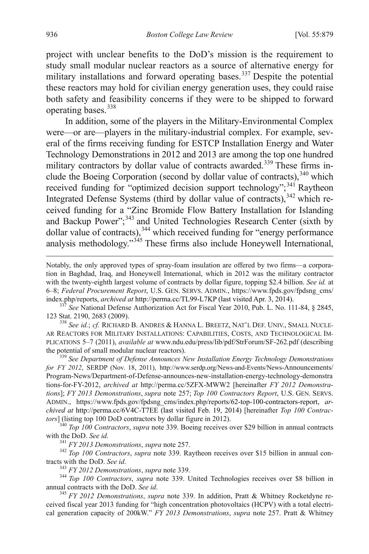project with unclear benefits to the DoD's mission is the requirement to study small modular nuclear reactors as a source of alternative energy for military installations and forward operating bases.<sup>[337](#page-57-7)</sup> Despite the potential these reactors may hold for civilian energy generation uses, they could raise both safety and feasibility concerns if they were to be shipped to forward operating bases. [338](#page-58-0)

In addition, some of the players in the Military-Environmental Complex were—or are—players in the military-industrial complex. For example, several of the firms receiving funding for ESTCP Installation Energy and Water Technology Demonstrations in 2012 and 2013 are among the top one hundred military contractors by dollar value of contracts awarded.<sup>[339](#page-58-1)</sup> These firms in-clude the Boeing Corporation (second by dollar value of contracts), [340](#page-58-2) which received funding for "optimized decision support technology";<sup>[341](#page-58-3)</sup> Raytheon Integrated Defense Systems (third by dollar value of contracts), <sup>[342](#page-58-4)</sup> which received funding for a "Zinc Bromide Flow Battery Installation for Islanding and Backup Power";<sup>[343](#page-58-5)</sup> and United Technologies Research Center (sixth by dollar value of contracts), [344](#page-58-6) which received funding for "energy performance analysis methodology."[345](#page-58-7) These firms also include Honeywell International,

123 Stat. 2190, 2683 (2009). <sup>338</sup> *See id.*; *cf.* RICHARD B. ANDRES & HANNA L. BREETZ, NAT'L DEF. UNIV., SMALL NUCLE-

<span id="page-58-0"></span>AR REACTORS FOR MILITARY INSTALLATIONS: CAPABILITIES, COSTS, AND TECHNOLOGICAL IM-PLICATIONS 5–7 (2011), *available at* www.ndu.edu/press/lib/pdf/StrForum/SF-262.pdf (describing the potential of small modular nuclear reactors).<br><sup>339</sup> *See Department of Defense Announces New Installation Energy Technology Demonstrations* 

<span id="page-58-1"></span>*for FY 2012*, SERDP (Nov. 18, 2011), http://www.serdp.org/News-and-Events/News-Announcements/ Program-News/Department-of-Defense-announces-new-installation-energy-technology-demonstra tions-for-FY-2012, *archived at* http://perma.cc/5ZFX-MWW2 [hereinafter *FY 2012 Demonstrations*]; *FY 2013 Demonstrations*, *supra* note 257; *Top 100 Contractors Report*, U.S. GEN. SERVS. ADMIN., https://www.fpds.gov/fpdsng\_cms/index.php/reports/62-top-100-contractors-report, *archived at* http://perma.cc/6V4C-T7EE (last visited Feb. 19, 2014) [hereinafter *Top 100 Contrac-*

<span id="page-58-2"></span>*tors*] (listing top 100 DoD contractors by dollar figure in 2012).<br><sup>340</sup> *Top 100 Contractors*, *supra* note 339. Boeing receives over \$29 billion in annual contracts with the DoD. *See id.* 

<span id="page-58-8"></span><span id="page-58-4"></span><span id="page-58-3"></span><sup>341</sup> *FY 2013 Demonstrations*, *supra* note 257.<br><sup>342</sup> *Top 100 Contractors*, *supra* note 339. Raytheon receives over \$15 billion in annual contracts with the DoD. *See id.* 

<span id="page-58-6"></span><span id="page-58-5"></span><sup>343</sup> *FY 2012 Demonstrations, supra* note 339.<br><sup>344</sup> *Top 100 Contractors, supra* note 339. United Technologies receives over \$8 billion in annual contracts with the DoD. *See id*.  $\frac{345}{5}$  *FY 2012 Demonstrations*, *supra* note 339. In addition, Pratt & Whitney Rocketdyne re-

<span id="page-58-7"></span>ceived fiscal year 2013 funding for "high concentration photovoltaics (HCPV) with a total electrical generation capacity of 200kW." *FY 2013 Demonstrations*, *supra* note 257. Pratt & Whitney

Notably, the only approved types of spray-foam insulation are offered by two firms—a corporation in Baghdad, Iraq, and Honeywell International, which in 2012 was the military contractor with the twenty-eighth largest volume of contracts by dollar figure, topping \$2.4 billion. *See id.* at 6–8; *Federal Procurement Report*, U.S. GEN. SERVS. ADMIN., https://www.fpds.gov/fpdsng\_cms/ index.php/reports, *archived at* http://perma.cc/TL99-L7KP (last visited Apr. 3, 2014). <sup>337</sup> *See* National Defense Authorization Act for Fiscal Year 2010, Pub. L. No. 111-84, § 2845,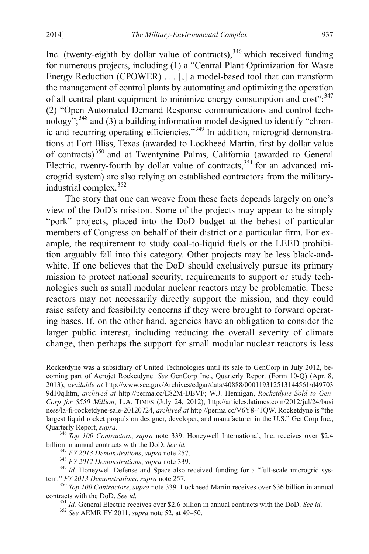Inc. (twenty-eighth by dollar value of contracts),<sup>[346](#page-58-8)</sup> which received funding for numerous projects, including (1) a "Central Plant Optimization for Waste Energy Reduction (CPOWER) . . . [,] a model-based tool that can transform the management of control plants by automating and optimizing the operation of all central plant equipment to minimize energy consumption and cost";<sup>[347](#page-59-0)</sup> (2) "Open Automated Demand Response communications and control technology"; [348](#page-59-1) and (3) a building information model designed to identify "chron-ic and recurring operating efficiencies."<sup>[349](#page-59-2)</sup> In addition, microgrid demonstrations at Fort Bliss, Texas (awarded to Lockheed Martin, first by dollar value of contracts) [350](#page-59-3) and at Twentynine Palms, California (awarded to General Electric, twenty-fourth by dollar value of contracts,<sup>[351](#page-59-4)</sup> for an advanced microgrid system) are also relying on established contractors from the militaryindustrial complex. [352](#page-59-5)

The story that one can weave from these facts depends largely on one's view of the DoD's mission. Some of the projects may appear to be simply "pork" projects, placed into the DoD budget at the behest of particular members of Congress on behalf of their district or a particular firm. For example, the requirement to study coal-to-liquid fuels or the LEED prohibition arguably fall into this category. Other projects may be less black-andwhite. If one believes that the DoD should exclusively pursue its primary mission to protect national security, requirements to support or study technologies such as small modular nuclear reactors may be problematic. These reactors may not necessarily directly support the mission, and they could raise safety and feasibility concerns if they were brought to forward operating bases. If, on the other hand, agencies have an obligation to consider the larger public interest, including reducing the overall severity of climate change, then perhaps the support for small modular nuclear reactors is less

<sup>351</sup> *Id.* General Electric receives over \$2.6 billion in annual contracts with the DoD. *See id.* <sup>352</sup> *See* AEMR FY 2011, *supra* note 52, at 49–50.

Rocketdyne was a subsidiary of United Technologies until its sale to GenCorp in July 2012, becoming part of Aerojet Rocketdyne. *See* GenCorp Inc., Quarterly Report (Form 10-Q) (Apr. 8, 2013), *available at* http://www.sec.gov/Archives/edgar/data/40888/000119312513144561/d49703 9d10q.htm, *archived at* http://perma.cc/E82M-DBVF; W.J. Hennigan, *Rocketdyne Sold to Gen-Corp for \$550 Million*, L.A. TIMES (July 24, 2012), http://articles.latimes.com/2012/jul/24/busi ness/la-fi-rocketdyne-sale-20120724, *archived at* http://perma.cc/V6Y8-4JQW. Rocketdyne is "the largest liquid rocket propulsion designer, developer, and manufacturer in the U.S." GenCorp Inc.,

Quarterly Report, *supra*.<br><sup>346</sup> *Top 100 Contractors*, *supra* note 339. Honeywell International, Inc. receives over \$2.4 billion in annual contracts with the DoD. *See id.* 

<span id="page-59-1"></span><span id="page-59-0"></span><sup>&</sup>lt;sup>347</sup> *FY* 2013 *Demonstrations, supra* note 257.<br><sup>348</sup> *FY* 2012 *Demonstrations, supra* note 339.<br><sup>349</sup> *Id.* Honeywell Defense and Space also received funding for a "full-scale microgrid sys-

<span id="page-59-5"></span><span id="page-59-4"></span><span id="page-59-3"></span><span id="page-59-2"></span>tem." *FY 2013 Demonstrations*, *supra* note 257.<br><sup>350</sup> *Top 100 Contractors*, *supra* note 339. Lockheed Martin receives over \$36 billion in annual contracts with the DoD. *See id.*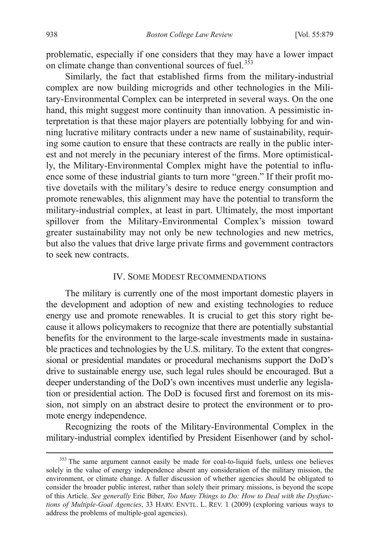problematic, especially if one considers that they may have a lower impact on climate change than conventional sources of fuel.<sup>[353](#page-59-1)</sup>

Similarly, the fact that established firms from the military-industrial complex are now building microgrids and other technologies in the Military-Environmental Complex can be interpreted in several ways. On the one hand, this might suggest more continuity than innovation. A pessimistic interpretation is that these major players are potentially lobbying for and winning lucrative military contracts under a new name of sustainability, requiring some caution to ensure that these contracts are really in the public interest and not merely in the pecuniary interest of the firms. More optimistically, the Military-Environmental Complex might have the potential to influence some of these industrial giants to turn more "green." If their profit motive dovetails with the military's desire to reduce energy consumption and promote renewables, this alignment may have the potential to transform the military-industrial complex, at least in part. Ultimately, the most important spillover from the Military-Environmental Complex's mission toward greater sustainability may not only be new technologies and new metrics, but also the values that drive large private firms and government contractors to seek new contracts.

### IV. SOME MODEST RECOMMENDATIONS

The military is currently one of the most important domestic players in the development and adoption of new and existing technologies to reduce energy use and promote renewables. It is crucial to get this story right because it allows policymakers to recognize that there are potentially substantial benefits for the environment to the large-scale investments made in sustainable practices and technologies by the U.S. military. To the extent that congressional or presidential mandates or procedural mechanisms support the DoD's drive to sustainable energy use, such legal rules should be encouraged. But a deeper understanding of the DoD's own incentives must underlie any legislation or presidential action. The DoD is focused first and foremost on its mission, not simply on an abstract desire to protect the environment or to promote energy independence.

Recognizing the roots of the Military-Environmental Complex in the military-industrial complex identified by President Eisenhower (and by schol-

<span id="page-60-0"></span><sup>&</sup>lt;sup>353</sup> The same argument cannot easily be made for coal-to-liquid fuels, unless one believes solely in the value of energy independence absent any consideration of the military mission, the environment, or climate change. A fuller discussion of whether agencies should be obligated to consider the broader public interest, rather than solely their primary missions, is beyond the scope of this Article. *See generally* Eric Biber, *Too Many Things to Do: How to Deal with the Dysfunctions of Multiple-Goal Agencies*, 33 HARV. ENVTL. L. REV. 1 (2009) (exploring various ways to address the problems of multiple-goal agencies).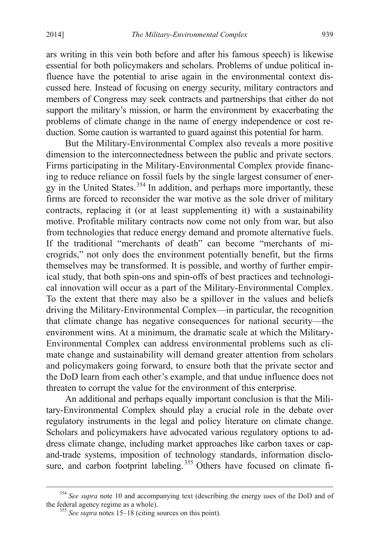ars writing in this vein both before and after his famous speech) is likewise essential for both policymakers and scholars. Problems of undue political influence have the potential to arise again in the environmental context discussed here. Instead of focusing on energy security, military contractors and members of Congress may seek contracts and partnerships that either do not support the military's mission, or harm the environment by exacerbating the problems of climate change in the name of energy independence or cost reduction. Some caution is warranted to guard against this potential for harm.

But the Military-Environmental Complex also reveals a more positive dimension to the interconnectedness between the public and private sectors. Firms participating in the Military-Environmental Complex provide financing to reduce reliance on fossil fuels by the single largest consumer of ener-gy in the United States.<sup>[354](#page-60-0)</sup> In addition, and perhaps more importantly, these firms are forced to reconsider the war motive as the sole driver of military contracts, replacing it (or at least supplementing it) with a sustainability motive. Profitable military contracts now come not only from war, but also from technologies that reduce energy demand and promote alternative fuels. If the traditional "merchants of death" can become "merchants of microgrids," not only does the environment potentially benefit, but the firms themselves may be transformed. It is possible, and worthy of further empirical study, that both spin-ons and spin-offs of best practices and technological innovation will occur as a part of the Military-Environmental Complex. To the extent that there may also be a spillover in the values and beliefs driving the Military-Environmental Complex—in particular, the recognition that climate change has negative consequences for national security—the environment wins. At a minimum, the dramatic scale at which the Military-Environmental Complex can address environmental problems such as climate change and sustainability will demand greater attention from scholars and policymakers going forward, to ensure both that the private sector and the DoD learn from each other's example, and that undue influence does not threaten to corrupt the value for the environment of this enterprise.

<span id="page-61-1"></span>An additional and perhaps equally important conclusion is that the Military-Environmental Complex should play a crucial role in the debate over regulatory instruments in the legal and policy literature on climate change. Scholars and policymakers have advocated various regulatory options to address climate change, including market approaches like carbon taxes or capand-trade systems, imposition of technology standards, information disclo-sure, and carbon footprint labeling.<sup>[355](#page-61-0)</sup> Others have focused on climate fi-

<span id="page-61-0"></span><sup>&</sup>lt;sup>354</sup> *See supra* note 10 and accompanying text (describing the energy uses of the DoD and of the federal agency regime as a whole).

<sup>&</sup>lt;sup>355</sup> See supra notes 15–18 (citing sources on this point).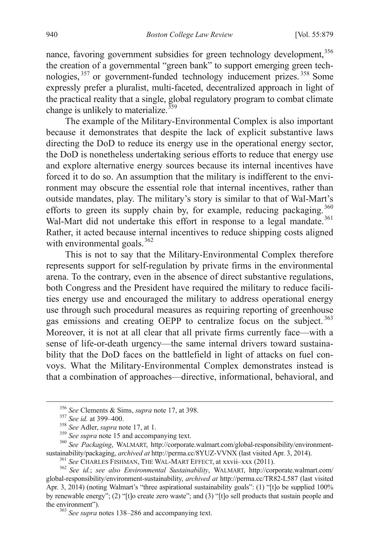nance, favoring government subsidies for green technology development,<sup>[356](#page-61-1)</sup> the creation of a governmental "green bank" to support emerging green technologies, [357](#page-62-0) or government-funded technology inducement prizes. [358](#page-62-1) Some expressly prefer a pluralist, multi-faceted, decentralized approach in light of the practical reality that a single, global regulatory program to combat climate change is unlikely to materialize. $359$ 

The example of the Military-Environmental Complex is also important because it demonstrates that despite the lack of explicit substantive laws directing the DoD to reduce its energy use in the operational energy sector, the DoD is nonetheless undertaking serious efforts to reduce that energy use and explore alternative energy sources because its internal incentives have forced it to do so. An assumption that the military is indifferent to the environment may obscure the essential role that internal incentives, rather than outside mandates, play. The military's story is similar to that of Wal-Mart's efforts to green its supply chain by, for example, reducing packaging.<sup>[360](#page-62-3)</sup> Wal-Mart did not undertake this effort in response to a legal mandate.<sup>[361](#page-62-4)</sup> Rather, it acted because internal incentives to reduce shipping costs aligned with environmental goals.  $362$ 

This is not to say that the Military-Environmental Complex therefore represents support for self-regulation by private firms in the environmental arena. To the contrary, even in the absence of direct substantive regulations, both Congress and the President have required the military to reduce facilities energy use and encouraged the military to address operational energy use through such procedural measures as requiring reporting of greenhouse gas emissions and creating OEPP to centralize focus on the subject.<sup>[363](#page-62-6)</sup> Moreover, it is not at all clear that all private firms currently face—with a sense of life-or-death urgency—the same internal drivers toward sustainability that the DoD faces on the battlefield in light of attacks on fuel convoys. What the Military-Environmental Complex demonstrates instead is that a combination of approaches—directive, informational, behavioral, and

<span id="page-62-1"></span><span id="page-62-0"></span><sup>&</sup>lt;sup>356</sup> See Clements & Sims, *supra* note 17, at 398.<br><sup>357</sup> See id. at 399–400.<br><sup>358</sup> See Adler, *supra* note 17, at 1.<br><sup>359</sup> See supra note 15 and accompanying text.<br><sup>360</sup> See Packaging, WALMART, http://corporate.walmart.c

<span id="page-62-5"></span><span id="page-62-4"></span><span id="page-62-3"></span><span id="page-62-2"></span><sup>&</sup>lt;sup>361</sup> See CHARLES FISHMAN, THE WAL-MART EFFECT, at xxvii-xxx (2011).<br><sup>362</sup> See id.; see also Environmental Sustainability, WALMART, http://corporate.walmart.com/ global-responsibility/environment-sustainability, *archived at* http://perma.cc/TR82-L587 (last visited Apr. 3, 2014) (noting Walmart's "three aspirational sustainability goals": (1) "[t]o be supplied 100% by renewable energy"; (2) "[t]o create zero waste"; and (3) "[t]o sell products that sustain people and the environment").<br><sup>363</sup> *See supra* notes 138–286 and accompanying text.

<span id="page-62-6"></span>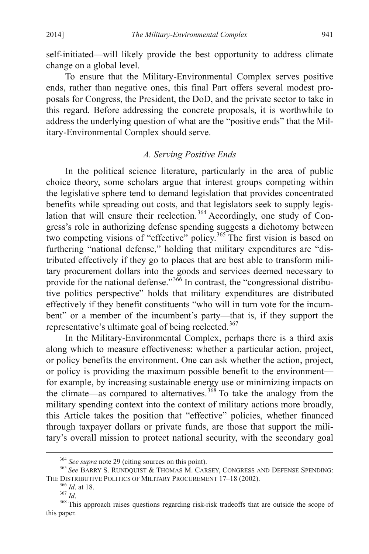self-initiated—will likely provide the best opportunity to address climate change on a global level.

To ensure that the Military-Environmental Complex serves positive ends, rather than negative ones, this final Part offers several modest proposals for Congress, the President, the DoD, and the private sector to take in this regard. Before addressing the concrete proposals, it is worthwhile to address the underlying question of what are the "positive ends" that the Military-Environmental Complex should serve.

## *A. Serving Positive Ends*

In the political science literature, particularly in the area of public choice theory, some scholars argue that interest groups competing within the legislative sphere tend to demand legislation that provides concentrated benefits while spreading out costs, and that legislators seek to supply legis-lation that will ensure their reelection.<sup>[364](#page-62-4)</sup> Accordingly, one study of Congress's role in authorizing defense spending suggests a dichotomy between two competing visions of "effective" policy.<sup>[365](#page-63-0)</sup> The first vision is based on furthering "national defense," holding that military expenditures are "distributed effectively if they go to places that are best able to transform military procurement dollars into the goods and services deemed necessary to provide for the national defense."<sup>[366](#page-63-1)</sup> In contrast, the "congressional distributive politics perspective" holds that military expenditures are distributed effectively if they benefit constituents "who will in turn vote for the incumbent" or a member of the incumbent's party—that is, if they support the representative's ultimate goal of being reelected.<sup>[367](#page-63-2)</sup>

In the Military-Environmental Complex, perhaps there is a third axis along which to measure effectiveness: whether a particular action, project, or policy benefits the environment. One can ask whether the action, project, or policy is providing the maximum possible benefit to the environment for example, by increasing sustainable energy use or minimizing impacts on the climate—as compared to alternatives.<sup>[368](#page-63-3)</sup> To take the analogy from the military spending context into the context of military actions more broadly, this Article takes the position that "effective" policies, whether financed through taxpayer dollars or private funds, are those that support the military's overall mission to protect national security, with the secondary goal

<span id="page-63-4"></span><span id="page-63-0"></span><sup>&</sup>lt;sup>364</sup> *See supra* note 29 (citing sources on this point).<br><sup>365</sup> *See* BARRY S. RUNDQUIST & THOMAS M. CARSEY, CONGRESS AND DEFENSE SPENDING:<br>THE DISTRIBUTIVE POLITICS OF MILITARY PROCUREMENT 17–18 (2002).

<span id="page-63-3"></span><span id="page-63-2"></span><span id="page-63-1"></span>THE DISTRIBUTIVE POLITICS OF MILITARY PROCUREMENT 17-18 (2002). 366 *Id.* at 18.<br><sup>367</sup> *Id.* <sup>368</sup> This approach raises questions regarding risk-risk tradeoffs that are outside the scope of this paper.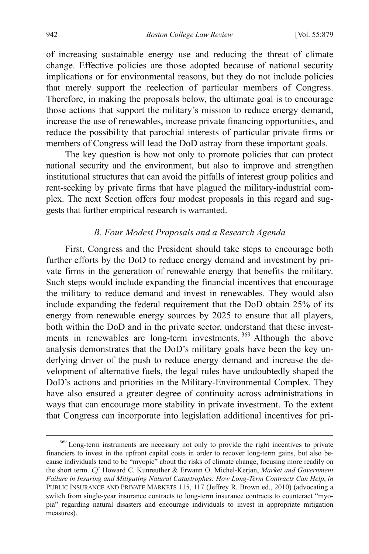of increasing sustainable energy use and reducing the threat of climate change. Effective policies are those adopted because of national security implications or for environmental reasons, but they do not include policies that merely support the reelection of particular members of Congress. Therefore, in making the proposals below, the ultimate goal is to encourage those actions that support the military's mission to reduce energy demand, increase the use of renewables, increase private financing opportunities, and reduce the possibility that parochial interests of particular private firms or members of Congress will lead the DoD astray from these important goals.

The key question is how not only to promote policies that can protect national security and the environment, but also to improve and strengthen institutional structures that can avoid the pitfalls of interest group politics and rent-seeking by private firms that have plagued the military-industrial complex. The next Section offers four modest proposals in this regard and suggests that further empirical research is warranted.

## *B. Four Modest Proposals and a Research Agenda*

First, Congress and the President should take steps to encourage both further efforts by the DoD to reduce energy demand and investment by private firms in the generation of renewable energy that benefits the military. Such steps would include expanding the financial incentives that encourage the military to reduce demand and invest in renewables. They would also include expanding the federal requirement that the DoD obtain 25% of its energy from renewable energy sources by 2025 to ensure that all players, both within the DoD and in the private sector, understand that these invest-ments in renewables are long-term investments.<sup>[369](#page-63-4)</sup> Although the above analysis demonstrates that the DoD's military goals have been the key underlying driver of the push to reduce energy demand and increase the development of alternative fuels, the legal rules have undoubtedly shaped the DoD's actions and priorities in the Military-Environmental Complex. They have also ensured a greater degree of continuity across administrations in ways that can encourage more stability in private investment. To the extent that Congress can incorporate into legislation additional incentives for pri-

<span id="page-64-0"></span><sup>&</sup>lt;sup>369</sup> Long-term instruments are necessary not only to provide the right incentives to private financiers to invest in the upfront capital costs in order to recover long-term gains, but also because individuals tend to be "myopic" about the risks of climate change, focusing more readily on the short term. *Cf.* Howard C. Kunreuther & Erwann O. Michel-Kerjan, *Market and Government Failure in Insuring and Mitigating Natural Catastrophes: How Long-Term Contracts Can Help*, *in* PUBLIC INSURANCE AND PRIVATE MARKETS 115, 117 (Jeffrey R. Brown ed., 2010) (advocating a switch from single-year insurance contracts to long-term insurance contracts to counteract "myopia" regarding natural disasters and encourage individuals to invest in appropriate mitigation measures).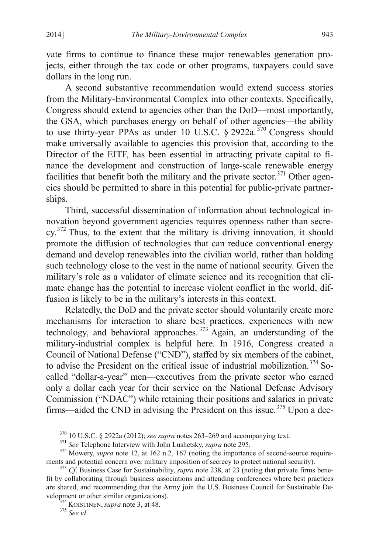vate firms to continue to finance these major renewables generation projects, either through the tax code or other programs, taxpayers could save dollars in the long run.

A second substantive recommendation would extend success stories from the Military-Environmental Complex into other contexts. Specifically, Congress should extend to agencies other than the DoD—most importantly, the GSA, which purchases energy on behalf of other agencies—the ability to use thirty-year PPAs as under 10 U.S.C. § 2922a.<sup>[370](#page-64-0)</sup> Congress should make universally available to agencies this provision that, according to the Director of the EITF, has been essential in attracting private capital to finance the development and construction of large-scale renewable energy facilities that benefit both the military and the private sector.<sup>[371](#page-65-0)</sup> Other agencies should be permitted to share in this potential for public-private partnerships.

Third, successful dissemination of information about technological innovation beyond government agencies requires openness rather than secre- $cy. <sup>372</sup>$  $cy. <sup>372</sup>$  $cy. <sup>372</sup>$  Thus, to the extent that the military is driving innovation, it should promote the diffusion of technologies that can reduce conventional energy demand and develop renewables into the civilian world, rather than holding such technology close to the vest in the name of national security. Given the military's role as a validator of climate science and its recognition that climate change has the potential to increase violent conflict in the world, diffusion is likely to be in the military's interests in this context.

<span id="page-65-5"></span>Relatedly, the DoD and the private sector should voluntarily create more mechanisms for interaction to share best practices, experiences with new technology, and behavioral approaches.<sup>[373](#page-65-2)</sup> Again, an understanding of the military-industrial complex is helpful here. In 1916, Congress created a Council of National Defense ("CND"), staffed by six members of the cabinet, to advise the President on the critical issue of industrial mobilization.<sup>[374](#page-65-3)</sup> Socalled "dollar-a-year" men—executives from the private sector who earned only a dollar each year for their service on the National Defense Advisory Commission ("NDAC") while retaining their positions and salaries in private firms—aided the CND in advising the President on this issue.<sup>[375](#page-65-4)</sup> Upon a dec-

<span id="page-65-0"></span><sup>&</sup>lt;sup>370</sup> 10 U.S.C. § 2922a (2012); *see supra* notes 263–269 and accompanying text.<br><sup>371</sup> *See* Telephone Interview with John Lushetsky, *supra* note 295.<br><sup>372</sup> Mowery, *supra* note 12, at 162 n.2, 167 (noting the importance

<span id="page-65-3"></span><span id="page-65-2"></span><span id="page-65-1"></span> $^{373}$  *Cf.* Business Case for Sustainability, *supra* note 238, at 23 (noting that private firms benefit by collaborating through business associations and attending conferences where best practices are shared, and recommending that the Army join the U.S. Business Council for Sustainable Development or other similar organizations). <sup>374</sup> KOISTINEN, *supra* note 3, at 48. <sup>375</sup> *See id*.

<span id="page-65-4"></span>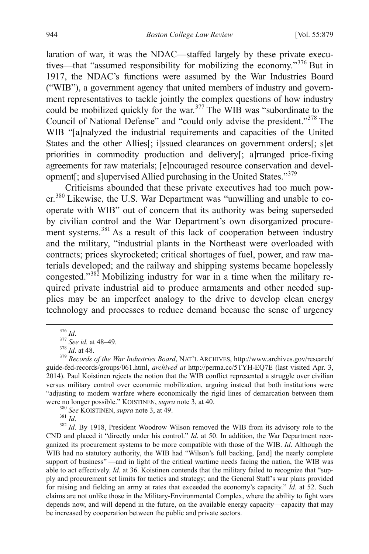laration of war, it was the NDAC—staffed largely by these private executives—that "assumed responsibility for mobilizing the economy."[376](#page-65-5) But in 1917, the NDAC's functions were assumed by the War Industries Board ("WIB"), a government agency that united members of industry and government representatives to tackle jointly the complex questions of how industry could be mobilized quickly for the war.<sup>[377](#page-66-0)</sup> The WIB was "subordinate to the Council of National Defense" and "could only advise the president."[378](#page-66-1) The WIB "[a]nalyzed the industrial requirements and capacities of the United States and the other Allies<sup>[: i]</sup>ssued clearances on government orders<sup>[: s]et</sup> priorities in commodity production and delivery[; a]rranged price-fixing agreements for raw materials; [e]ncouraged resource conservation and development[; and s]upervised Allied purchasing in the United States."[379](#page-66-2)

Criticisms abounded that these private executives had too much pow-er.<sup>[380](#page-66-3)</sup> Likewise, the U.S. War Department was "unwilling and unable to cooperate with WIB" out of concern that its authority was being superseded by civilian control and the War Department's own disorganized procure-ment systems.<sup>[381](#page-66-4)</sup> As a result of this lack of cooperation between industry and the military, "industrial plants in the Northeast were overloaded with contracts; prices skyrocketed; critical shortages of fuel, power, and raw materials developed; and the railway and shipping systems became hopelessly congested."[382](#page-66-5) Mobilizing industry for war in a time when the military required private industrial aid to produce armaments and other needed supplies may be an imperfect analogy to the drive to develop clean energy technology and processes to reduce demand because the sense of urgency

<span id="page-66-2"></span><span id="page-66-1"></span><span id="page-66-0"></span><sup>376</sup> *Id*. <sup>377</sup> *See id.* at 48–49. <sup>378</sup> *Id*. at 48. <sup>379</sup> *Records of the War Industries Board*, NAT'L ARCHIVES, http://www.archives.gov/research/ guide-fed-records/groups/061.html, *archived at* http://perma.cc/5TYH-EQ7E (last visited Apr. 3, 2014). Paul Koistinen rejects the notion that the WIB conflict represented a struggle over civilian versus military control over economic mobilization, arguing instead that both institutions were "adjusting to modern warfare where economically the rigid lines of demarcation between them

<span id="page-66-6"></span>

<span id="page-66-5"></span><span id="page-66-4"></span><span id="page-66-3"></span>were no longer possible." KOISTINEN, *supra* note 3, at 40.<br><sup>380</sup> *See* KOISTINEN, *supra* note 3, at 49.<br><sup>381</sup> *Id.*<br><sup>382</sup> *Id.* By 1918, President Woodrow Wilson removed the WIB from its advisory role to the CND and placed it "directly under his control." *Id*. at 50. In addition, the War Department reorganized its procurement systems to be more compatible with those of the WIB. *Id*. Although the WIB had no statutory authority, the WIB had "Wilson's full backing, [and] the nearly complete support of business" —and in light of the critical wartime needs facing the nation, the WIB was able to act effectively. *Id*. at 36. Koistinen contends that the military failed to recognize that "supply and procurement set limits for tactics and strategy; and the General Staff's war plans provided for raising and fielding an army at rates that exceeded the economy's capacity." *Id*. at 52. Such claims are not unlike those in the Military-Environmental Complex, where the ability to fight wars depends now, and will depend in the future, on the available energy capacity—capacity that may be increased by cooperation between the public and private sectors.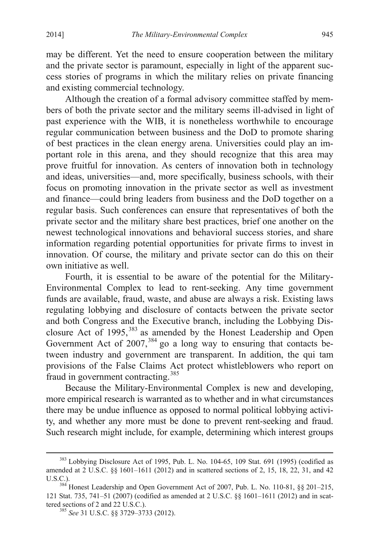may be different. Yet the need to ensure cooperation between the military and the private sector is paramount, especially in light of the apparent success stories of programs in which the military relies on private financing and existing commercial technology.

Although the creation of a formal advisory committee staffed by members of both the private sector and the military seems ill-advised in light of past experience with the WIB, it is nonetheless worthwhile to encourage regular communication between business and the DoD to promote sharing of best practices in the clean energy arena. Universities could play an important role in this arena, and they should recognize that this area may prove fruitful for innovation. As centers of innovation both in technology and ideas, universities—and, more specifically, business schools, with their focus on promoting innovation in the private sector as well as investment and finance—could bring leaders from business and the DoD together on a regular basis. Such conferences can ensure that representatives of both the private sector and the military share best practices, brief one another on the newest technological innovations and behavioral success stories, and share information regarding potential opportunities for private firms to invest in innovation. Of course, the military and private sector can do this on their own initiative as well.

Fourth, it is essential to be aware of the potential for the Military-Environmental Complex to lead to rent-seeking. Any time government funds are available, fraud, waste, and abuse are always a risk. Existing laws regulating lobbying and disclosure of contacts between the private sector and both Congress and the Executive branch, including the Lobbying Dis-closure Act of 1995,<sup>[383](#page-66-6)</sup> as amended by the Honest Leadership and Open Government Act of  $2007$ ,  $384$  go a long way to ensuring that contacts between industry and government are transparent. In addition, the qui tam provisions of the False Claims Act protect whistleblowers who report on fraud in government contracting.<sup>[385](#page-67-1)</sup>

Because the Military-Environmental Complex is new and developing, more empirical research is warranted as to whether and in what circumstances there may be undue influence as opposed to normal political lobbying activity, and whether any more must be done to prevent rent-seeking and fraud. Such research might include, for example, determining which interest groups

 <sup>383</sup> Lobbying Disclosure Act of 1995, Pub. L. No. 104-65, 109 Stat. 691 (1995) (codified as amended at 2 U.S.C. §§ 1601–1611 (2012) and in scattered sections of 2, 15, 18, 22, 31, and 42 U.S.C.). <sup>384</sup> Honest Leadership and Open Government Act of 2007, Pub. L. No. 110-81, §§ 201–215,

<span id="page-67-1"></span><span id="page-67-0"></span><sup>121</sup> Stat. 735, 741–51 (2007) (codified as amended at 2 U.S.C. §§ 1601–1611 (2012) and in scat-<br>tered sections of 2 and 22 U.S.C.).

<sup>385</sup> See 31 U.S.C. §§ 3729–3733 (2012).